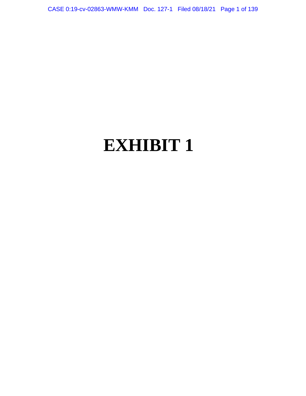CASE 0:19-cv-02863-WMW-KMM Doc. 127-1 Filed 08/18/21 Page 1 of 139

# **EXHIBIT 1**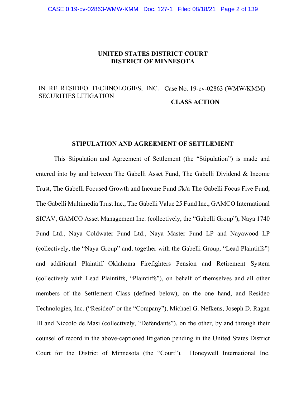# **UNITED STATES DISTRICT COURT DISTRICT OF MINNESOTA**

IN RE RESIDEO TECHNOLOGIES, INC. SECURITIES LITIGATION

Case No. 19-cv-02863 (WMW/KMM)

**CLASS ACTION**

## **STIPULATION AND AGREEMENT OF SETTLEMENT**

This Stipulation and Agreement of Settlement (the "Stipulation") is made and entered into by and between The Gabelli Asset Fund, The Gabelli Dividend & Income Trust, The Gabelli Focused Growth and Income Fund f/k/a The Gabelli Focus Five Fund, The Gabelli Multimedia Trust Inc., The Gabelli Value 25 Fund Inc., GAMCO International SICAV, GAMCO Asset Management Inc. (collectively, the "Gabelli Group"), Naya 1740 Fund Ltd., Naya Coldwater Fund Ltd., Naya Master Fund LP and Nayawood LP (collectively, the "Naya Group" and, together with the Gabelli Group, "Lead Plaintiffs") and additional Plaintiff Oklahoma Firefighters Pension and Retirement System (collectively with Lead Plaintiffs, "Plaintiffs"), on behalf of themselves and all other members of the Settlement Class (defined below), on the one hand, and Resideo Technologies, Inc. ("Resideo" or the "Company"), Michael G. Nefkens, Joseph D. Ragan III and Niccolo de Masi (collectively, "Defendants"), on the other, by and through their counsel of record in the above-captioned litigation pending in the United States District Court for the District of Minnesota (the "Court"). Honeywell International Inc.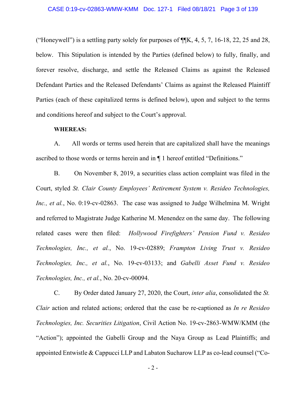("Honeywell") is a settling party solely for purposes of  $\P$  $K$ , 4, 5, 7, 16-18, 22, 25 and 28, below. This Stipulation is intended by the Parties (defined below) to fully, finally, and forever resolve, discharge, and settle the Released Claims as against the Released Defendant Parties and the Released Defendants' Claims as against the Released Plaintiff Parties (each of these capitalized terms is defined below), upon and subject to the terms and conditions hereof and subject to the Court's approval.

## **WHEREAS:**

A. All words or terms used herein that are capitalized shall have the meanings ascribed to those words or terms herein and in ¶ 1 hereof entitled "Definitions."

B. On November 8, 2019, a securities class action complaint was filed in the Court, styled *St. Clair County Employees' Retirement System v. Resideo Technologies, Inc., et al.*, No. 0:19-cv-02863. The case was assigned to Judge Wilhelmina M. Wright and referred to Magistrate Judge Katherine M. Menendez on the same day. The following related cases were then filed: *Hollywood Firefighters' Pension Fund v. Resideo Technologies, Inc., et al.*, No. 19-cv-02889; *Frampton Living Trust v. Resideo Technologies, Inc., et al.*, No. 19-cv-03133; and *Gabelli Asset Fund v. Resideo Technologies, Inc., et al.*, No. 20-cv-00094.

C. By Order dated January 27, 2020, the Court, *inter alia*, consolidated the *St. Clair* action and related actions; ordered that the case be re-captioned as *In re Resideo Technologies, Inc. Securities Litigation*, Civil Action No. 19-cv-2863-WMW/KMM (the "Action"); appointed the Gabelli Group and the Naya Group as Lead Plaintiffs; and appointed Entwistle & Cappucci LLP and Labaton Sucharow LLP as co-lead counsel ("Co-

- 2 -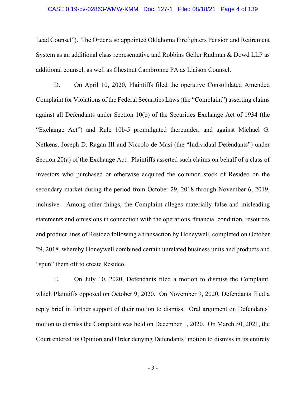#### CASE 0:19-cv-02863-WMW-KMM Doc. 127-1 Filed 08/18/21 Page 4 of 139

Lead Counsel"). The Order also appointed Oklahoma Firefighters Pension and Retirement System as an additional class representative and Robbins Geller Rudman & Dowd LLP as additional counsel, as well as Chestnut Cambronne PA as Liaison Counsel.

D. On April 10, 2020, Plaintiffs filed the operative Consolidated Amended Complaint for Violations of the Federal Securities Laws (the "Complaint") asserting claims against all Defendants under Section 10(b) of the Securities Exchange Act of 1934 (the "Exchange Act") and Rule 10b-5 promulgated thereunder, and against Michael G. Nefkens, Joseph D. Ragan III and Niccolo de Masi (the "Individual Defendants") under Section 20(a) of the Exchange Act. Plaintiffs asserted such claims on behalf of a class of investors who purchased or otherwise acquired the common stock of Resideo on the secondary market during the period from October 29, 2018 through November 6, 2019, inclusive. Among other things, the Complaint alleges materially false and misleading statements and omissions in connection with the operations, financial condition, resources and product lines of Resideo following a transaction by Honeywell, completed on October 29, 2018, whereby Honeywell combined certain unrelated business units and products and "spun" them off to create Resideo.

E. On July 10, 2020, Defendants filed a motion to dismiss the Complaint, which Plaintiffs opposed on October 9, 2020. On November 9, 2020, Defendants filed a reply brief in further support of their motion to dismiss. Oral argument on Defendants' motion to dismiss the Complaint was held on December 1, 2020. On March 30, 2021, the Court entered its Opinion and Order denying Defendants' motion to dismiss in its entirety

- 3 -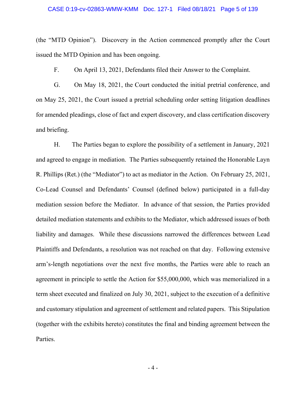#### CASE 0:19-cv-02863-WMW-KMM Doc. 127-1 Filed 08/18/21 Page 5 of 139

(the "MTD Opinion"). Discovery in the Action commenced promptly after the Court issued the MTD Opinion and has been ongoing.

F. On April 13, 2021, Defendants filed their Answer to the Complaint.

G. On May 18, 2021, the Court conducted the initial pretrial conference, and on May 25, 2021, the Court issued a pretrial scheduling order setting litigation deadlines for amended pleadings, close of fact and expert discovery, and class certification discovery and briefing.

H. The Parties began to explore the possibility of a settlement in January, 2021 and agreed to engage in mediation. The Parties subsequently retained the Honorable Layn R. Phillips (Ret.) (the "Mediator") to act as mediator in the Action. On February 25, 2021, Co-Lead Counsel and Defendants' Counsel (defined below) participated in a full-day mediation session before the Mediator. In advance of that session, the Parties provided detailed mediation statements and exhibits to the Mediator, which addressed issues of both liability and damages. While these discussions narrowed the differences between Lead Plaintiffs and Defendants, a resolution was not reached on that day. Following extensive arm's-length negotiations over the next five months, the Parties were able to reach an agreement in principle to settle the Action for \$55,000,000, which was memorialized in a term sheet executed and finalized on July 30, 2021, subject to the execution of a definitive and customary stipulation and agreement of settlement and related papers. This Stipulation (together with the exhibits hereto) constitutes the final and binding agreement between the Parties.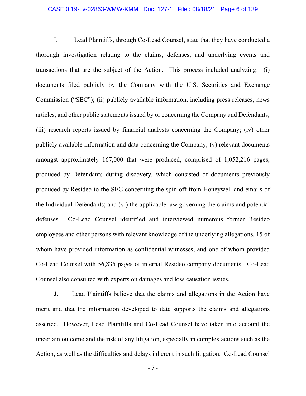## CASE 0:19-cv-02863-WMW-KMM Doc. 127-1 Filed 08/18/21 Page 6 of 139

I. Lead Plaintiffs, through Co-Lead Counsel, state that they have conducted a thorough investigation relating to the claims, defenses, and underlying events and transactions that are the subject of the Action. This process included analyzing: (i) documents filed publicly by the Company with the U.S. Securities and Exchange Commission ("SEC"); (ii) publicly available information, including press releases, news articles, and other public statements issued by or concerning the Company and Defendants; (iii) research reports issued by financial analysts concerning the Company; (iv) other publicly available information and data concerning the Company; (v) relevant documents amongst approximately 167,000 that were produced, comprised of 1,052,216 pages, produced by Defendants during discovery, which consisted of documents previously produced by Resideo to the SEC concerning the spin-off from Honeywell and emails of the Individual Defendants; and (vi) the applicable law governing the claims and potential defenses. Co-Lead Counsel identified and interviewed numerous former Resideo employees and other persons with relevant knowledge of the underlying allegations, 15 of whom have provided information as confidential witnesses, and one of whom provided Co-Lead Counsel with 56,835 pages of internal Resideo company documents. Co-Lead Counsel also consulted with experts on damages and loss causation issues.

J. Lead Plaintiffs believe that the claims and allegations in the Action have merit and that the information developed to date supports the claims and allegations asserted. However, Lead Plaintiffs and Co-Lead Counsel have taken into account the uncertain outcome and the risk of any litigation, especially in complex actions such as the Action, as well as the difficulties and delays inherent in such litigation. Co-Lead Counsel

- 5 -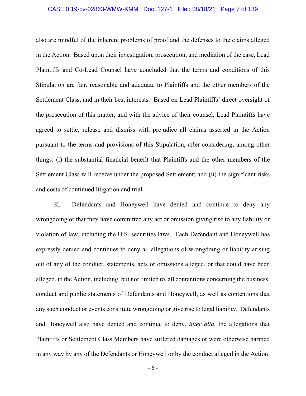## CASE 0:19-cv-02863-WMW-KMM Doc. 127-1 Filed 08/18/21 Page 7 of 139

also are mindful of the inherent problems of proof and the defenses to the claims alleged in the Action. Based upon their investigation, prosecution, and mediation of the case, Lead Plaintiffs and Co-Lead Counsel have concluded that the terms and conditions of this Stipulation are fair, reasonable and adequate to Plaintiffs and the other members of the Settlement Class, and in their best interests. Based on Lead Plaintiffs' direct oversight of the prosecution of this matter, and with the advice of their counsel, Lead Plaintiffs have agreed to settle, release and dismiss with prejudice all claims asserted in the Action pursuant to the terms and provisions of this Stipulation, after considering, among other things: (i) the substantial financial benefit that Plaintiffs and the other members of the Settlement Class will receive under the proposed Settlement; and (ii) the significant risks and costs of continued litigation and trial.

K. Defendants and Honeywell have denied and continue to deny any wrongdoing or that they have committed any act or omission giving rise to any liability or violation of law, including the U.S. securities laws. Each Defendant and Honeywell has expressly denied and continues to deny all allegations of wrongdoing or liability arising out of any of the conduct, statements, acts or omissions alleged, or that could have been alleged, in the Action, including, but not limited to, all contentions concerning the business, conduct and public statements of Defendants and Honeywell, as well as contentions that any such conduct or events constitute wrongdoing or give rise to legal liability. Defendants and Honeywell also have denied and continue to deny, *inter alia*, the allegations that Plaintiffs or Settlement Class Members have suffered damages or were otherwise harmed in any way by any of the Defendants or Honeywell or by the conduct alleged in the Action.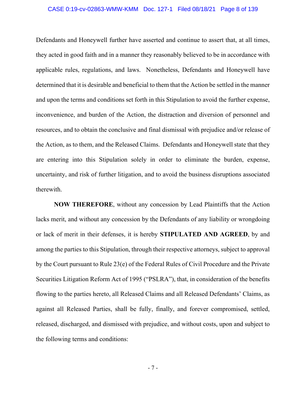#### CASE 0:19-cv-02863-WMW-KMM Doc. 127-1 Filed 08/18/21 Page 8 of 139

Defendants and Honeywell further have asserted and continue to assert that, at all times, they acted in good faith and in a manner they reasonably believed to be in accordance with applicable rules, regulations, and laws. Nonetheless, Defendants and Honeywell have determined that it is desirable and beneficial to them that the Action be settled in the manner and upon the terms and conditions set forth in this Stipulation to avoid the further expense, inconvenience, and burden of the Action, the distraction and diversion of personnel and resources, and to obtain the conclusive and final dismissal with prejudice and/or release of the Action, as to them, and the Released Claims. Defendants and Honeywell state that they are entering into this Stipulation solely in order to eliminate the burden, expense, uncertainty, and risk of further litigation, and to avoid the business disruptions associated therewith.

**NOW THEREFORE**, without any concession by Lead Plaintiffs that the Action lacks merit, and without any concession by the Defendants of any liability or wrongdoing or lack of merit in their defenses, it is hereby **STIPULATED AND AGREED**, by and among the parties to this Stipulation, through their respective attorneys, subject to approval by the Court pursuant to Rule 23(e) of the Federal Rules of Civil Procedure and the Private Securities Litigation Reform Act of 1995 ("PSLRA"), that, in consideration of the benefits flowing to the parties hereto, all Released Claims and all Released Defendants' Claims, as against all Released Parties, shall be fully, finally, and forever compromised, settled, released, discharged, and dismissed with prejudice, and without costs, upon and subject to the following terms and conditions: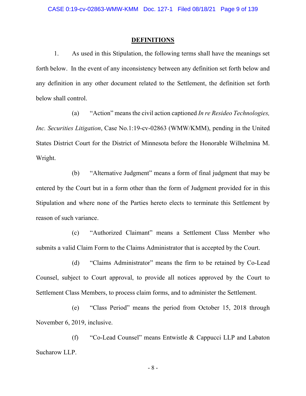### **DEFINITIONS**

1. As used in this Stipulation, the following terms shall have the meanings set forth below. In the event of any inconsistency between any definition set forth below and any definition in any other document related to the Settlement, the definition set forth below shall control.

(a) "Action" means the civil action captioned *In re Resideo Technologies, Inc. Securities Litigation*, Case No.1:19-cv-02863 (WMW/KMM), pending in the United States District Court for the District of Minnesota before the Honorable Wilhelmina M. Wright.

(b) "Alternative Judgment" means a form of final judgment that may be entered by the Court but in a form other than the form of Judgment provided for in this Stipulation and where none of the Parties hereto elects to terminate this Settlement by reason of such variance.

(c) "Authorized Claimant" means a Settlement Class Member who submits a valid Claim Form to the Claims Administrator that is accepted by the Court.

(d) "Claims Administrator" means the firm to be retained by Co-Lead Counsel, subject to Court approval, to provide all notices approved by the Court to Settlement Class Members, to process claim forms, and to administer the Settlement.

(e) "Class Period" means the period from October 15, 2018 through November 6, 2019, inclusive.

(f) "Co-Lead Counsel" means Entwistle & Cappucci LLP and Labaton Sucharow LLP.

- 8 -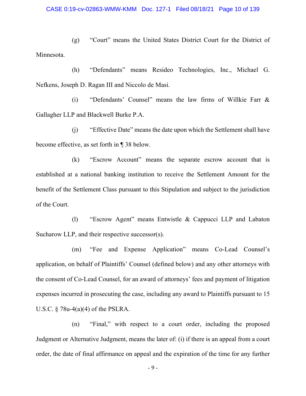(g) "Court" means the United States District Court for the District of Minnesota.

(h) "Defendants" means Resideo Technologies, Inc., Michael G. Nefkens, Joseph D. Ragan III and Niccolo de Masi.

(i) "Defendants' Counsel" means the law firms of Willkie Farr & Gallagher LLP and Blackwell Burke P.A.

(j) "Effective Date" means the date upon which the Settlement shall have become effective, as set forth in ¶ 38 below.

(k) "Escrow Account" means the separate escrow account that is established at a national banking institution to receive the Settlement Amount for the benefit of the Settlement Class pursuant to this Stipulation and subject to the jurisdiction of the Court.

(l) "Escrow Agent" means Entwistle & Cappucci LLP and Labaton Sucharow LLP, and their respective successor(s).

(m) "Fee and Expense Application" means Co-Lead Counsel's application, on behalf of Plaintiffs' Counsel (defined below) and any other attorneys with the consent of Co-Lead Counsel, for an award of attorneys' fees and payment of litigation expenses incurred in prosecuting the case, including any award to Plaintiffs pursuant to 15 U.S.C.  $\S$  78u-4(a)(4) of the PSLRA.

(n) "Final," with respect to a court order, including the proposed Judgment or Alternative Judgment, means the later of: (i) if there is an appeal from a court order, the date of final affirmance on appeal and the expiration of the time for any further

- 9 -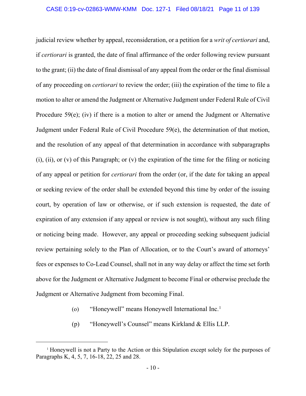judicial review whether by appeal, reconsideration, or a petition for a *writ of certiorari* and, if *certiorari* is granted, the date of final affirmance of the order following review pursuant to the grant; (ii) the date of final dismissal of any appeal from the order or the final dismissal of any proceeding on *certiorari* to review the order; (iii) the expiration of the time to file a motion to alter or amend the Judgment or Alternative Judgment under Federal Rule of Civil Procedure 59(e); (iv) if there is a motion to alter or amend the Judgment or Alternative Judgment under Federal Rule of Civil Procedure 59(e), the determination of that motion, and the resolution of any appeal of that determination in accordance with subparagraphs (i), (ii), or (v) of this Paragraph; or (v) the expiration of the time for the filing or noticing of any appeal or petition for *certiorari* from the order (or, if the date for taking an appeal or seeking review of the order shall be extended beyond this time by order of the issuing court, by operation of law or otherwise, or if such extension is requested, the date of expiration of any extension if any appeal or review is not sought), without any such filing or noticing being made. However, any appeal or proceeding seeking subsequent judicial review pertaining solely to the Plan of Allocation, or to the Court's award of attorneys' fees or expenses to Co-Lead Counsel, shall not in any way delay or affect the time set forth above for the Judgment or Alternative Judgment to become Final or otherwise preclude the Judgment or Alternative Judgment from becoming Final.

- (o) "Honeywell" means Honeywell International Inc. [1](#page-10-0)
- (p) "Honeywell's Counsel" means Kirkland & Ellis LLP.

<span id="page-10-0"></span><sup>&</sup>lt;sup>1</sup> Honeywell is not a Party to the Action or this Stipulation except solely for the purposes of Paragraphs K, 4, 5, 7, 16-18, 22, 25 and 28.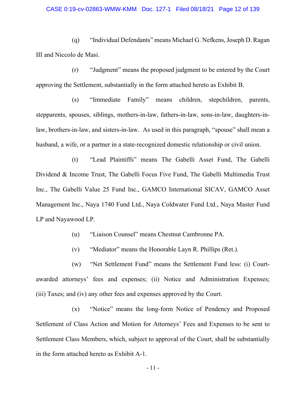#### CASE 0:19-cv-02863-WMW-KMM Doc. 127-1 Filed 08/18/21 Page 12 of 139

(q) "Individual Defendants" means Michael G. Nefkens, Joseph D. Ragan III and Niccolo de Masi.

(r) "Judgment" means the proposed judgment to be entered by the Court approving the Settlement, substantially in the form attached hereto as Exhibit B.

(s) "Immediate Family" means children, stepchildren, parents, stepparents, spouses, siblings, mothers-in-law, fathers-in-law, sons-in-law, daughters-inlaw, brothers-in-law, and sisters-in-law. As used in this paragraph, "spouse" shall mean a husband, a wife, or a partner in a state-recognized domestic relationship or civil union.

(t) "Lead Plaintiffs" means The Gabelli Asset Fund, The Gabelli Dividend & Income Trust, The Gabelli Focus Five Fund, The Gabelli Multimedia Trust Inc., The Gabelli Value 25 Fund Inc., GAMCO International SICAV, GAMCO Asset Management Inc., Naya 1740 Fund Ltd., Naya Coldwater Fund Ltd., Naya Master Fund LP and Nayawood LP.

(u) "Liaison Counsel" means Chestnut Cambronne PA.

(v) "Mediator" means the Honorable Layn R. Phillips (Ret.).

(w) "Net Settlement Fund" means the Settlement Fund less: (i) Courtawarded attorneys' fees and expenses; (ii) Notice and Administration Expenses; (iii) Taxes; and (iv) any other fees and expenses approved by the Court.

(x) "Notice" means the long-form Notice of Pendency and Proposed Settlement of Class Action and Motion for Attorneys' Fees and Expenses to be sent to Settlement Class Members, which, subject to approval of the Court, shall be substantially in the form attached hereto as Exhibit A-1.

- 11 -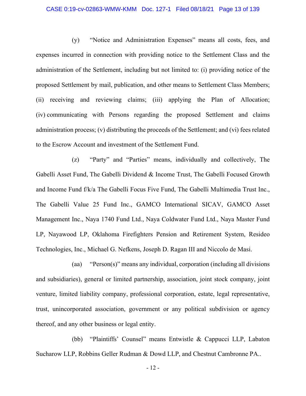#### CASE 0:19-cv-02863-WMW-KMM Doc. 127-1 Filed 08/18/21 Page 13 of 139

(y) "Notice and Administration Expenses" means all costs, fees, and expenses incurred in connection with providing notice to the Settlement Class and the administration of the Settlement, including but not limited to: (i) providing notice of the proposed Settlement by mail, publication, and other means to Settlement Class Members; (ii) receiving and reviewing claims; (iii) applying the Plan of Allocation; (iv) communicating with Persons regarding the proposed Settlement and claims administration process; (v) distributing the proceeds of the Settlement; and (vi) fees related to the Escrow Account and investment of the Settlement Fund.

(z) "Party" and "Parties" means, individually and collectively, The Gabelli Asset Fund, The Gabelli Dividend & Income Trust, The Gabelli Focused Growth and Income Fund f/k/a The Gabelli Focus Five Fund, The Gabelli Multimedia Trust Inc., The Gabelli Value 25 Fund Inc., GAMCO International SICAV, GAMCO Asset Management Inc., Naya 1740 Fund Ltd., Naya Coldwater Fund Ltd., Naya Master Fund LP, Nayawood LP, Oklahoma Firefighters Pension and Retirement System, Resideo Technologies, Inc., Michael G. Nefkens, Joseph D. Ragan III and Niccolo de Masi.

(aa) "Person(s)" means any individual, corporation (including all divisions and subsidiaries), general or limited partnership, association, joint stock company, joint venture, limited liability company, professional corporation, estate, legal representative, trust, unincorporated association, government or any political subdivision or agency thereof, and any other business or legal entity.

(bb) "Plaintiffs' Counsel" means Entwistle & Cappucci LLP, Labaton Sucharow LLP, Robbins Geller Rudman & Dowd LLP, and Chestnut Cambronne PA..

- 12 -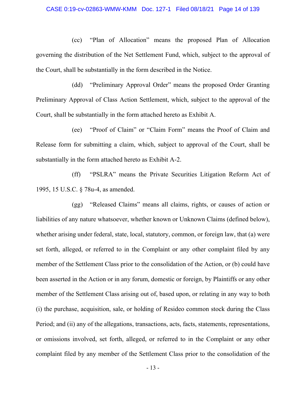#### CASE 0:19-cv-02863-WMW-KMM Doc. 127-1 Filed 08/18/21 Page 14 of 139

(cc) "Plan of Allocation" means the proposed Plan of Allocation governing the distribution of the Net Settlement Fund, which, subject to the approval of the Court, shall be substantially in the form described in the Notice.

(dd) "Preliminary Approval Order" means the proposed Order Granting Preliminary Approval of Class Action Settlement, which, subject to the approval of the Court, shall be substantially in the form attached hereto as Exhibit A.

(ee) "Proof of Claim" or "Claim Form" means the Proof of Claim and Release form for submitting a claim, which, subject to approval of the Court, shall be substantially in the form attached hereto as Exhibit A-2.

(ff) "PSLRA" means the Private Securities Litigation Reform Act of 1995, 15 U.S.C. § 78u-4, as amended.

(gg) "Released Claims" means all claims, rights, or causes of action or liabilities of any nature whatsoever, whether known or Unknown Claims (defined below), whether arising under federal, state, local, statutory, common, or foreign law, that (a) were set forth, alleged, or referred to in the Complaint or any other complaint filed by any member of the Settlement Class prior to the consolidation of the Action, or (b) could have been asserted in the Action or in any forum, domestic or foreign, by Plaintiffs or any other member of the Settlement Class arising out of, based upon, or relating in any way to both (i) the purchase, acquisition, sale, or holding of Resideo common stock during the Class Period; and (ii) any of the allegations, transactions, acts, facts, statements, representations, or omissions involved, set forth, alleged, or referred to in the Complaint or any other complaint filed by any member of the Settlement Class prior to the consolidation of the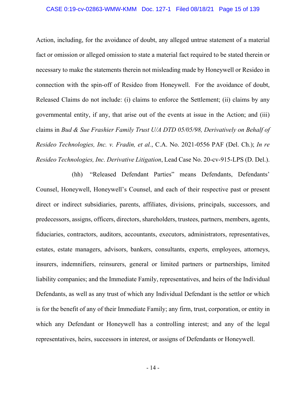#### CASE 0:19-cv-02863-WMW-KMM Doc. 127-1 Filed 08/18/21 Page 15 of 139

Action, including, for the avoidance of doubt, any alleged untrue statement of a material fact or omission or alleged omission to state a material fact required to be stated therein or necessary to make the statements therein not misleading made by Honeywell or Resideo in connection with the spin-off of Resideo from Honeywell. For the avoidance of doubt, Released Claims do not include: (i) claims to enforce the Settlement; (ii) claims by any governmental entity, if any, that arise out of the events at issue in the Action; and (iii) claims in *Bud & Sue Frashier Family Trust U/A DTD 05/05/98, Derivatively on Behalf of Resideo Technologies, Inc. v. Fradin, et al.*, C.A. No. 2021-0556 PAF (Del. Ch.); *In re Resideo Technologies, Inc. Derivative Litigation*, Lead Case No. 20-cv-915-LPS (D. Del.).

(hh) "Released Defendant Parties" means Defendants, Defendants' Counsel, Honeywell, Honeywell's Counsel, and each of their respective past or present direct or indirect subsidiaries, parents, affiliates, divisions, principals, successors, and predecessors, assigns, officers, directors, shareholders, trustees, partners, members, agents, fiduciaries, contractors, auditors, accountants, executors, administrators, representatives, estates, estate managers, advisors, bankers, consultants, experts, employees, attorneys, insurers, indemnifiers, reinsurers, general or limited partners or partnerships, limited liability companies; and the Immediate Family, representatives, and heirs of the Individual Defendants, as well as any trust of which any Individual Defendant is the settlor or which is for the benefit of any of their Immediate Family; any firm, trust, corporation, or entity in which any Defendant or Honeywell has a controlling interest; and any of the legal representatives, heirs, successors in interest, or assigns of Defendants or Honeywell.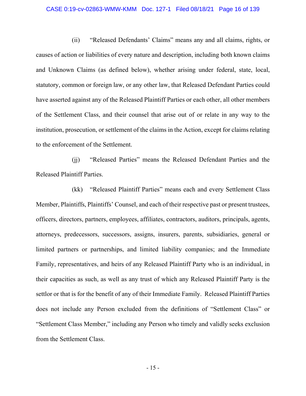#### CASE 0:19-cv-02863-WMW-KMM Doc. 127-1 Filed 08/18/21 Page 16 of 139

(ii) "Released Defendants' Claims" means any and all claims, rights, or causes of action or liabilities of every nature and description, including both known claims and Unknown Claims (as defined below), whether arising under federal, state, local, statutory, common or foreign law, or any other law, that Released Defendant Parties could have asserted against any of the Released Plaintiff Parties or each other, all other members of the Settlement Class, and their counsel that arise out of or relate in any way to the institution, prosecution, or settlement of the claims in the Action, except for claims relating to the enforcement of the Settlement.

(jj) "Released Parties" means the Released Defendant Parties and the Released Plaintiff Parties.

(kk) "Released Plaintiff Parties" means each and every Settlement Class Member, Plaintiffs, Plaintiffs' Counsel, and each of their respective past or present trustees, officers, directors, partners, employees, affiliates, contractors, auditors, principals, agents, attorneys, predecessors, successors, assigns, insurers, parents, subsidiaries, general or limited partners or partnerships, and limited liability companies; and the Immediate Family, representatives, and heirs of any Released Plaintiff Party who is an individual, in their capacities as such, as well as any trust of which any Released Plaintiff Party is the settlor or that is for the benefit of any of their Immediate Family. Released Plaintiff Parties does not include any Person excluded from the definitions of "Settlement Class" or "Settlement Class Member," including any Person who timely and validly seeks exclusion from the Settlement Class.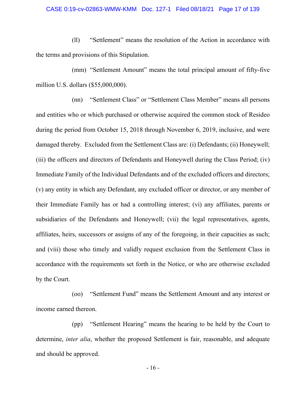#### CASE 0:19-cv-02863-WMW-KMM Doc. 127-1 Filed 08/18/21 Page 17 of 139

(ll) "Settlement" means the resolution of the Action in accordance with the terms and provisions of this Stipulation.

(mm) "Settlement Amount" means the total principal amount of fifty-five million U.S. dollars (\$55,000,000).

(nn) "Settlement Class" or "Settlement Class Member" means all persons and entities who or which purchased or otherwise acquired the common stock of Resideo during the period from October 15, 2018 through November 6, 2019, inclusive, and were damaged thereby. Excluded from the Settlement Class are: (i) Defendants; (ii) Honeywell; (iii) the officers and directors of Defendants and Honeywell during the Class Period; (iv) Immediate Family of the Individual Defendants and of the excluded officers and directors; (v) any entity in which any Defendant, any excluded officer or director, or any member of their Immediate Family has or had a controlling interest; (vi) any affiliates, parents or subsidiaries of the Defendants and Honeywell; (vii) the legal representatives, agents, affiliates, heirs, successors or assigns of any of the foregoing, in their capacities as such; and (viii) those who timely and validly request exclusion from the Settlement Class in accordance with the requirements set forth in the Notice, or who are otherwise excluded by the Court.

(oo) "Settlement Fund" means the Settlement Amount and any interest or income earned thereon.

(pp) "Settlement Hearing" means the hearing to be held by the Court to determine, *inter alia*, whether the proposed Settlement is fair, reasonable, and adequate and should be approved.

- 16 -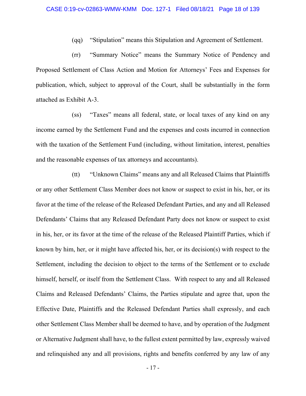(qq) "Stipulation" means this Stipulation and Agreement of Settlement.

(rr) "Summary Notice" means the Summary Notice of Pendency and Proposed Settlement of Class Action and Motion for Attorneys' Fees and Expenses for publication, which, subject to approval of the Court, shall be substantially in the form attached as Exhibit A-3.

(ss) "Taxes" means all federal, state, or local taxes of any kind on any income earned by the Settlement Fund and the expenses and costs incurred in connection with the taxation of the Settlement Fund (including, without limitation, interest, penalties and the reasonable expenses of tax attorneys and accountants).

(tt) "Unknown Claims" means any and all Released Claims that Plaintiffs or any other Settlement Class Member does not know or suspect to exist in his, her, or its favor at the time of the release of the Released Defendant Parties, and any and all Released Defendants' Claims that any Released Defendant Party does not know or suspect to exist in his, her, or its favor at the time of the release of the Released Plaintiff Parties, which if known by him, her, or it might have affected his, her, or its decision(s) with respect to the Settlement, including the decision to object to the terms of the Settlement or to exclude himself, herself, or itself from the Settlement Class. With respect to any and all Released Claims and Released Defendants' Claims, the Parties stipulate and agree that, upon the Effective Date, Plaintiffs and the Released Defendant Parties shall expressly, and each other Settlement Class Member shall be deemed to have, and by operation of the Judgment or Alternative Judgment shall have, to the fullest extent permitted by law, expressly waived and relinquished any and all provisions, rights and benefits conferred by any law of any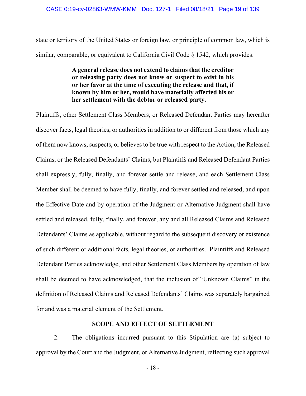state or territory of the United States or foreign law, or principle of common law, which is similar, comparable, or equivalent to California Civil Code § 1542, which provides:

# **A general release does not extend to claims that the creditor or releasing party does not know or suspect to exist in his or her favor at the time of executing the release and that, if known by him or her, would have materially affected his or her settlement with the debtor or released party.**

Plaintiffs, other Settlement Class Members, or Released Defendant Parties may hereafter discover facts, legal theories, or authorities in addition to or different from those which any of them now knows, suspects, or believes to be true with respect to the Action, the Released Claims, or the Released Defendants' Claims, but Plaintiffs and Released Defendant Parties shall expressly, fully, finally, and forever settle and release, and each Settlement Class Member shall be deemed to have fully, finally, and forever settled and released, and upon the Effective Date and by operation of the Judgment or Alternative Judgment shall have settled and released, fully, finally, and forever, any and all Released Claims and Released Defendants' Claims as applicable, without regard to the subsequent discovery or existence of such different or additional facts, legal theories, or authorities. Plaintiffs and Released Defendant Parties acknowledge, and other Settlement Class Members by operation of law shall be deemed to have acknowledged, that the inclusion of "Unknown Claims" in the definition of Released Claims and Released Defendants' Claims was separately bargained for and was a material element of the Settlement.

# **SCOPE AND EFFECT OF SETTLEMENT**

2. The obligations incurred pursuant to this Stipulation are (a) subject to approval by the Court and the Judgment, or Alternative Judgment, reflecting such approval

- 18 -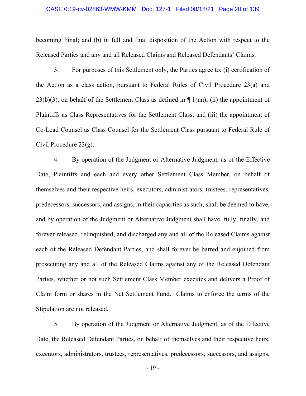#### CASE 0:19-cv-02863-WMW-KMM Doc. 127-1 Filed 08/18/21 Page 20 of 139

becoming Final; and (b) in full and final disposition of the Action with respect to the Released Parties and any and all Released Claims and Released Defendants' Claims.

3. For purposes of this Settlement only, the Parties agree to: (i) certification of the Action as a class action, pursuant to Federal Rules of Civil Procedure 23(a) and 23(b)(3), on behalf of the Settlement Class as defined in  $\P$  1(nn); (ii) the appointment of Plaintiffs as Class Representatives for the Settlement Class; and (iii) the appointment of Co-Lead Counsel as Class Counsel for the Settlement Class pursuant to Federal Rule of Civil Procedure 23(g).

4. By operation of the Judgment or Alternative Judgment, as of the Effective Date, Plaintiffs and each and every other Settlement Class Member, on behalf of themselves and their respective heirs, executors, administrators, trustees, representatives, predecessors, successors, and assigns, in their capacities as such, shall be deemed to have, and by operation of the Judgment or Alternative Judgment shall have, fully, finally, and forever released, relinquished, and discharged any and all of the Released Claims against each of the Released Defendant Parties, and shall forever be barred and enjoined from prosecuting any and all of the Released Claims against any of the Released Defendant Parties, whether or not such Settlement Class Member executes and delivers a Proof of Claim form or shares in the Net Settlement Fund. Claims to enforce the terms of the Stipulation are not released.

5. By operation of the Judgment or Alternative Judgment, as of the Effective Date, the Released Defendant Parties, on behalf of themselves and their respective heirs, executors, administrators, trustees, representatives, predecessors, successors, and assigns,

- 19 -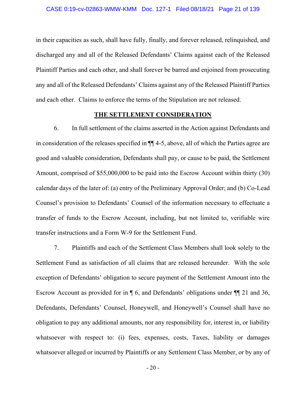in their capacities as such, shall have fully, finally, and forever released, relinquished, and discharged any and all of the Released Defendants' Claims against each of the Released Plaintiff Parties and each other, and shall forever be barred and enjoined from prosecuting any and all of the Released Defendants' Claims against any of the Released Plaintiff Parties and each other. Claims to enforce the terms of the Stipulation are not released.

## **THE SETTLEMENT CONSIDERATION**

6. In full settlement of the claims asserted in the Action against Defendants and in consideration of the releases specified in ¶¶ 4-5, above, all of which the Parties agree are good and valuable consideration, Defendants shall pay, or cause to be paid, the Settlement Amount, comprised of \$55,000,000 to be paid into the Escrow Account within thirty (30) calendar days of the later of: (a) entry of the Preliminary Approval Order; and (b) Co-Lead Counsel's provision to Defendants' Counsel of the information necessary to effectuate a transfer of funds to the Escrow Account, including, but not limited to, verifiable wire transfer instructions and a Form W-9 for the Settlement Fund.

7. Plaintiffs and each of the Settlement Class Members shall look solely to the Settlement Fund as satisfaction of all claims that are released hereunder. With the sole exception of Defendants' obligation to secure payment of the Settlement Amount into the Escrow Account as provided for in ¶ 6, and Defendants' obligations under ¶¶ 21 and 36, Defendants, Defendants' Counsel, Honeywell, and Honeywell's Counsel shall have no obligation to pay any additional amounts, nor any responsibility for, interest in, or liability whatsoever with respect to: (i) fees, expenses, costs, Taxes, liability or damages whatsoever alleged or incurred by Plaintiffs or any Settlement Class Member, or by any of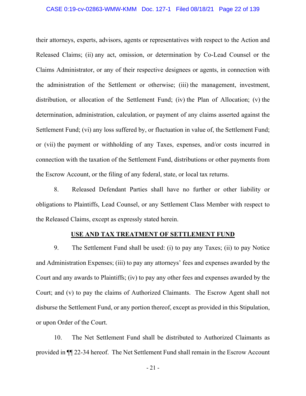#### CASE 0:19-cv-02863-WMW-KMM Doc. 127-1 Filed 08/18/21 Page 22 of 139

their attorneys, experts, advisors, agents or representatives with respect to the Action and Released Claims; (ii) any act, omission, or determination by Co-Lead Counsel or the Claims Administrator, or any of their respective designees or agents, in connection with the administration of the Settlement or otherwise; (iii) the management, investment, distribution, or allocation of the Settlement Fund; (iv) the Plan of Allocation; (v) the determination, administration, calculation, or payment of any claims asserted against the Settlement Fund; (vi) any loss suffered by, or fluctuation in value of, the Settlement Fund; or (vii) the payment or withholding of any Taxes, expenses, and/or costs incurred in connection with the taxation of the Settlement Fund, distributions or other payments from the Escrow Account, or the filing of any federal, state, or local tax returns.

8. Released Defendant Parties shall have no further or other liability or obligations to Plaintiffs, Lead Counsel, or any Settlement Class Member with respect to the Released Claims, except as expressly stated herein.

## **USE AND TAX TREATMENT OF SETTLEMENT FUND**

9. The Settlement Fund shall be used: (i) to pay any Taxes; (ii) to pay Notice and Administration Expenses; (iii) to pay any attorneys' fees and expenses awarded by the Court and any awards to Plaintiffs; (iv) to pay any other fees and expenses awarded by the Court; and (v) to pay the claims of Authorized Claimants. The Escrow Agent shall not disburse the Settlement Fund, or any portion thereof, except as provided in this Stipulation, or upon Order of the Court.

10. The Net Settlement Fund shall be distributed to Authorized Claimants as provided in ¶¶ 22-34 hereof. The Net Settlement Fund shall remain in the Escrow Account

- 21 -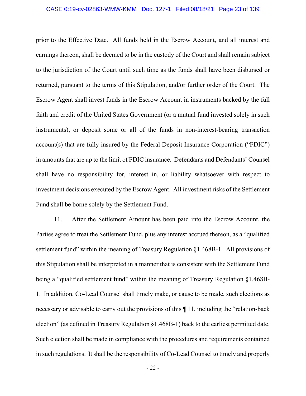#### CASE 0:19-cv-02863-WMW-KMM Doc. 127-1 Filed 08/18/21 Page 23 of 139

prior to the Effective Date. All funds held in the Escrow Account, and all interest and earnings thereon, shall be deemed to be in the custody of the Court and shall remain subject to the jurisdiction of the Court until such time as the funds shall have been disbursed or returned, pursuant to the terms of this Stipulation, and/or further order of the Court. The Escrow Agent shall invest funds in the Escrow Account in instruments backed by the full faith and credit of the United States Government (or a mutual fund invested solely in such instruments), or deposit some or all of the funds in non-interest-bearing transaction account(s) that are fully insured by the Federal Deposit Insurance Corporation ("FDIC") in amounts that are up to the limit of FDIC insurance. Defendants and Defendants' Counsel shall have no responsibility for, interest in, or liability whatsoever with respect to investment decisions executed by the Escrow Agent. All investment risks of the Settlement Fund shall be borne solely by the Settlement Fund.

11. After the Settlement Amount has been paid into the Escrow Account, the Parties agree to treat the Settlement Fund, plus any interest accrued thereon, as a "qualified settlement fund" within the meaning of Treasury Regulation §1.468B-1. All provisions of this Stipulation shall be interpreted in a manner that is consistent with the Settlement Fund being a "qualified settlement fund" within the meaning of Treasury Regulation §1.468B-1. In addition, Co-Lead Counsel shall timely make, or cause to be made, such elections as necessary or advisable to carry out the provisions of this ¶ 11, including the "relation-back election" (as defined in Treasury Regulation §1.468B-1) back to the earliest permitted date. Such election shall be made in compliance with the procedures and requirements contained in such regulations. It shall be the responsibility of Co-Lead Counsel to timely and properly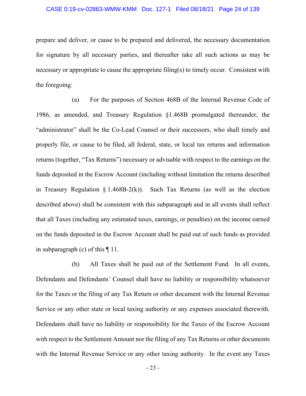#### CASE 0:19-cv-02863-WMW-KMM Doc. 127-1 Filed 08/18/21 Page 24 of 139

prepare and deliver, or cause to be prepared and delivered, the necessary documentation for signature by all necessary parties, and thereafter take all such actions as may be necessary or appropriate to cause the appropriate filing(s) to timely occur. Consistent with the foregoing:

(a) For the purposes of Section 468B of the Internal Revenue Code of 1986, as amended, and Treasury Regulation §1.468B promulgated thereunder, the "administrator" shall be the Co-Lead Counsel or their successors, who shall timely and properly file, or cause to be filed, all federal, state, or local tax returns and information returns (together, "Tax Returns") necessary or advisable with respect to the earnings on the funds deposited in the Escrow Account (including without limitation the returns described in Treasury Regulation  $\S 1.468B-2(k)$ ). Such Tax Returns (as well as the election described above) shall be consistent with this subparagraph and in all events shall reflect that all Taxes (including any estimated taxes, earnings, or penalties) on the income earned on the funds deposited in the Escrow Account shall be paid out of such funds as provided in subparagraph (c) of this ¶ 11.

(b) All Taxes shall be paid out of the Settlement Fund. In all events, Defendants and Defendants' Counsel shall have no liability or responsibility whatsoever for the Taxes or the filing of any Tax Return or other document with the Internal Revenue Service or any other state or local taxing authority or any expenses associated therewith. Defendants shall have no liability or responsibility for the Taxes of the Escrow Account with respect to the Settlement Amount nor the filing of any Tax Returns or other documents with the Internal Revenue Service or any other taxing authority. In the event any Taxes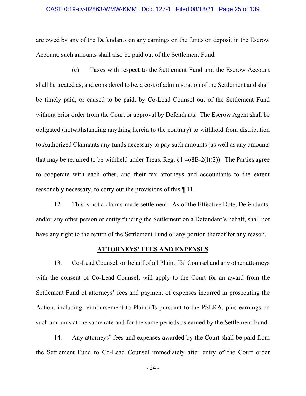#### CASE 0:19-cv-02863-WMW-KMM Doc. 127-1 Filed 08/18/21 Page 25 of 139

are owed by any of the Defendants on any earnings on the funds on deposit in the Escrow Account, such amounts shall also be paid out of the Settlement Fund.

(c) Taxes with respect to the Settlement Fund and the Escrow Account shall be treated as, and considered to be, a cost of administration of the Settlement and shall be timely paid, or caused to be paid, by Co-Lead Counsel out of the Settlement Fund without prior order from the Court or approval by Defendants. The Escrow Agent shall be obligated (notwithstanding anything herein to the contrary) to withhold from distribution to Authorized Claimants any funds necessary to pay such amounts (as well as any amounts that may be required to be withheld under Treas. Reg.  $\S1.468B-2(1)(2)$ . The Parties agree to cooperate with each other, and their tax attorneys and accountants to the extent reasonably necessary, to carry out the provisions of this ¶ 11.

12. This is not a claims-made settlement. As of the Effective Date, Defendants, and/or any other person or entity funding the Settlement on a Defendant's behalf, shall not have any right to the return of the Settlement Fund or any portion thereof for any reason.

## **ATTORNEYS' FEES AND EXPENSES**

13. Co-Lead Counsel, on behalf of all Plaintiffs' Counsel and any other attorneys with the consent of Co-Lead Counsel, will apply to the Court for an award from the Settlement Fund of attorneys' fees and payment of expenses incurred in prosecuting the Action, including reimbursement to Plaintiffs pursuant to the PSLRA, plus earnings on such amounts at the same rate and for the same periods as earned by the Settlement Fund.

14. Any attorneys' fees and expenses awarded by the Court shall be paid from the Settlement Fund to Co-Lead Counsel immediately after entry of the Court order

- 24 -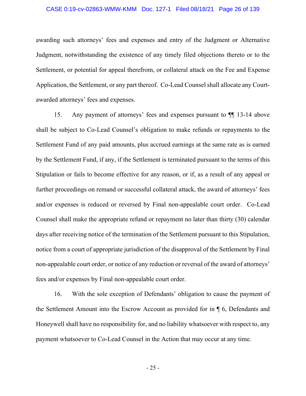#### CASE 0:19-cv-02863-WMW-KMM Doc. 127-1 Filed 08/18/21 Page 26 of 139

awarding such attorneys' fees and expenses and entry of the Judgment or Alternative Judgment, notwithstanding the existence of any timely filed objections thereto or to the Settlement, or potential for appeal therefrom, or collateral attack on the Fee and Expense Application, the Settlement, or any part thereof. Co-Lead Counsel shall allocate any Courtawarded attorneys' fees and expenses.

15. Any payment of attorneys' fees and expenses pursuant to ¶¶ 13-14 above shall be subject to Co-Lead Counsel's obligation to make refunds or repayments to the Settlement Fund of any paid amounts, plus accrued earnings at the same rate as is earned by the Settlement Fund, if any, if the Settlement is terminated pursuant to the terms of this Stipulation or fails to become effective for any reason, or if, as a result of any appeal or further proceedings on remand or successful collateral attack, the award of attorneys' fees and/or expenses is reduced or reversed by Final non-appealable court order. Co-Lead Counsel shall make the appropriate refund or repayment no later than thirty (30) calendar days after receiving notice of the termination of the Settlement pursuant to this Stipulation, notice from a court of appropriate jurisdiction of the disapproval of the Settlement by Final non-appealable court order, or notice of any reduction or reversal of the award of attorneys' fees and/or expenses by Final non-appealable court order.

16. With the sole exception of Defendants' obligation to cause the payment of the Settlement Amount into the Escrow Account as provided for in ¶ 6, Defendants and Honeywell shall have no responsibility for, and no liability whatsoever with respect to, any payment whatsoever to Co-Lead Counsel in the Action that may occur at any time.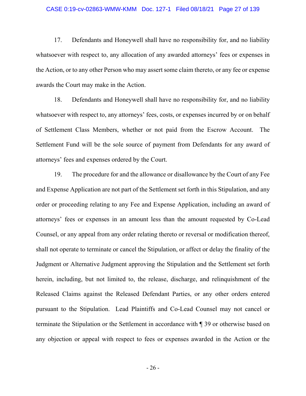#### CASE 0:19-cv-02863-WMW-KMM Doc. 127-1 Filed 08/18/21 Page 27 of 139

17. Defendants and Honeywell shall have no responsibility for, and no liability whatsoever with respect to, any allocation of any awarded attorneys' fees or expenses in the Action, or to any other Person who may assert some claim thereto, or any fee or expense awards the Court may make in the Action.

18. Defendants and Honeywell shall have no responsibility for, and no liability whatsoever with respect to, any attorneys' fees, costs, or expenses incurred by or on behalf of Settlement Class Members, whether or not paid from the Escrow Account. The Settlement Fund will be the sole source of payment from Defendants for any award of attorneys' fees and expenses ordered by the Court.

19. The procedure for and the allowance or disallowance by the Court of any Fee and Expense Application are not part of the Settlement set forth in this Stipulation, and any order or proceeding relating to any Fee and Expense Application, including an award of attorneys' fees or expenses in an amount less than the amount requested by Co-Lead Counsel, or any appeal from any order relating thereto or reversal or modification thereof, shall not operate to terminate or cancel the Stipulation, or affect or delay the finality of the Judgment or Alternative Judgment approving the Stipulation and the Settlement set forth herein, including, but not limited to, the release, discharge, and relinquishment of the Released Claims against the Released Defendant Parties, or any other orders entered pursuant to the Stipulation. Lead Plaintiffs and Co-Lead Counsel may not cancel or terminate the Stipulation or the Settlement in accordance with ¶ 39 or otherwise based on any objection or appeal with respect to fees or expenses awarded in the Action or the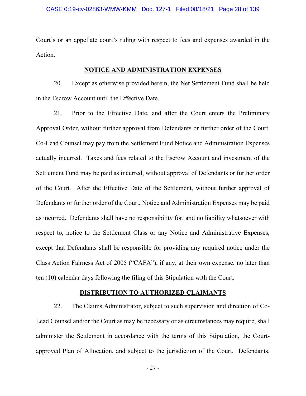Court's or an appellate court's ruling with respect to fees and expenses awarded in the Action.

## **NOTICE AND ADMINISTRATION EXPENSES**

20. Except as otherwise provided herein, the Net Settlement Fund shall be held in the Escrow Account until the Effective Date.

21. Prior to the Effective Date, and after the Court enters the Preliminary Approval Order, without further approval from Defendants or further order of the Court, Co-Lead Counsel may pay from the Settlement Fund Notice and Administration Expenses actually incurred. Taxes and fees related to the Escrow Account and investment of the Settlement Fund may be paid as incurred, without approval of Defendants or further order of the Court. After the Effective Date of the Settlement, without further approval of Defendants or further order of the Court, Notice and Administration Expenses may be paid as incurred. Defendants shall have no responsibility for, and no liability whatsoever with respect to, notice to the Settlement Class or any Notice and Administrative Expenses, except that Defendants shall be responsible for providing any required notice under the Class Action Fairness Act of 2005 ("CAFA"), if any, at their own expense, no later than ten (10) calendar days following the filing of this Stipulation with the Court.

## **DISTRIBUTION TO AUTHORIZED CLAIMANTS**

22. The Claims Administrator, subject to such supervision and direction of Co-Lead Counsel and/or the Court as may be necessary or as circumstances may require, shall administer the Settlement in accordance with the terms of this Stipulation, the Courtapproved Plan of Allocation, and subject to the jurisdiction of the Court. Defendants,

- 27 -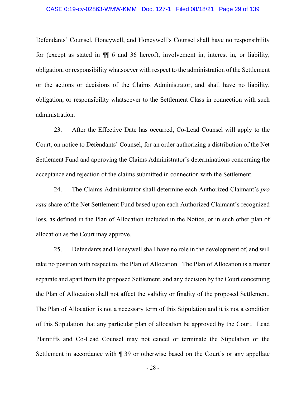#### CASE 0:19-cv-02863-WMW-KMM Doc. 127-1 Filed 08/18/21 Page 29 of 139

Defendants' Counsel, Honeywell, and Honeywell's Counsel shall have no responsibility for (except as stated in ¶¶ 6 and 36 hereof), involvement in, interest in, or liability, obligation, or responsibility whatsoever with respect to the administration of the Settlement or the actions or decisions of the Claims Administrator, and shall have no liability, obligation, or responsibility whatsoever to the Settlement Class in connection with such administration.

23. After the Effective Date has occurred, Co-Lead Counsel will apply to the Court, on notice to Defendants' Counsel, for an order authorizing a distribution of the Net Settlement Fund and approving the Claims Administrator's determinations concerning the acceptance and rejection of the claims submitted in connection with the Settlement.

24. The Claims Administrator shall determine each Authorized Claimant's *pro rata* share of the Net Settlement Fund based upon each Authorized Claimant's recognized loss, as defined in the Plan of Allocation included in the Notice, or in such other plan of allocation as the Court may approve.

25. Defendants and Honeywell shall have no role in the development of, and will take no position with respect to, the Plan of Allocation. The Plan of Allocation is a matter separate and apart from the proposed Settlement, and any decision by the Court concerning the Plan of Allocation shall not affect the validity or finality of the proposed Settlement. The Plan of Allocation is not a necessary term of this Stipulation and it is not a condition of this Stipulation that any particular plan of allocation be approved by the Court. Lead Plaintiffs and Co-Lead Counsel may not cancel or terminate the Stipulation or the Settlement in accordance with ¶ 39 or otherwise based on the Court's or any appellate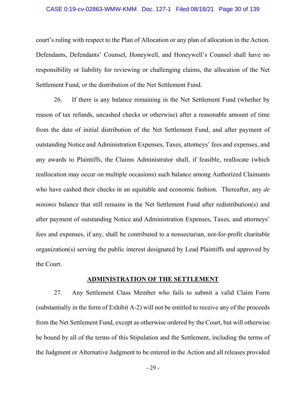#### CASE 0:19-cv-02863-WMW-KMM Doc. 127-1 Filed 08/18/21 Page 30 of 139

court's ruling with respect to the Plan of Allocation or any plan of allocation in the Action. Defendants, Defendants' Counsel, Honeywell, and Honeywell's Counsel shall have no responsibility or liability for reviewing or challenging claims, the allocation of the Net Settlement Fund, or the distribution of the Net Settlement Fund.

26. If there is any balance remaining in the Net Settlement Fund (whether by reason of tax refunds, uncashed checks or otherwise) after a reasonable amount of time from the date of initial distribution of the Net Settlement Fund, and after payment of outstanding Notice and Administration Expenses, Taxes, attorneys' fees and expenses, and any awards to Plaintiffs, the Claims Administrator shall, if feasible, reallocate (which reallocation may occur on multiple occasions) such balance among Authorized Claimants who have cashed their checks in an equitable and economic fashion. Thereafter, any *de minimis* balance that still remains in the Net Settlement Fund after redistribution(s) and after payment of outstanding Notice and Administration Expenses, Taxes, and attorneys' fees and expenses, if any, shall be contributed to a nonsectarian, not-for-profit charitable organization(s) serving the public interest designated by Lead Plaintiffs and approved by the Court.

## **ADMINISTRATION OF THE SETTLEMENT**

27. Any Settlement Class Member who fails to submit a valid Claim Form (substantially in the form of Exhibit A-2) will not be entitled to receive any of the proceeds from the Net Settlement Fund, except as otherwise ordered by the Court, but will otherwise be bound by all of the terms of this Stipulation and the Settlement, including the terms of the Judgment or Alternative Judgment to be entered in the Action and all releases provided

- 29 -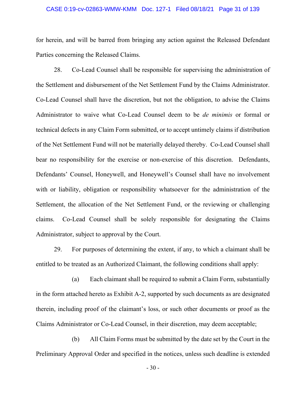#### CASE 0:19-cv-02863-WMW-KMM Doc. 127-1 Filed 08/18/21 Page 31 of 139

for herein, and will be barred from bringing any action against the Released Defendant Parties concerning the Released Claims.

28. Co-Lead Counsel shall be responsible for supervising the administration of the Settlement and disbursement of the Net Settlement Fund by the Claims Administrator. Co-Lead Counsel shall have the discretion, but not the obligation, to advise the Claims Administrator to waive what Co-Lead Counsel deem to be *de minimis* or formal or technical defects in any Claim Form submitted, or to accept untimely claims if distribution of the Net Settlement Fund will not be materially delayed thereby. Co-Lead Counsel shall bear no responsibility for the exercise or non-exercise of this discretion. Defendants, Defendants' Counsel, Honeywell, and Honeywell's Counsel shall have no involvement with or liability, obligation or responsibility whatsoever for the administration of the Settlement, the allocation of the Net Settlement Fund, or the reviewing or challenging claims. Co-Lead Counsel shall be solely responsible for designating the Claims Administrator, subject to approval by the Court.

29. For purposes of determining the extent, if any, to which a claimant shall be entitled to be treated as an Authorized Claimant, the following conditions shall apply:

(a) Each claimant shall be required to submit a Claim Form, substantially in the form attached hereto as Exhibit A-2, supported by such documents as are designated therein, including proof of the claimant's loss, or such other documents or proof as the Claims Administrator or Co-Lead Counsel, in their discretion, may deem acceptable;

(b) All Claim Forms must be submitted by the date set by the Court in the Preliminary Approval Order and specified in the notices, unless such deadline is extended

- 30 -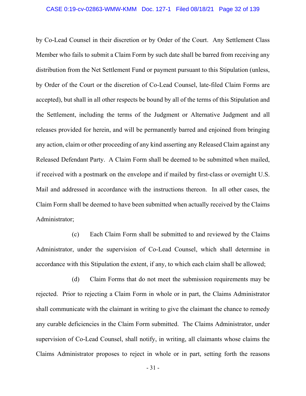by Co-Lead Counsel in their discretion or by Order of the Court. Any Settlement Class Member who fails to submit a Claim Form by such date shall be barred from receiving any distribution from the Net Settlement Fund or payment pursuant to this Stipulation (unless, by Order of the Court or the discretion of Co-Lead Counsel, late-filed Claim Forms are accepted), but shall in all other respects be bound by all of the terms of this Stipulation and the Settlement, including the terms of the Judgment or Alternative Judgment and all releases provided for herein, and will be permanently barred and enjoined from bringing any action, claim or other proceeding of any kind asserting any Released Claim against any Released Defendant Party. A Claim Form shall be deemed to be submitted when mailed, if received with a postmark on the envelope and if mailed by first-class or overnight U.S. Mail and addressed in accordance with the instructions thereon. In all other cases, the Claim Form shall be deemed to have been submitted when actually received by the Claims Administrator;

(c) Each Claim Form shall be submitted to and reviewed by the Claims Administrator, under the supervision of Co-Lead Counsel, which shall determine in accordance with this Stipulation the extent, if any, to which each claim shall be allowed;

(d) Claim Forms that do not meet the submission requirements may be rejected. Prior to rejecting a Claim Form in whole or in part, the Claims Administrator shall communicate with the claimant in writing to give the claimant the chance to remedy any curable deficiencies in the Claim Form submitted. The Claims Administrator, under supervision of Co-Lead Counsel, shall notify, in writing, all claimants whose claims the Claims Administrator proposes to reject in whole or in part, setting forth the reasons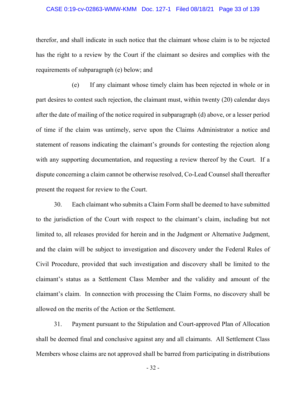#### CASE 0:19-cv-02863-WMW-KMM Doc. 127-1 Filed 08/18/21 Page 33 of 139

therefor, and shall indicate in such notice that the claimant whose claim is to be rejected has the right to a review by the Court if the claimant so desires and complies with the requirements of subparagraph (e) below; and

(e) If any claimant whose timely claim has been rejected in whole or in part desires to contest such rejection, the claimant must, within twenty (20) calendar days after the date of mailing of the notice required in subparagraph (d) above, or a lesser period of time if the claim was untimely, serve upon the Claims Administrator a notice and statement of reasons indicating the claimant's grounds for contesting the rejection along with any supporting documentation, and requesting a review thereof by the Court. If a dispute concerning a claim cannot be otherwise resolved, Co-Lead Counsel shall thereafter present the request for review to the Court.

30. Each claimant who submits a Claim Form shall be deemed to have submitted to the jurisdiction of the Court with respect to the claimant's claim, including but not limited to, all releases provided for herein and in the Judgment or Alternative Judgment, and the claim will be subject to investigation and discovery under the Federal Rules of Civil Procedure, provided that such investigation and discovery shall be limited to the claimant's status as a Settlement Class Member and the validity and amount of the claimant's claim. In connection with processing the Claim Forms, no discovery shall be allowed on the merits of the Action or the Settlement.

31. Payment pursuant to the Stipulation and Court-approved Plan of Allocation shall be deemed final and conclusive against any and all claimants. All Settlement Class Members whose claims are not approved shall be barred from participating in distributions

- 32 -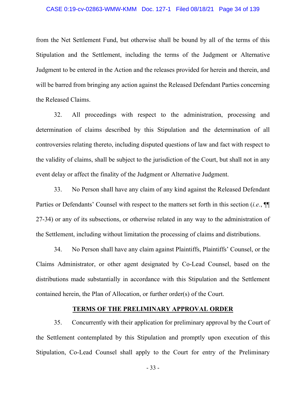#### CASE 0:19-cv-02863-WMW-KMM Doc. 127-1 Filed 08/18/21 Page 34 of 139

from the Net Settlement Fund, but otherwise shall be bound by all of the terms of this Stipulation and the Settlement, including the terms of the Judgment or Alternative Judgment to be entered in the Action and the releases provided for herein and therein, and will be barred from bringing any action against the Released Defendant Parties concerning the Released Claims.

32. All proceedings with respect to the administration, processing and determination of claims described by this Stipulation and the determination of all controversies relating thereto, including disputed questions of law and fact with respect to the validity of claims, shall be subject to the jurisdiction of the Court, but shall not in any event delay or affect the finality of the Judgment or Alternative Judgment.

33. No Person shall have any claim of any kind against the Released Defendant Parties or Defendants' Counsel with respect to the matters set forth in this section (*i.e.*, ¶¶ 27-34) or any of its subsections, or otherwise related in any way to the administration of the Settlement, including without limitation the processing of claims and distributions.

34. No Person shall have any claim against Plaintiffs, Plaintiffs' Counsel, or the Claims Administrator, or other agent designated by Co-Lead Counsel, based on the distributions made substantially in accordance with this Stipulation and the Settlement contained herein, the Plan of Allocation, or further order(s) of the Court.

## **TERMS OF THE PRELIMINARY APPROVAL ORDER**

35. Concurrently with their application for preliminary approval by the Court of the Settlement contemplated by this Stipulation and promptly upon execution of this Stipulation, Co-Lead Counsel shall apply to the Court for entry of the Preliminary

- 33 -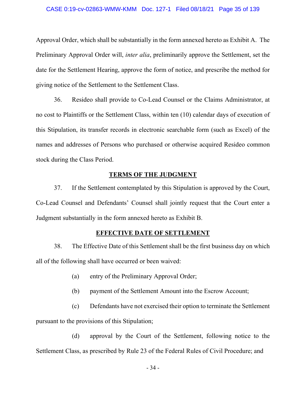#### CASE 0:19-cv-02863-WMW-KMM Doc. 127-1 Filed 08/18/21 Page 35 of 139

Approval Order, which shall be substantially in the form annexed hereto as Exhibit A. The Preliminary Approval Order will, *inter alia*, preliminarily approve the Settlement, set the date for the Settlement Hearing, approve the form of notice, and prescribe the method for giving notice of the Settlement to the Settlement Class.

36. Resideo shall provide to Co-Lead Counsel or the Claims Administrator, at no cost to Plaintiffs or the Settlement Class, within ten (10) calendar days of execution of this Stipulation, its transfer records in electronic searchable form (such as Excel) of the names and addresses of Persons who purchased or otherwise acquired Resideo common stock during the Class Period.

# **TERMS OF THE JUDGMENT**

37. If the Settlement contemplated by this Stipulation is approved by the Court, Co-Lead Counsel and Defendants' Counsel shall jointly request that the Court enter a Judgment substantially in the form annexed hereto as Exhibit B.

## **EFFECTIVE DATE OF SETTLEMENT**

38. The Effective Date of this Settlement shall be the first business day on which all of the following shall have occurred or been waived:

- (a) entry of the Preliminary Approval Order;
- (b) payment of the Settlement Amount into the Escrow Account;
- (c) Defendants have not exercised their option to terminate the Settlement pursuant to the provisions of this Stipulation;

(d) approval by the Court of the Settlement, following notice to the Settlement Class, as prescribed by Rule 23 of the Federal Rules of Civil Procedure; and

- 34 -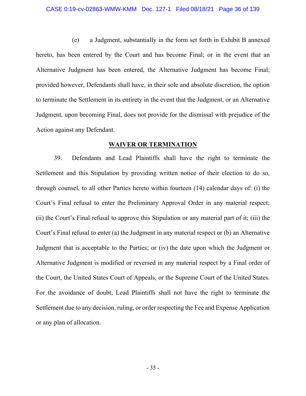#### CASE 0:19-cv-02863-WMW-KMM Doc. 127-1 Filed 08/18/21 Page 36 of 139

(e) a Judgment, substantially in the form set forth in Exhibit B annexed hereto, has been entered by the Court and has become Final; or in the event that an Alternative Judgment has been entered, the Alternative Judgment has become Final; provided however, Defendants shall have, in their sole and absolute discretion, the option to terminate the Settlement in its entirety in the event that the Judgment, or an Alternative Judgment, upon becoming Final, does not provide for the dismissal with prejudice of the Action against any Defendant.

## **WAIVER OR TERMINATION**

39. Defendants and Lead Plaintiffs shall have the right to terminate the Settlement and this Stipulation by providing written notice of their election to do so, through counsel, to all other Parties hereto within fourteen (14) calendar days of: (i) the Court's Final refusal to enter the Preliminary Approval Order in any material respect; (ii) the Court's Final refusal to approve this Stipulation or any material part of it; (iii) the Court's Final refusal to enter (a) the Judgment in any material respect or (b) an Alternative Judgment that is acceptable to the Parties; or (iv) the date upon which the Judgment or Alternative Judgment is modified or reversed in any material respect by a Final order of the Court, the United States Court of Appeals, or the Supreme Court of the United States. For the avoidance of doubt, Lead Plaintiffs shall not have the right to terminate the Settlement due to any decision, ruling, or order respecting the Fee and Expense Application or any plan of allocation.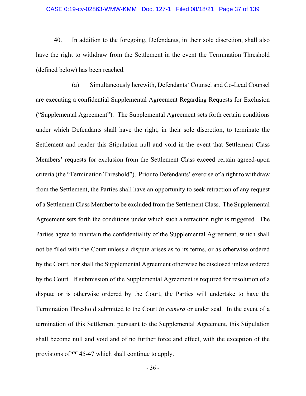# CASE 0:19-cv-02863-WMW-KMM Doc. 127-1 Filed 08/18/21 Page 37 of 139

40. In addition to the foregoing, Defendants, in their sole discretion, shall also have the right to withdraw from the Settlement in the event the Termination Threshold (defined below) has been reached.

(a) Simultaneously herewith, Defendants' Counsel and Co-Lead Counsel are executing a confidential Supplemental Agreement Regarding Requests for Exclusion ("Supplemental Agreement"). The Supplemental Agreement sets forth certain conditions under which Defendants shall have the right, in their sole discretion, to terminate the Settlement and render this Stipulation null and void in the event that Settlement Class Members' requests for exclusion from the Settlement Class exceed certain agreed-upon criteria (the "Termination Threshold"). Prior to Defendants' exercise of a right to withdraw from the Settlement, the Parties shall have an opportunity to seek retraction of any request of a Settlement Class Member to be excluded from the Settlement Class. The Supplemental Agreement sets forth the conditions under which such a retraction right is triggered. The Parties agree to maintain the confidentiality of the Supplemental Agreement, which shall not be filed with the Court unless a dispute arises as to its terms, or as otherwise ordered by the Court, nor shall the Supplemental Agreement otherwise be disclosed unless ordered by the Court. If submission of the Supplemental Agreement is required for resolution of a dispute or is otherwise ordered by the Court, the Parties will undertake to have the Termination Threshold submitted to the Court *in camera* or under seal. In the event of a termination of this Settlement pursuant to the Supplemental Agreement, this Stipulation shall become null and void and of no further force and effect, with the exception of the provisions of ¶¶ 45-47 which shall continue to apply.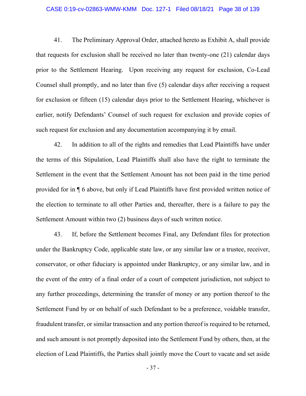#### CASE 0:19-cv-02863-WMW-KMM Doc. 127-1 Filed 08/18/21 Page 38 of 139

41. The Preliminary Approval Order, attached hereto as Exhibit A, shall provide that requests for exclusion shall be received no later than twenty-one (21) calendar days prior to the Settlement Hearing. Upon receiving any request for exclusion, Co-Lead Counsel shall promptly, and no later than five (5) calendar days after receiving a request for exclusion or fifteen (15) calendar days prior to the Settlement Hearing, whichever is earlier, notify Defendants' Counsel of such request for exclusion and provide copies of such request for exclusion and any documentation accompanying it by email.

42. In addition to all of the rights and remedies that Lead Plaintiffs have under the terms of this Stipulation, Lead Plaintiffs shall also have the right to terminate the Settlement in the event that the Settlement Amount has not been paid in the time period provided for in ¶ 6 above, but only if Lead Plaintiffs have first provided written notice of the election to terminate to all other Parties and, thereafter, there is a failure to pay the Settlement Amount within two (2) business days of such written notice.

43. If, before the Settlement becomes Final, any Defendant files for protection under the Bankruptcy Code, applicable state law, or any similar law or a trustee, receiver, conservator, or other fiduciary is appointed under Bankruptcy, or any similar law, and in the event of the entry of a final order of a court of competent jurisdiction, not subject to any further proceedings, determining the transfer of money or any portion thereof to the Settlement Fund by or on behalf of such Defendant to be a preference, voidable transfer, fraudulent transfer, or similar transaction and any portion thereof is required to be returned, and such amount is not promptly deposited into the Settlement Fund by others, then, at the election of Lead Plaintiffs, the Parties shall jointly move the Court to vacate and set aside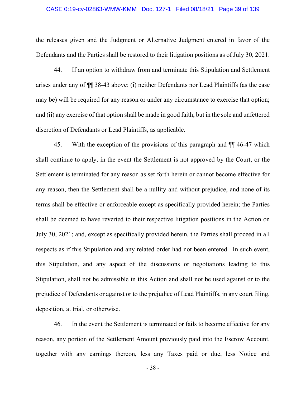### CASE 0:19-cv-02863-WMW-KMM Doc. 127-1 Filed 08/18/21 Page 39 of 139

the releases given and the Judgment or Alternative Judgment entered in favor of the Defendants and the Parties shall be restored to their litigation positions as of July 30, 2021.

44. If an option to withdraw from and terminate this Stipulation and Settlement arises under any of ¶¶ 38-43 above: (i) neither Defendants nor Lead Plaintiffs (as the case may be) will be required for any reason or under any circumstance to exercise that option; and (ii) any exercise of that option shall be made in good faith, but in the sole and unfettered discretion of Defendants or Lead Plaintiffs, as applicable.

45. With the exception of the provisions of this paragraph and ¶¶ 46-47 which shall continue to apply, in the event the Settlement is not approved by the Court, or the Settlement is terminated for any reason as set forth herein or cannot become effective for any reason, then the Settlement shall be a nullity and without prejudice, and none of its terms shall be effective or enforceable except as specifically provided herein; the Parties shall be deemed to have reverted to their respective litigation positions in the Action on July 30, 2021; and, except as specifically provided herein, the Parties shall proceed in all respects as if this Stipulation and any related order had not been entered. In such event, this Stipulation, and any aspect of the discussions or negotiations leading to this Stipulation, shall not be admissible in this Action and shall not be used against or to the prejudice of Defendants or against or to the prejudice of Lead Plaintiffs, in any court filing, deposition, at trial, or otherwise.

46. In the event the Settlement is terminated or fails to become effective for any reason, any portion of the Settlement Amount previously paid into the Escrow Account, together with any earnings thereon, less any Taxes paid or due, less Notice and

- 38 -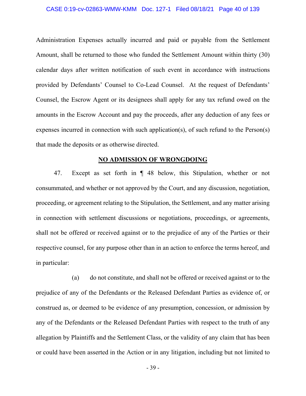#### CASE 0:19-cv-02863-WMW-KMM Doc. 127-1 Filed 08/18/21 Page 40 of 139

Administration Expenses actually incurred and paid or payable from the Settlement Amount, shall be returned to those who funded the Settlement Amount within thirty (30) calendar days after written notification of such event in accordance with instructions provided by Defendants' Counsel to Co-Lead Counsel. At the request of Defendants' Counsel, the Escrow Agent or its designees shall apply for any tax refund owed on the amounts in the Escrow Account and pay the proceeds, after any deduction of any fees or expenses incurred in connection with such application(s), of such refund to the Person(s) that made the deposits or as otherwise directed.

# **NO ADMISSION OF WRONGDOING**

47. Except as set forth in ¶ 48 below, this Stipulation, whether or not consummated, and whether or not approved by the Court, and any discussion, negotiation, proceeding, or agreement relating to the Stipulation, the Settlement, and any matter arising in connection with settlement discussions or negotiations, proceedings, or agreements, shall not be offered or received against or to the prejudice of any of the Parties or their respective counsel, for any purpose other than in an action to enforce the terms hereof, and in particular:

(a) do not constitute, and shall not be offered or received against or to the prejudice of any of the Defendants or the Released Defendant Parties as evidence of, or construed as, or deemed to be evidence of any presumption, concession, or admission by any of the Defendants or the Released Defendant Parties with respect to the truth of any allegation by Plaintiffs and the Settlement Class, or the validity of any claim that has been or could have been asserted in the Action or in any litigation, including but not limited to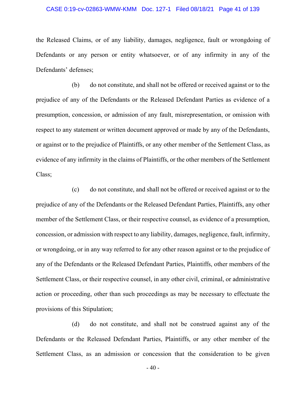## CASE 0:19-cv-02863-WMW-KMM Doc. 127-1 Filed 08/18/21 Page 41 of 139

the Released Claims, or of any liability, damages, negligence, fault or wrongdoing of Defendants or any person or entity whatsoever, or of any infirmity in any of the Defendants' defenses;

(b) do not constitute, and shall not be offered or received against or to the prejudice of any of the Defendants or the Released Defendant Parties as evidence of a presumption, concession, or admission of any fault, misrepresentation, or omission with respect to any statement or written document approved or made by any of the Defendants, or against or to the prejudice of Plaintiffs, or any other member of the Settlement Class, as evidence of any infirmity in the claims of Plaintiffs, or the other members of the Settlement Class;

(c) do not constitute, and shall not be offered or received against or to the prejudice of any of the Defendants or the Released Defendant Parties, Plaintiffs, any other member of the Settlement Class, or their respective counsel, as evidence of a presumption, concession, or admission with respect to any liability, damages, negligence, fault, infirmity, or wrongdoing, or in any way referred to for any other reason against or to the prejudice of any of the Defendants or the Released Defendant Parties, Plaintiffs, other members of the Settlement Class, or their respective counsel, in any other civil, criminal, or administrative action or proceeding, other than such proceedings as may be necessary to effectuate the provisions of this Stipulation;

(d) do not constitute, and shall not be construed against any of the Defendants or the Released Defendant Parties, Plaintiffs, or any other member of the Settlement Class, as an admission or concession that the consideration to be given

- 40 -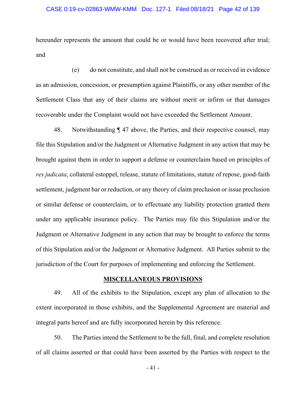# CASE 0:19-cv-02863-WMW-KMM Doc. 127-1 Filed 08/18/21 Page 42 of 139

hereunder represents the amount that could be or would have been recovered after trial; and

(e) do not constitute, and shall not be construed as or received in evidence as an admission, concession, or presumption against Plaintiffs, or any other member of the Settlement Class that any of their claims are without merit or infirm or that damages recoverable under the Complaint would not have exceeded the Settlement Amount.

48. Notwithstanding ¶ 47 above, the Parties, and their respective counsel, may file this Stipulation and/or the Judgment or Alternative Judgment in any action that may be brought against them in order to support a defense or counterclaim based on principles of *res judicata*, collateral estoppel, release, statute of limitations, statute of repose, good-faith settlement, judgment bar or reduction, or any theory of claim preclusion or issue preclusion or similar defense or counterclaim, or to effectuate any liability protection granted them under any applicable insurance policy. The Parties may file this Stipulation and/or the Judgment or Alternative Judgment in any action that may be brought to enforce the terms of this Stipulation and/or the Judgment or Alternative Judgment. All Parties submit to the jurisdiction of the Court for purposes of implementing and enforcing the Settlement.

# **MISCELLANEOUS PROVISIONS**

49. All of the exhibits to the Stipulation, except any plan of allocation to the extent incorporated in those exhibits, and the Supplemental Agreement are material and integral parts hereof and are fully incorporated herein by this reference.

50. The Parties intend the Settlement to be the full, final, and complete resolution of all claims asserted or that could have been asserted by the Parties with respect to the

- 41 -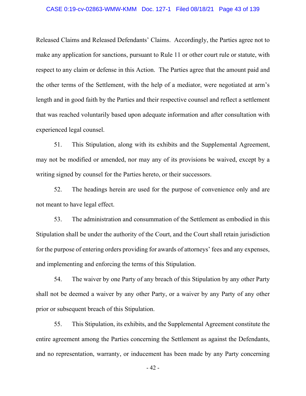### CASE 0:19-cv-02863-WMW-KMM Doc. 127-1 Filed 08/18/21 Page 43 of 139

Released Claims and Released Defendants' Claims. Accordingly, the Parties agree not to make any application for sanctions, pursuant to Rule 11 or other court rule or statute, with respect to any claim or defense in this Action. The Parties agree that the amount paid and the other terms of the Settlement, with the help of a mediator, were negotiated at arm's length and in good faith by the Parties and their respective counsel and reflect a settlement that was reached voluntarily based upon adequate information and after consultation with experienced legal counsel.

51. This Stipulation, along with its exhibits and the Supplemental Agreement, may not be modified or amended, nor may any of its provisions be waived, except by a writing signed by counsel for the Parties hereto, or their successors.

52. The headings herein are used for the purpose of convenience only and are not meant to have legal effect.

53. The administration and consummation of the Settlement as embodied in this Stipulation shall be under the authority of the Court, and the Court shall retain jurisdiction for the purpose of entering orders providing for awards of attorneys' fees and any expenses, and implementing and enforcing the terms of this Stipulation.

54. The waiver by one Party of any breach of this Stipulation by any other Party shall not be deemed a waiver by any other Party, or a waiver by any Party of any other prior or subsequent breach of this Stipulation.

55. This Stipulation, its exhibits, and the Supplemental Agreement constitute the entire agreement among the Parties concerning the Settlement as against the Defendants, and no representation, warranty, or inducement has been made by any Party concerning

- 42 -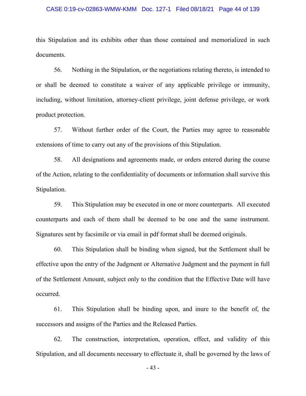### CASE 0:19-cv-02863-WMW-KMM Doc. 127-1 Filed 08/18/21 Page 44 of 139

this Stipulation and its exhibits other than those contained and memorialized in such documents.

56. Nothing in the Stipulation, or the negotiations relating thereto, is intended to or shall be deemed to constitute a waiver of any applicable privilege or immunity, including, without limitation, attorney-client privilege, joint defense privilege, or work product protection.

57. Without further order of the Court, the Parties may agree to reasonable extensions of time to carry out any of the provisions of this Stipulation.

58. All designations and agreements made, or orders entered during the course of the Action, relating to the confidentiality of documents or information shall survive this Stipulation.

59. This Stipulation may be executed in one or more counterparts. All executed counterparts and each of them shall be deemed to be one and the same instrument. Signatures sent by facsimile or via email in pdf format shall be deemed originals.

60. This Stipulation shall be binding when signed, but the Settlement shall be effective upon the entry of the Judgment or Alternative Judgment and the payment in full of the Settlement Amount, subject only to the condition that the Effective Date will have occurred.

61. This Stipulation shall be binding upon, and inure to the benefit of, the successors and assigns of the Parties and the Released Parties.

62. The construction, interpretation, operation, effect, and validity of this Stipulation, and all documents necessary to effectuate it, shall be governed by the laws of

- 43 -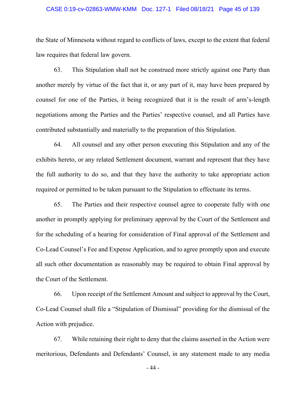### CASE 0:19-cv-02863-WMW-KMM Doc. 127-1 Filed 08/18/21 Page 45 of 139

the State of Minnesota without regard to conflicts of laws, except to the extent that federal law requires that federal law govern.

63. This Stipulation shall not be construed more strictly against one Party than another merely by virtue of the fact that it, or any part of it, may have been prepared by counsel for one of the Parties, it being recognized that it is the result of arm's-length negotiations among the Parties and the Parties' respective counsel, and all Parties have contributed substantially and materially to the preparation of this Stipulation.

64. All counsel and any other person executing this Stipulation and any of the exhibits hereto, or any related Settlement document, warrant and represent that they have the full authority to do so, and that they have the authority to take appropriate action required or permitted to be taken pursuant to the Stipulation to effectuate its terms.

65. The Parties and their respective counsel agree to cooperate fully with one another in promptly applying for preliminary approval by the Court of the Settlement and for the scheduling of a hearing for consideration of Final approval of the Settlement and Co-Lead Counsel's Fee and Expense Application, and to agree promptly upon and execute all such other documentation as reasonably may be required to obtain Final approval by the Court of the Settlement.

66. Upon receipt of the Settlement Amount and subject to approval by the Court, Co-Lead Counsel shall file a "Stipulation of Dismissal" providing for the dismissal of the Action with prejudice.

67. While retaining their right to deny that the claims asserted in the Action were meritorious, Defendants and Defendants' Counsel, in any statement made to any media

- 44 -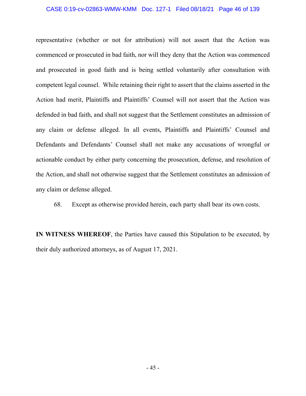# CASE 0:19-cv-02863-WMW-KMM Doc. 127-1 Filed 08/18/21 Page 46 of 139

representative (whether or not for attribution) will not assert that the Action was commenced or prosecuted in bad faith, nor will they deny that the Action was commenced and prosecuted in good faith and is being settled voluntarily after consultation with competent legal counsel. While retaining their right to assert that the claims asserted in the Action had merit, Plaintiffs and Plaintiffs' Counsel will not assert that the Action was defended in bad faith, and shall not suggest that the Settlement constitutes an admission of any claim or defense alleged. In all events, Plaintiffs and Plaintiffs' Counsel and Defendants and Defendants' Counsel shall not make any accusations of wrongful or actionable conduct by either party concerning the prosecution, defense, and resolution of the Action, and shall not otherwise suggest that the Settlement constitutes an admission of any claim or defense alleged.

68. Except as otherwise provided herein, each party shall bear its own costs.

**IN WITNESS WHEREOF**, the Parties have caused this Stipulation to be executed, by their duly authorized attorneys, as of August 17, 2021.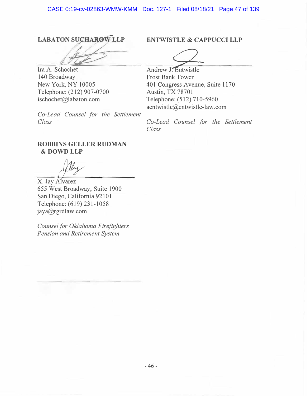# **LABATON SUCHAROW LLP**

*�/ · .: � /y* 

Ira A. Schochet 140 Broadway New York, NY 10005 Telephone: (212) 907-0700 ischochet@labaton.com

*Co-Lead Counsel for the Settlement Class* 

# **ENTWISTLE & CAPPUCCI LLP**

**Andrew J. Entwistle** Frost Bank Tower 401 Congress Avenue, Suite 1170 Austin, TX 78701 Telephone: (512) 710-5960 aentwistle@entwistle-law.com

*Co-Lead Counsel for the Settlement Class* 

# **ROBBINS GELLER RUDMAN &DOWDLLP**

X. Jay Alvarez 655 West Broadway, Suite 1900 San Diego, California 92101 Telephone: (619) 231-1058 jaya@rgrdlaw.com

*Counsel for Oklahoma Firefighters Pension and Retirement System*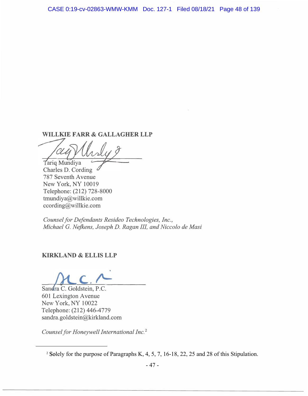# **WILLKIE FARR & GALLAGHER LLP**

Tariq Mundiya

Charles D. Cording 787 Seventh A venue New York, NY 10019 Telephone: (212) 728-8000 tmundiya@willkie.com ccording@willkie.com

*Counsel for Defendants Resideo Technologies, Inc., Michael G. Nejkens, Joseph D. Ragan IIL and Niccolo de Masi* 

# **KIRKLAND & ELLIS LLP**

Sandra C. Goldstein, P.C. 601 Lexington A venue New York, NY 10022 Telephone: (212) 446-4779 sandra.goldstein@kirkland.com

*Counsel for Honeywell International Inc.* <sup>2</sup>

<sup>&</sup>lt;sup>2</sup> Solely for the purpose of Paragraphs K, 4, 5, 7, 16-18, 22, 25 and 28 of this Stipulation.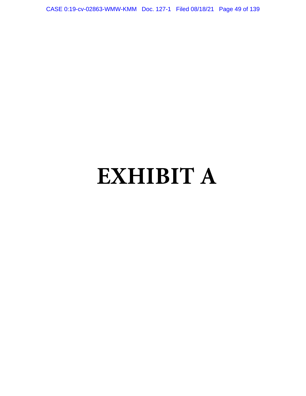CASE 0:19-cv-02863-WMW-KMM Doc. 127-1 Filed 08/18/21 Page 49 of 139

# **EXHIBIT A**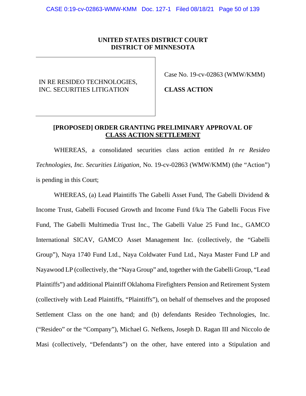# **UNITED STATES DISTRICT COURT DISTRICT OF MINNESOTA**

# IN RE RESIDEO TECHNOLOGIES, INC. SECURITIES LITIGATION

Case No. 19-cv-02863 (WMW/KMM)

**CLASS ACTION** 

# **[PROPOSED] ORDER GRANTING PRELIMINARY APPROVAL OF CLASS ACTION SETTLEMENT**

WHEREAS, a consolidated securities class action entitled *In re Resideo Technologies, Inc. Securities Litigation*, No. 19-cv-02863 (WMW/KMM) (the "Action") is pending in this Court;

WHEREAS, (a) Lead Plaintiffs The Gabelli Asset Fund, The Gabelli Dividend & Income Trust, Gabelli Focused Growth and Income Fund f/k/a The Gabelli Focus Five Fund, The Gabelli Multimedia Trust Inc., The Gabelli Value 25 Fund Inc., GAMCO International SICAV, GAMCO Asset Management Inc. (collectively, the "Gabelli Group"), Naya 1740 Fund Ltd., Naya Coldwater Fund Ltd., Naya Master Fund LP and Nayawood LP (collectively, the "Naya Group" and, together with the Gabelli Group, "Lead Plaintiffs") and additional Plaintiff Oklahoma Firefighters Pension and Retirement System (collectively with Lead Plaintiffs, "Plaintiffs"), on behalf of themselves and the proposed Settlement Class on the one hand; and (b) defendants Resideo Technologies, Inc. ("Resideo" or the "Company"), Michael G. Nefkens, Joseph D. Ragan III and Niccolo de Masi (collectively, "Defendants") on the other, have entered into a Stipulation and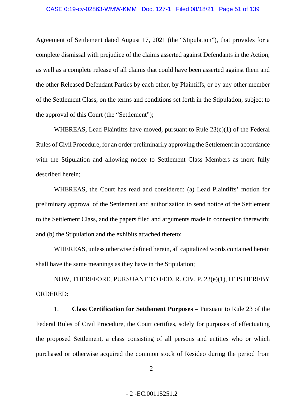Agreement of Settlement dated August 17, 2021 (the "Stipulation"), that provides for a complete dismissal with prejudice of the claims asserted against Defendants in the Action, as well as a complete release of all claims that could have been asserted against them and the other Released Defendant Parties by each other, by Plaintiffs, or by any other member of the Settlement Class, on the terms and conditions set forth in the Stipulation, subject to the approval of this Court (the "Settlement");

WHEREAS, Lead Plaintiffs have moved, pursuant to Rule 23(e)(1) of the Federal Rules of Civil Procedure, for an order preliminarily approving the Settlement in accordance with the Stipulation and allowing notice to Settlement Class Members as more fully described herein;

WHEREAS, the Court has read and considered: (a) Lead Plaintiffs' motion for preliminary approval of the Settlement and authorization to send notice of the Settlement to the Settlement Class, and the papers filed and arguments made in connection therewith; and (b) the Stipulation and the exhibits attached thereto;

WHEREAS, unless otherwise defined herein, all capitalized words contained herein shall have the same meanings as they have in the Stipulation;

NOW, THEREFORE, PURSUANT TO FED. R. CIV. P. 23(e)(1), IT IS HEREBY ORDERED:

1. **Class Certification for Settlement Purposes** – Pursuant to Rule 23 of the Federal Rules of Civil Procedure, the Court certifies, solely for purposes of effectuating the proposed Settlement, a class consisting of all persons and entities who or which purchased or otherwise acquired the common stock of Resideo during the period from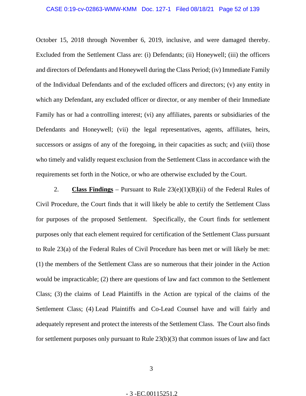October 15, 2018 through November 6, 2019, inclusive, and were damaged thereby. Excluded from the Settlement Class are: (i) Defendants; (ii) Honeywell; (iii) the officers and directors of Defendants and Honeywell during the Class Period; (iv) Immediate Family of the Individual Defendants and of the excluded officers and directors; (v) any entity in which any Defendant, any excluded officer or director, or any member of their Immediate Family has or had a controlling interest; (vi) any affiliates, parents or subsidiaries of the Defendants and Honeywell; (vii) the legal representatives, agents, affiliates, heirs, successors or assigns of any of the foregoing, in their capacities as such; and (viii) those who timely and validly request exclusion from the Settlement Class in accordance with the requirements set forth in the Notice, or who are otherwise excluded by the Court.

2. **Class Findings** – Pursuant to Rule 23(e)(1)(B)(ii) of the Federal Rules of Civil Procedure, the Court finds that it will likely be able to certify the Settlement Class for purposes of the proposed Settlement. Specifically, the Court finds for settlement purposes only that each element required for certification of the Settlement Class pursuant to Rule 23(a) of the Federal Rules of Civil Procedure has been met or will likely be met: (1) the members of the Settlement Class are so numerous that their joinder in the Action would be impracticable; (2) there are questions of law and fact common to the Settlement Class; (3) the claims of Lead Plaintiffs in the Action are typical of the claims of the Settlement Class; (4) Lead Plaintiffs and Co-Lead Counsel have and will fairly and adequately represent and protect the interests of the Settlement Class. The Court also finds for settlement purposes only pursuant to Rule 23(b)(3) that common issues of law and fact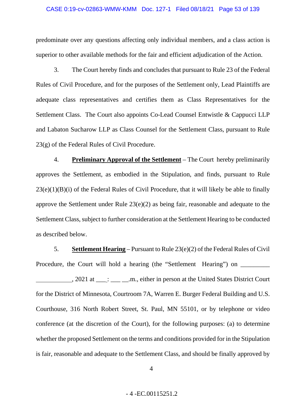#### CASE 0:19-cv-02863-WMW-KMM Doc. 127-1 Filed 08/18/21 Page 53 of 139

predominate over any questions affecting only individual members, and a class action is superior to other available methods for the fair and efficient adjudication of the Action.

3. The Court hereby finds and concludes that pursuant to Rule 23 of the Federal Rules of Civil Procedure, and for the purposes of the Settlement only, Lead Plaintiffs are adequate class representatives and certifies them as Class Representatives for the Settlement Class. The Court also appoints Co-Lead Counsel Entwistle & Cappucci LLP and Labaton Sucharow LLP as Class Counsel for the Settlement Class, pursuant to Rule 23(g) of the Federal Rules of Civil Procedure.

4. **Preliminary Approval of the Settlement** – The Court hereby preliminarily approves the Settlement, as embodied in the Stipulation, and finds, pursuant to Rule  $23(e)(1)(B)(i)$  of the Federal Rules of Civil Procedure, that it will likely be able to finally approve the Settlement under Rule 23(e)(2) as being fair, reasonable and adequate to the Settlement Class, subject to further consideration at the Settlement Hearing to be conducted as described below.

5. **Settlement Hearing** – Pursuant to Rule 23(e)(2) of the Federal Rules of Civil Procedure, the Court will hold a hearing (the "Settlement Hearing") on

 , 2021 at \_\_\_ : \_\_\_ \_\_.m., either in person at the United States District Court for the District of Minnesota, Courtroom 7A, Warren E. Burger Federal Building and U.S. Courthouse, 316 North Robert Street, St. Paul, MN 55101, or by telephone or video conference (at the discretion of the Court), for the following purposes: (a) to determine whether the proposed Settlement on the terms and conditions provided for in the Stipulation is fair, reasonable and adequate to the Settlement Class, and should be finally approved by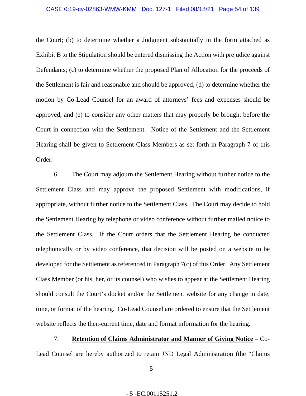#### CASE 0:19-cv-02863-WMW-KMM Doc. 127-1 Filed 08/18/21 Page 54 of 139

the Court; (b) to determine whether a Judgment substantially in the form attached as Exhibit B to the Stipulation should be entered dismissing the Action with prejudice against Defendants; (c) to determine whether the proposed Plan of Allocation for the proceeds of the Settlement is fair and reasonable and should be approved; (d) to determine whether the motion by Co-Lead Counsel for an award of attorneys' fees and expenses should be approved; and (e) to consider any other matters that may properly be brought before the Court in connection with the Settlement. Notice of the Settlement and the Settlement Hearing shall be given to Settlement Class Members as set forth in Paragraph 7 of this Order.

6. The Court may adjourn the Settlement Hearing without further notice to the Settlement Class and may approve the proposed Settlement with modifications, if appropriate, without further notice to the Settlement Class. The Court may decide to hold the Settlement Hearing by telephone or video conference without further mailed notice to the Settlement Class. If the Court orders that the Settlement Hearing be conducted telephonically or by video conference, that decision will be posted on a website to be developed for the Settlement as referenced in Paragraph 7(c) of this Order. Any Settlement Class Member (or his, her, or its counsel) who wishes to appear at the Settlement Hearing should consult the Court's docket and/or the Settlement website for any change in date, time, or format of the hearing. Co-Lead Counsel are ordered to ensure that the Settlement website reflects the then-current time, date and format information for the hearing.

7. **Retention of Claims Administrator and Manner of Giving Notice** – Co-Lead Counsel are hereby authorized to retain JND Legal Administration (the "Claims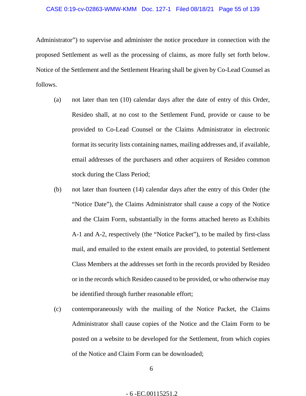Administrator") to supervise and administer the notice procedure in connection with the proposed Settlement as well as the processing of claims, as more fully set forth below. Notice of the Settlement and the Settlement Hearing shall be given by Co-Lead Counsel as follows.

- (a) not later than ten (10) calendar days after the date of entry of this Order, Resideo shall, at no cost to the Settlement Fund, provide or cause to be provided to Co-Lead Counsel or the Claims Administrator in electronic format its security lists containing names, mailing addresses and, if available, email addresses of the purchasers and other acquirers of Resideo common stock during the Class Period;
- (b) not later than fourteen (14) calendar days after the entry of this Order (the "Notice Date"), the Claims Administrator shall cause a copy of the Notice and the Claim Form, substantially in the forms attached hereto as Exhibits A-1 and A-2, respectively (the "Notice Packet"), to be mailed by first-class mail, and emailed to the extent emails are provided, to potential Settlement Class Members at the addresses set forth in the records provided by Resideo or in the records which Resideo caused to be provided, or who otherwise may be identified through further reasonable effort;
- (c) contemporaneously with the mailing of the Notice Packet, the Claims Administrator shall cause copies of the Notice and the Claim Form to be posted on a website to be developed for the Settlement, from which copies of the Notice and Claim Form can be downloaded;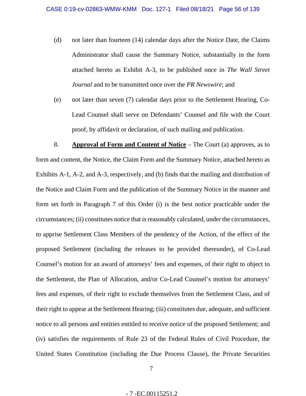- (d) not later than fourteen (14) calendar days after the Notice Date, the Claims Administrator shall cause the Summary Notice, substantially in the form attached hereto as Exhibit A-3, to be published once in *The Wall Street Journal* and to be transmitted once over the *PR Newswire*; and
- (e) not later than seven (7) calendar days prior to the Settlement Hearing, Co-Lead Counsel shall serve on Defendants' Counsel and file with the Court proof, by affidavit or declaration, of such mailing and publication.

8. **Approval of Form and Content of Notice** – The Court (a) approves, as to form and content, the Notice, the Claim Form and the Summary Notice, attached hereto as Exhibits A-1, A-2, and A-3, respectively, and (b) finds that the mailing and distribution of the Notice and Claim Form and the publication of the Summary Notice in the manner and form set forth in Paragraph 7 of this Order (i) is the best notice practicable under the circumstances; (ii) constitutes notice that is reasonably calculated, under the circumstances, to apprise Settlement Class Members of the pendency of the Action, of the effect of the proposed Settlement (including the releases to be provided thereunder), of Co-Lead Counsel's motion for an award of attorneys' fees and expenses, of their right to object to the Settlement, the Plan of Allocation, and/or Co-Lead Counsel's motion for attorneys' fees and expenses, of their right to exclude themselves from the Settlement Class, and of their right to appear at the Settlement Hearing; (iii) constitutes due, adequate, and sufficient notice to all persons and entities entitled to receive notice of the proposed Settlement; and (iv) satisfies the requirements of Rule 23 of the Federal Rules of Civil Procedure, the United States Constitution (including the Due Process Clause), the Private Securities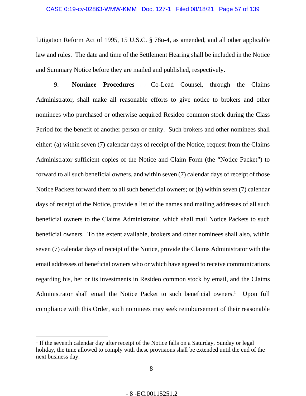#### CASE 0:19-cv-02863-WMW-KMM Doc. 127-1 Filed 08/18/21 Page 57 of 139

Litigation Reform Act of 1995, 15 U.S.C. § 78u-4*,* as amended, and all other applicable law and rules. The date and time of the Settlement Hearing shall be included in the Notice and Summary Notice before they are mailed and published, respectively.

9. **Nominee Procedures** – Co-Lead Counsel, through the Claims Administrator, shall make all reasonable efforts to give notice to brokers and other nominees who purchased or otherwise acquired Resideo common stock during the Class Period for the benefit of another person or entity. Such brokers and other nominees shall either: (a) within seven (7) calendar days of receipt of the Notice, request from the Claims Administrator sufficient copies of the Notice and Claim Form (the "Notice Packet") to forward to all such beneficial owners, and within seven (7) calendar days of receipt of those Notice Packets forward them to all such beneficial owners; or (b) within seven (7) calendar days of receipt of the Notice, provide a list of the names and mailing addresses of all such beneficial owners to the Claims Administrator, which shall mail Notice Packets to such beneficial owners. To the extent available, brokers and other nominees shall also, within seven (7) calendar days of receipt of the Notice, provide the Claims Administrator with the email addresses of beneficial owners who or which have agreed to receive communications regarding his, her or its investments in Resideo common stock by email, and the Claims Administrator shall email the Notice Packet to such beneficial owners.<sup>1</sup> Upon full compliance with this Order, such nominees may seek reimbursement of their reasonable

<sup>&</sup>lt;sup>1</sup> If the seventh calendar day after receipt of the Notice falls on a Saturday, Sunday or legal holiday, the time allowed to comply with these provisions shall be extended until the end of the next business day.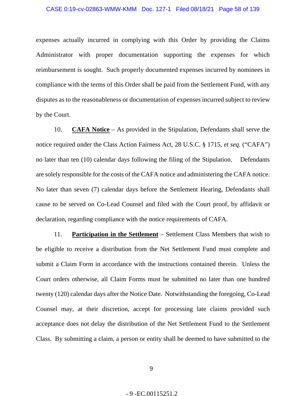expenses actually incurred in complying with this Order by providing the Claims Administrator with proper documentation supporting the expenses for which reimbursement is sought. Such properly documented expenses incurred by nominees in compliance with the terms of this Order shall be paid from the Settlement Fund, with any disputes as to the reasonableness or documentation of expenses incurred subject to review by the Court.

10. **CAFA Notice** – As provided in the Stipulation, Defendants shall serve the notice required under the Class Action Fairness Act, 28 U.S.C. § 1715, *et seq.* ("CAFA") no later than ten (10) calendar days following the filing of the Stipulation. Defendants are solely responsible for the costs of the CAFA notice and administering the CAFA notice. No later than seven (7) calendar days before the Settlement Hearing, Defendants shall cause to be served on Co-Lead Counsel and filed with the Court proof, by affidavit or declaration, regarding compliance with the notice requirements of CAFA.

11. **Participation in the Settlement** – Settlement Class Members that wish to be eligible to receive a distribution from the Net Settlement Fund must complete and submit a Claim Form in accordance with the instructions contained therein. Unless the Court orders otherwise, all Claim Forms must be submitted no later than one hundred twenty (120) calendar days after the Notice Date. Notwithstanding the foregoing, Co-Lead Counsel may, at their discretion, accept for processing late claims provided such acceptance does not delay the distribution of the Net Settlement Fund to the Settlement Class. By submitting a claim, a person or entity shall be deemed to have submitted to the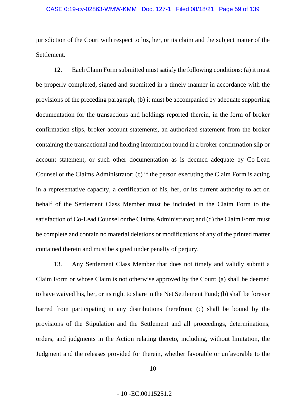## CASE 0:19-cv-02863-WMW-KMM Doc. 127-1 Filed 08/18/21 Page 59 of 139

jurisdiction of the Court with respect to his, her, or its claim and the subject matter of the Settlement.

12. Each Claim Form submitted must satisfy the following conditions: (a) it must be properly completed, signed and submitted in a timely manner in accordance with the provisions of the preceding paragraph; (b) it must be accompanied by adequate supporting documentation for the transactions and holdings reported therein, in the form of broker confirmation slips, broker account statements, an authorized statement from the broker containing the transactional and holding information found in a broker confirmation slip or account statement, or such other documentation as is deemed adequate by Co-Lead Counsel or the Claims Administrator; (c) if the person executing the Claim Form is acting in a representative capacity, a certification of his, her, or its current authority to act on behalf of the Settlement Class Member must be included in the Claim Form to the satisfaction of Co-Lead Counsel or the Claims Administrator; and (d) the Claim Form must be complete and contain no material deletions or modifications of any of the printed matter contained therein and must be signed under penalty of perjury.

13. Any Settlement Class Member that does not timely and validly submit a Claim Form or whose Claim is not otherwise approved by the Court: (a) shall be deemed to have waived his, her, or its right to share in the Net Settlement Fund; (b) shall be forever barred from participating in any distributions therefrom; (c) shall be bound by the provisions of the Stipulation and the Settlement and all proceedings, determinations, orders, and judgments in the Action relating thereto, including, without limitation, the Judgment and the releases provided for therein, whether favorable or unfavorable to the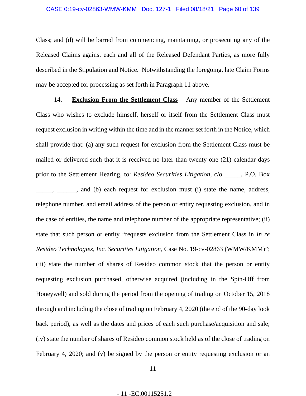Class; and (d) will be barred from commencing, maintaining, or prosecuting any of the Released Claims against each and all of the Released Defendant Parties, as more fully described in the Stipulation and Notice. Notwithstanding the foregoing, late Claim Forms may be accepted for processing as set forth in Paragraph 11 above.

14. **Exclusion From the Settlement Class** – Any member of the Settlement Class who wishes to exclude himself, herself or itself from the Settlement Class must request exclusion in writing within the time and in the manner set forth in the Notice, which shall provide that: (a) any such request for exclusion from the Settlement Class must be mailed or delivered such that it is received no later than twenty-one (21) calendar days prior to the Settlement Hearing, to: *Resideo Securities Litigation*, c/o \_\_\_\_\_, P.O. Box -, \_\_\_\_\_, and (b) each request for exclusion must (i) state the name, address, telephone number, and email address of the person or entity requesting exclusion, and in the case of entities, the name and telephone number of the appropriate representative; (ii) state that such person or entity "requests exclusion from the Settlement Class in *In re Resideo Technologies, Inc. Securities Litigation*, Case No. 19-cv-02863 (WMW/KMM)"; (iii) state the number of shares of Resideo common stock that the person or entity requesting exclusion purchased, otherwise acquired (including in the Spin-Off from Honeywell) and sold during the period from the opening of trading on October 15, 2018 through and including the close of trading on February 4, 2020 (the end of the 90-day look back period), as well as the dates and prices of each such purchase/acquisition and sale; (iv) state the number of shares of Resideo common stock held as of the close of trading on February 4, 2020; and (v) be signed by the person or entity requesting exclusion or an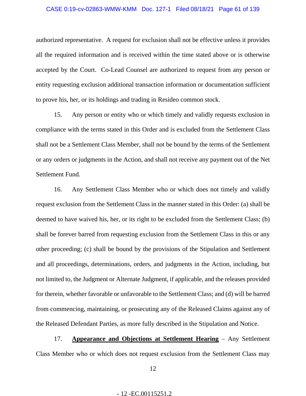#### CASE 0:19-cv-02863-WMW-KMM Doc. 127-1 Filed 08/18/21 Page 61 of 139

authorized representative. A request for exclusion shall not be effective unless it provides all the required information and is received within the time stated above or is otherwise accepted by the Court. Co-Lead Counsel are authorized to request from any person or entity requesting exclusion additional transaction information or documentation sufficient to prove his, her, or its holdings and trading in Resideo common stock.

15. Any person or entity who or which timely and validly requests exclusion in compliance with the terms stated in this Order and is excluded from the Settlement Class shall not be a Settlement Class Member, shall not be bound by the terms of the Settlement or any orders or judgments in the Action, and shall not receive any payment out of the Net Settlement Fund.

16. Any Settlement Class Member who or which does not timely and validly request exclusion from the Settlement Class in the manner stated in this Order: (a) shall be deemed to have waived his, her, or its right to be excluded from the Settlement Class; (b) shall be forever barred from requesting exclusion from the Settlement Class in this or any other proceeding; (c) shall be bound by the provisions of the Stipulation and Settlement and all proceedings, determinations, orders, and judgments in the Action, including, but not limited to, the Judgment or Alternate Judgment, if applicable, and the releases provided for therein, whether favorable or unfavorable to the Settlement Class; and (d) will be barred from commencing, maintaining, or prosecuting any of the Released Claims against any of the Released Defendant Parties, as more fully described in the Stipulation and Notice.

17. **Appearance and Objections at Settlement Hearing** – Any Settlement Class Member who or which does not request exclusion from the Settlement Class may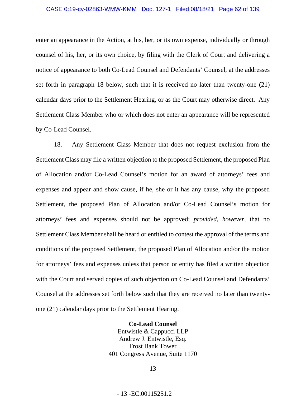# CASE 0:19-cv-02863-WMW-KMM Doc. 127-1 Filed 08/18/21 Page 62 of 139

enter an appearance in the Action, at his, her, or its own expense, individually or through counsel of his, her, or its own choice, by filing with the Clerk of Court and delivering a notice of appearance to both Co-Lead Counsel and Defendants' Counsel, at the addresses set forth in paragraph 18 below, such that it is received no later than twenty-one (21) calendar days prior to the Settlement Hearing, or as the Court may otherwise direct. Any Settlement Class Member who or which does not enter an appearance will be represented by Co-Lead Counsel.

18. Any Settlement Class Member that does not request exclusion from the Settlement Class may file a written objection to the proposed Settlement, the proposed Plan of Allocation and/or Co-Lead Counsel's motion for an award of attorneys' fees and expenses and appear and show cause, if he, she or it has any cause, why the proposed Settlement, the proposed Plan of Allocation and/or Co-Lead Counsel's motion for attorneys' fees and expenses should not be approved; *provided, however*, that no Settlement Class Member shall be heard or entitled to contest the approval of the terms and conditions of the proposed Settlement, the proposed Plan of Allocation and/or the motion for attorneys' fees and expenses unless that person or entity has filed a written objection with the Court and served copies of such objection on Co-Lead Counsel and Defendants' Counsel at the addresses set forth below such that they are received no later than twentyone (21) calendar days prior to the Settlement Hearing.

> **Co-Lead Counsel**  Entwistle & Cappucci LLP Andrew J. Entwistle, Esq. Frost Bank Tower 401 Congress Avenue, Suite 1170

> > 13

- 13 -EC.00115251.2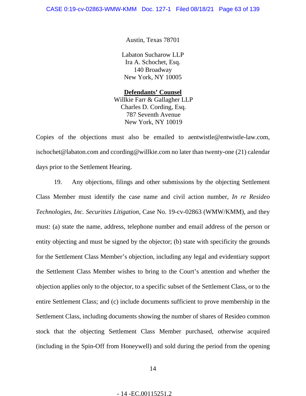Austin, Texas 78701

Labaton Sucharow LLP Ira A. Schochet, Esq. 140 Broadway New York, NY 10005

**Defendants' Counsel**  Willkie Farr & Gallagher LLP Charles D. Cording, Esq. 787 Seventh Avenue New York, NY 10019

Copies of the objections must also be emailed to aentwistle@entwistle-law.com, ischochet@labaton.com and ccording@willkie.com no later than twenty-one (21) calendar days prior to the Settlement Hearing.

19. Any objections, filings and other submissions by the objecting Settlement Class Member must identify the case name and civil action number, *In re Resideo Technologies, Inc. Securities Litigation*, Case No. 19-cv-02863 (WMW/KMM), and they must: (a) state the name, address, telephone number and email address of the person or entity objecting and must be signed by the objector; (b) state with specificity the grounds for the Settlement Class Member's objection, including any legal and evidentiary support the Settlement Class Member wishes to bring to the Court's attention and whether the objection applies only to the objector, to a specific subset of the Settlement Class, or to the entire Settlement Class; and (c) include documents sufficient to prove membership in the Settlement Class, including documents showing the number of shares of Resideo common stock that the objecting Settlement Class Member purchased, otherwise acquired (including in the Spin-Off from Honeywell) and sold during the period from the opening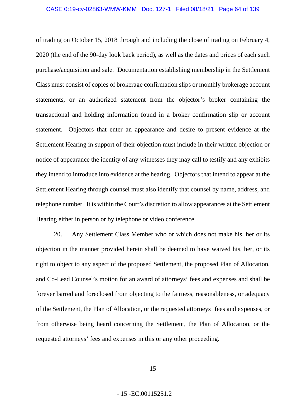of trading on October 15, 2018 through and including the close of trading on February 4, 2020 (the end of the 90-day look back period), as well as the dates and prices of each such purchase/acquisition and sale. Documentation establishing membership in the Settlement Class must consist of copies of brokerage confirmation slips or monthly brokerage account statements, or an authorized statement from the objector's broker containing the transactional and holding information found in a broker confirmation slip or account statement. Objectors that enter an appearance and desire to present evidence at the Settlement Hearing in support of their objection must include in their written objection or notice of appearance the identity of any witnesses they may call to testify and any exhibits they intend to introduce into evidence at the hearing. Objectors that intend to appear at the Settlement Hearing through counsel must also identify that counsel by name, address, and telephone number. It is within the Court's discretion to allow appearances at the Settlement Hearing either in person or by telephone or video conference.

20. Any Settlement Class Member who or which does not make his, her or its objection in the manner provided herein shall be deemed to have waived his, her, or its right to object to any aspect of the proposed Settlement, the proposed Plan of Allocation, and Co-Lead Counsel's motion for an award of attorneys' fees and expenses and shall be forever barred and foreclosed from objecting to the fairness, reasonableness, or adequacy of the Settlement, the Plan of Allocation, or the requested attorneys' fees and expenses, or from otherwise being heard concerning the Settlement, the Plan of Allocation, or the requested attorneys' fees and expenses in this or any other proceeding.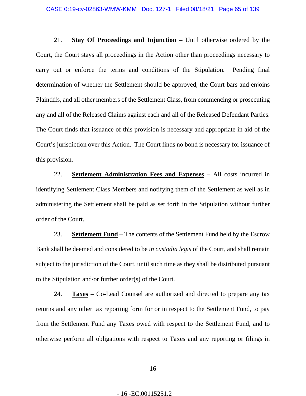21. **Stay Of Proceedings and Injunction** – Until otherwise ordered by the Court, the Court stays all proceedings in the Action other than proceedings necessary to carry out or enforce the terms and conditions of the Stipulation. Pending final determination of whether the Settlement should be approved, the Court bars and enjoins Plaintiffs, and all other members of the Settlement Class, from commencing or prosecuting any and all of the Released Claims against each and all of the Released Defendant Parties. The Court finds that issuance of this provision is necessary and appropriate in aid of the Court's jurisdiction over this Action. The Court finds no bond is necessary for issuance of this provision.

22. **Settlement Administration Fees and Expenses** – All costs incurred in identifying Settlement Class Members and notifying them of the Settlement as well as in administering the Settlement shall be paid as set forth in the Stipulation without further order of the Court.

23. **Settlement Fund** – The contents of the Settlement Fund held by the Escrow Bank shall be deemed and considered to be *in custodia legis* of the Court, and shall remain subject to the jurisdiction of the Court, until such time as they shall be distributed pursuant to the Stipulation and/or further order(s) of the Court.

24. **Taxes** – Co-Lead Counsel are authorized and directed to prepare any tax returns and any other tax reporting form for or in respect to the Settlement Fund, to pay from the Settlement Fund any Taxes owed with respect to the Settlement Fund, and to otherwise perform all obligations with respect to Taxes and any reporting or filings in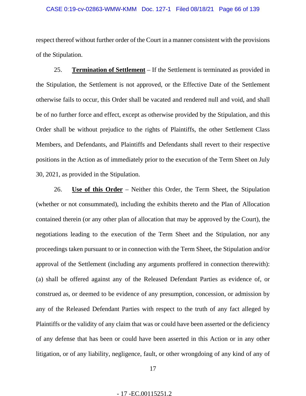#### CASE 0:19-cv-02863-WMW-KMM Doc. 127-1 Filed 08/18/21 Page 66 of 139

respect thereof without further order of the Court in a manner consistent with the provisions of the Stipulation.

25. **Termination of Settlement** – If the Settlement is terminated as provided in the Stipulation, the Settlement is not approved, or the Effective Date of the Settlement otherwise fails to occur, this Order shall be vacated and rendered null and void, and shall be of no further force and effect, except as otherwise provided by the Stipulation, and this Order shall be without prejudice to the rights of Plaintiffs, the other Settlement Class Members, and Defendants, and Plaintiffs and Defendants shall revert to their respective positions in the Action as of immediately prior to the execution of the Term Sheet on July 30, 2021, as provided in the Stipulation.

26. **Use of this Order** – Neither this Order, the Term Sheet, the Stipulation (whether or not consummated), including the exhibits thereto and the Plan of Allocation contained therein (or any other plan of allocation that may be approved by the Court), the negotiations leading to the execution of the Term Sheet and the Stipulation, nor any proceedings taken pursuant to or in connection with the Term Sheet, the Stipulation and/or approval of the Settlement (including any arguments proffered in connection therewith): (a) shall be offered against any of the Released Defendant Parties as evidence of, or construed as, or deemed to be evidence of any presumption, concession, or admission by any of the Released Defendant Parties with respect to the truth of any fact alleged by Plaintiffs or the validity of any claim that was or could have been asserted or the deficiency of any defense that has been or could have been asserted in this Action or in any other litigation, or of any liability, negligence, fault, or other wrongdoing of any kind of any of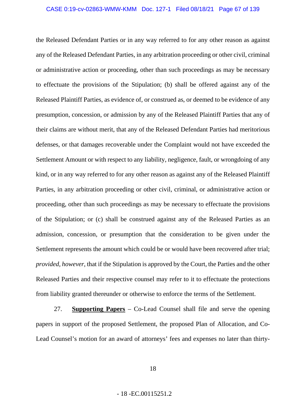the Released Defendant Parties or in any way referred to for any other reason as against any of the Released Defendant Parties, in any arbitration proceeding or other civil, criminal or administrative action or proceeding, other than such proceedings as may be necessary to effectuate the provisions of the Stipulation; (b) shall be offered against any of the Released Plaintiff Parties, as evidence of, or construed as, or deemed to be evidence of any presumption, concession, or admission by any of the Released Plaintiff Parties that any of their claims are without merit, that any of the Released Defendant Parties had meritorious defenses, or that damages recoverable under the Complaint would not have exceeded the Settlement Amount or with respect to any liability, negligence, fault, or wrongdoing of any kind, or in any way referred to for any other reason as against any of the Released Plaintiff Parties, in any arbitration proceeding or other civil, criminal, or administrative action or proceeding, other than such proceedings as may be necessary to effectuate the provisions of the Stipulation; or (c) shall be construed against any of the Released Parties as an admission, concession, or presumption that the consideration to be given under the Settlement represents the amount which could be or would have been recovered after trial; *provided, however*, that if the Stipulation is approved by the Court, the Parties and the other Released Parties and their respective counsel may refer to it to effectuate the protections from liability granted thereunder or otherwise to enforce the terms of the Settlement.

27. **Supporting Papers** – Co-Lead Counsel shall file and serve the opening papers in support of the proposed Settlement, the proposed Plan of Allocation, and Co-Lead Counsel's motion for an award of attorneys' fees and expenses no later than thirty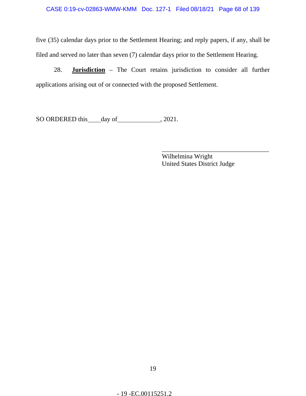five (35) calendar days prior to the Settlement Hearing; and reply papers, if any, shall be filed and served no later than seven (7) calendar days prior to the Settlement Hearing.

28. **Jurisdiction** – The Court retains jurisdiction to consider all further applications arising out of or connected with the proposed Settlement.

SO ORDERED this day of 3021.

Wilhelmina Wright United States District Judge

\_\_\_\_\_\_\_\_\_\_\_\_\_\_\_\_\_\_\_\_\_\_\_\_\_\_\_\_\_\_\_\_\_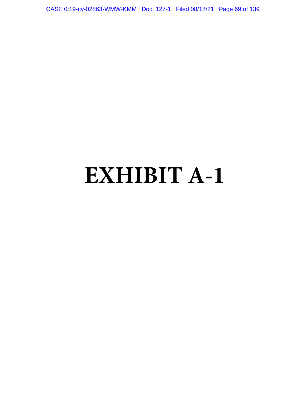CASE 0:19-cv-02863-WMW-KMM Doc. 127-1 Filed 08/18/21 Page 69 of 139

# **EXHIBIT A-1**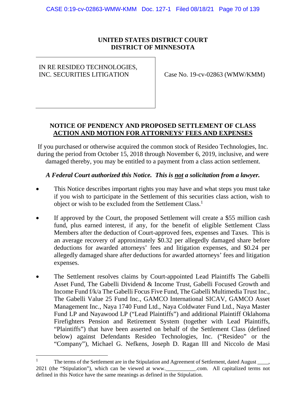# **UNITED STATES DISTRICT COURT DISTRICT OF MINNESOTA**

# IN RE RESIDEO TECHNOLOGIES,

INC. SECURITIES LITIGATION Case No. 19-cv-02863 (WMW/KMM)

# **NOTICE OF PENDENCY AND PROPOSED SETTLEMENT OF CLASS ACTION AND MOTION FOR ATTORNEYS' FEES AND EXPENSES**

If you purchased or otherwise acquired the common stock of Resideo Technologies, Inc. during the period from October 15, 2018 through November 6, 2019, inclusive, and were damaged thereby, you may be entitled to a payment from a class action settlement.

# *A Federal Court authorized this Notice. This is not a solicitation from a lawyer.*

- This Notice describes important rights you may have and what steps you must take if you wish to participate in the Settlement of this securities class action, wish to object or wish to be excluded from the Settlement Class.<sup>1</sup>
- If approved by the Court, the proposed Settlement will create a \$55 million cash fund, plus earned interest, if any, for the benefit of eligible Settlement Class Members after the deduction of Court-approved fees, expenses and Taxes. This is an average recovery of approximately \$0.32 per allegedly damaged share before deductions for awarded attorneys' fees and litigation expenses, and \$0.24 per allegedly damaged share after deductions for awarded attorneys' fees and litigation expenses.
- The Settlement resolves claims by Court-appointed Lead Plaintiffs The Gabelli Asset Fund, The Gabelli Dividend & Income Trust, Gabelli Focused Growth and Income Fund f/k/a The Gabelli Focus Five Fund, The Gabelli Multimedia Trust Inc., The Gabelli Value 25 Fund Inc., GAMCO International SICAV, GAMCO Asset Management Inc., Naya 1740 Fund Ltd., Naya Coldwater Fund Ltd., Naya Master Fund LP and Nayawood LP ("Lead Plaintiffs") and additional Plaintiff Oklahoma Firefighters Pension and Retirement System (together with Lead Plaintiffs, "Plaintiffs") that have been asserted on behalf of the Settlement Class (defined below) against Defendants Resideo Technologies, Inc. ("Resideo" or the "Company"), Michael G. Nefkens, Joseph D. Ragan III and Niccolo de Masi

<sup>&</sup>lt;sup>1</sup> The terms of the Settlement are in the Stipulation and Agreement of Settlement, dated August  $\frac{1}{\sqrt{1-\frac{1}{n}}}$ 2021 (the "Stipulation"), which can be viewed at www.\_\_\_\_\_\_\_\_\_\_\_.com. All capitalized terms not defined in this Notice have the same meanings as defined in the Stipulation.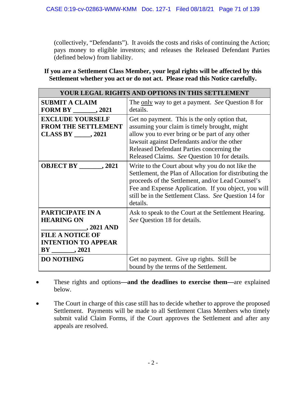(collectively, "Defendants"). It avoids the costs and risks of continuing the Action; pays money to eligible investors; and releases the Released Defendant Parties (defined below) from liability.

# **If you are a Settlement Class Member, your legal rights will be affected by this Settlement whether you act or do not act. Please read this Notice carefully.**

| YOUR LEGAL RIGHTS AND OPTIONS IN THIS SETTLEMENT                                                                                   |                                                                                                                                                                                                                                                                                               |
|------------------------------------------------------------------------------------------------------------------------------------|-----------------------------------------------------------------------------------------------------------------------------------------------------------------------------------------------------------------------------------------------------------------------------------------------|
| <b>SUBMIT A CLAIM</b><br>FORM BY $\qquad \qquad .2021$                                                                             | The <u>only</u> way to get a payment. See Question 8 for<br>details.                                                                                                                                                                                                                          |
| <b>EXCLUDE YOURSELF</b><br><b>FROM THE SETTLEMENT</b><br>CLASS BY $\_\_\_\$ , 2021                                                 | Get no payment. This is the only option that,<br>assuming your claim is timely brought, might<br>allow you to ever bring or be part of any other<br>lawsuit against Defendants and/or the other<br>Released Defendant Parties concerning the<br>Released Claims. See Question 10 for details. |
| OBJECT BY $\qquad \qquad .2021$                                                                                                    | Write to the Court about why you do not like the<br>Settlement, the Plan of Allocation for distributing the<br>proceeds of the Settlement, and/or Lead Counsel's<br>Fee and Expense Application. If you object, you will<br>still be in the Settlement Class. See Question 14 for<br>details. |
| PARTICIPATE IN A<br><b>HEARING ON</b><br>, 2021 AND<br><u>and a state</u><br><b>FILE A NOTICE OF</b><br><b>INTENTION TO APPEAR</b> | Ask to speak to the Court at the Settlement Hearing.<br>See Question 18 for details.                                                                                                                                                                                                          |
| <b>DO NOTHING</b>                                                                                                                  | Get no payment. Give up rights. Still be<br>bound by the terms of the Settlement.                                                                                                                                                                                                             |

- These rights and options**—and the deadlines to exercise them—**are explained below.
- The Court in charge of this case still has to decide whether to approve the proposed Settlement. Payments will be made to all Settlement Class Members who timely submit valid Claim Forms, if the Court approves the Settlement and after any appeals are resolved.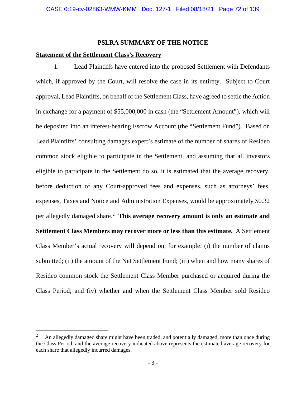# **PSLRA SUMMARY OF THE NOTICE**

# **Statement of the Settlement Class's Recovery**

 $\overline{a}$ 

1. Lead Plaintiffs have entered into the proposed Settlement with Defendants which, if approved by the Court, will resolve the case in its entirety. Subject to Court approval, Lead Plaintiffs, on behalf of the Settlement Class, have agreed to settle the Action in exchange for a payment of \$55,000,000 in cash (the "Settlement Amount"), which will be deposited into an interest-bearing Escrow Account (the "Settlement Fund"). Based on Lead Plaintiffs' consulting damages expert's estimate of the number of shares of Resideo common stock eligible to participate in the Settlement, and assuming that all investors eligible to participate in the Settlement do so, it is estimated that the average recovery, before deduction of any Court-approved fees and expenses, such as attorneys' fees, expenses, Taxes and Notice and Administration Expenses, would be approximately \$0.32 per allegedly damaged share.<sup>2</sup> This average recovery amount is only an estimate and **Settlement Class Members may recover more or less than this estimate.** A Settlement Class Member's actual recovery will depend on, for example: (i) the number of claims submitted; (ii) the amount of the Net Settlement Fund; (iii) when and how many shares of Resideo common stock the Settlement Class Member purchased or acquired during the Class Period; and (iv) whether and when the Settlement Class Member sold Resideo

<sup>2</sup> An allegedly damaged share might have been traded, and potentially damaged, more than once during the Class Period, and the average recovery indicated above represents the estimated average recovery for each share that allegedly incurred damages.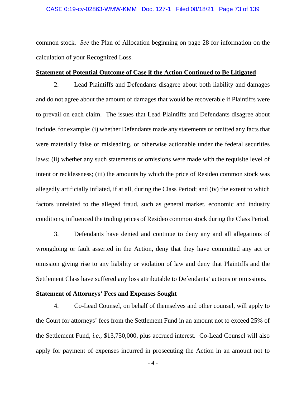common stock. *See* the Plan of Allocation beginning on page 28 for information on the calculation of your Recognized Loss.

### **Statement of Potential Outcome of Case if the Action Continued to Be Litigated**

2. Lead Plaintiffs and Defendants disagree about both liability and damages and do not agree about the amount of damages that would be recoverable if Plaintiffs were to prevail on each claim. The issues that Lead Plaintiffs and Defendants disagree about include, for example: (i) whether Defendants made any statements or omitted any facts that were materially false or misleading, or otherwise actionable under the federal securities laws; (ii) whether any such statements or omissions were made with the requisite level of intent or recklessness; (iii) the amounts by which the price of Resideo common stock was allegedly artificially inflated, if at all, during the Class Period; and (iv) the extent to which factors unrelated to the alleged fraud, such as general market, economic and industry conditions, influenced the trading prices of Resideo common stock during the Class Period.

3. Defendants have denied and continue to deny any and all allegations of wrongdoing or fault asserted in the Action, deny that they have committed any act or omission giving rise to any liability or violation of law and deny that Plaintiffs and the Settlement Class have suffered any loss attributable to Defendants' actions or omissions.

### **Statement of Attorneys' Fees and Expenses Sought**

4. Co-Lead Counsel, on behalf of themselves and other counsel, will apply to the Court for attorneys' fees from the Settlement Fund in an amount not to exceed 25% of the Settlement Fund, *i.e.*, \$13,750,000, plus accrued interest. Co-Lead Counsel will also apply for payment of expenses incurred in prosecuting the Action in an amount not to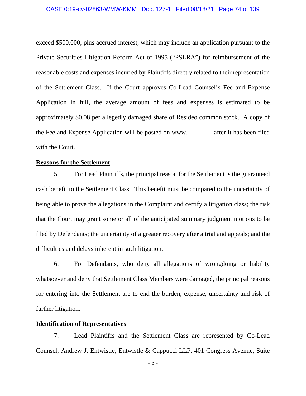exceed \$500,000, plus accrued interest, which may include an application pursuant to the Private Securities Litigation Reform Act of 1995 ("PSLRA") for reimbursement of the reasonable costs and expenses incurred by Plaintiffs directly related to their representation of the Settlement Class. If the Court approves Co-Lead Counsel's Fee and Expense Application in full, the average amount of fees and expenses is estimated to be approximately \$0.08 per allegedly damaged share of Resideo common stock. A copy of the Fee and Expense Application will be posted on www. after it has been filed with the Court.

### **Reasons for the Settlement**

5. For Lead Plaintiffs, the principal reason for the Settlement is the guaranteed cash benefit to the Settlement Class. This benefit must be compared to the uncertainty of being able to prove the allegations in the Complaint and certify a litigation class; the risk that the Court may grant some or all of the anticipated summary judgment motions to be filed by Defendants; the uncertainty of a greater recovery after a trial and appeals; and the difficulties and delays inherent in such litigation.

6. For Defendants, who deny all allegations of wrongdoing or liability whatsoever and deny that Settlement Class Members were damaged, the principal reasons for entering into the Settlement are to end the burden, expense, uncertainty and risk of further litigation.

### **Identification of Representatives**

7. Lead Plaintiffs and the Settlement Class are represented by Co-Lead Counsel, Andrew J. Entwistle, Entwistle & Cappucci LLP, 401 Congress Avenue, Suite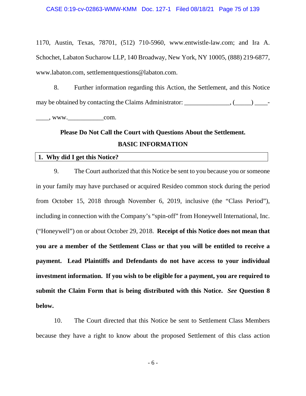1170, Austin, Texas, 78701, (512) 710-5960, www.entwistle-law.com; and Ira A. Schochet, Labaton Sucharow LLP, 140 Broadway, New York, NY 10005, (888) 219-6877, www.labaton.com, settlementquestions@labaton.com.

8. Further information regarding this Action, the Settlement, and this Notice may be obtained by contacting the Claims Administrator:  $\frac{1}{\sqrt{2\pi}}$ ,  $\frac{1}{\sqrt{2\pi}}$  $\qquad \qquad \text{www.} \qquad \qquad \text{com.}$ 

# **Please Do Not Call the Court with Questions About the Settlement. BASIC INFORMATION**

### **1. Why did I get this Notice?**

9. The Court authorized that this Notice be sent to you because you or someone in your family may have purchased or acquired Resideo common stock during the period from October 15, 2018 through November 6, 2019, inclusive (the "Class Period"), including in connection with the Company's "spin-off" from Honeywell International, Inc. ("Honeywell") on or about October 29, 2018. **Receipt of this Notice does not mean that you are a member of the Settlement Class or that you will be entitled to receive a payment. Lead Plaintiffs and Defendants do not have access to your individual investment information. If you wish to be eligible for a payment, you are required to submit the Claim Form that is being distributed with this Notice.** *See* **Question 8 below.**

10. The Court directed that this Notice be sent to Settlement Class Members because they have a right to know about the proposed Settlement of this class action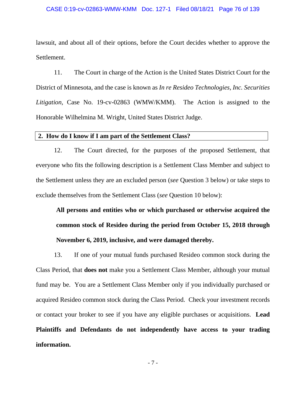lawsuit, and about all of their options, before the Court decides whether to approve the Settlement.

11. The Court in charge of the Action is the United States District Court for the District of Minnesota, and the case is known as *In re Resideo Technologies, Inc. Securities Litigation,* Case No. 19-cv-02863 (WMW/KMM). The Action is assigned to the Honorable Wilhelmina M. Wright, United States District Judge.

### **2. How do I know if I am part of the Settlement Class?**

12. The Court directed, for the purposes of the proposed Settlement, that everyone who fits the following description is a Settlement Class Member and subject to the Settlement unless they are an excluded person (*see* Question 3 below) or take steps to exclude themselves from the Settlement Class (*see* Question 10 below):

**All persons and entities who or which purchased or otherwise acquired the common stock of Resideo during the period from October 15, 2018 through November 6, 2019, inclusive, and were damaged thereby.** 

13. If one of your mutual funds purchased Resideo common stock during the Class Period, that **does not** make you a Settlement Class Member, although your mutual fund may be. You are a Settlement Class Member only if you individually purchased or acquired Resideo common stock during the Class Period. Check your investment records or contact your broker to see if you have any eligible purchases or acquisitions. **Lead Plaintiffs and Defendants do not independently have access to your trading information.**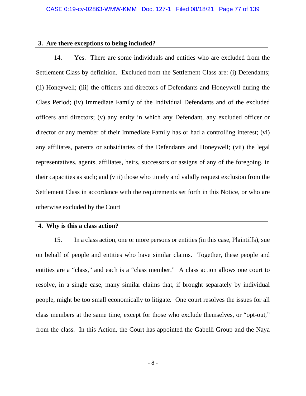## **3. Are there exceptions to being included?**

14. Yes. There are some individuals and entities who are excluded from the Settlement Class by definition. Excluded from the Settlement Class are: (i) Defendants; (ii) Honeywell; (iii) the officers and directors of Defendants and Honeywell during the Class Period; (iv) Immediate Family of the Individual Defendants and of the excluded officers and directors; (v) any entity in which any Defendant, any excluded officer or director or any member of their Immediate Family has or had a controlling interest; (vi) any affiliates, parents or subsidiaries of the Defendants and Honeywell; (vii) the legal representatives, agents, affiliates, heirs, successors or assigns of any of the foregoing, in their capacities as such; and (viii) those who timely and validly request exclusion from the Settlement Class in accordance with the requirements set forth in this Notice, or who are otherwise excluded by the Court

## **4. Why is this a class action?**

15. In a class action, one or more persons or entities (in this case, Plaintiffs), sue on behalf of people and entities who have similar claims. Together, these people and entities are a "class," and each is a "class member." A class action allows one court to resolve, in a single case, many similar claims that, if brought separately by individual people, might be too small economically to litigate. One court resolves the issues for all class members at the same time, except for those who exclude themselves, or "opt-out," from the class. In this Action, the Court has appointed the Gabelli Group and the Naya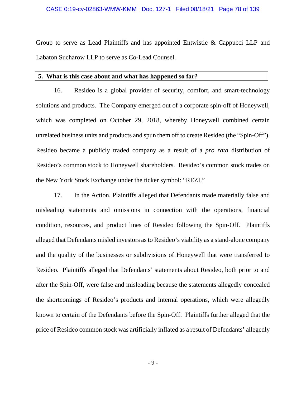### CASE 0:19-cv-02863-WMW-KMM Doc. 127-1 Filed 08/18/21 Page 78 of 139

Group to serve as Lead Plaintiffs and has appointed Entwistle & Cappucci LLP and Labaton Sucharow LLP to serve as Co-Lead Counsel.

### **5. What is this case about and what has happened so far?**

16. Resideo is a global provider of security, comfort, and smart-technology solutions and products. The Company emerged out of a corporate spin-off of Honeywell, which was completed on October 29, 2018, whereby Honeywell combined certain unrelated business units and products and spun them off to create Resideo (the "Spin-Off"). Resideo became a publicly traded company as a result of a *pro rata* distribution of Resideo's common stock to Honeywell shareholders. Resideo's common stock trades on the New York Stock Exchange under the ticker symbol: "REZI."

17. In the Action, Plaintiffs alleged that Defendants made materially false and misleading statements and omissions in connection with the operations, financial condition, resources, and product lines of Resideo following the Spin-Off. Plaintiffs alleged that Defendants misled investors as to Resideo's viability as a stand-alone company and the quality of the businesses or subdivisions of Honeywell that were transferred to Resideo. Plaintiffs alleged that Defendants' statements about Resideo, both prior to and after the Spin-Off, were false and misleading because the statements allegedly concealed the shortcomings of Resideo's products and internal operations, which were allegedly known to certain of the Defendants before the Spin-Off. Plaintiffs further alleged that the price of Resideo common stock was artificially inflated as a result of Defendants' allegedly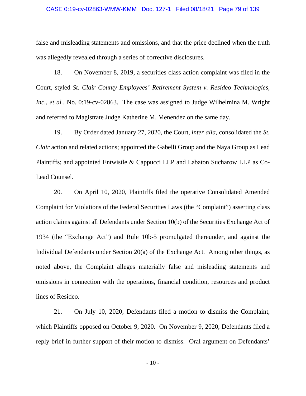### CASE 0:19-cv-02863-WMW-KMM Doc. 127-1 Filed 08/18/21 Page 79 of 139

false and misleading statements and omissions, and that the price declined when the truth was allegedly revealed through a series of corrective disclosures.

18. On November 8, 2019, a securities class action complaint was filed in the Court, styled *St. Clair County Employees' Retirement System v. Resideo Technologies, Inc., et al.*, No. 0:19-cv-02863. The case was assigned to Judge Wilhelmina M. Wright and referred to Magistrate Judge Katherine M. Menendez on the same day.

19. By Order dated January 27, 2020, the Court, *inter alia*, consolidated the *St. Clair* action and related actions; appointed the Gabelli Group and the Naya Group as Lead Plaintiffs; and appointed Entwistle & Cappucci LLP and Labaton Sucharow LLP as Co-Lead Counsel.

20. On April 10, 2020, Plaintiffs filed the operative Consolidated Amended Complaint for Violations of the Federal Securities Laws (the "Complaint") asserting class action claims against all Defendants under Section 10(b) of the Securities Exchange Act of 1934 (the "Exchange Act") and Rule 10b-5 promulgated thereunder, and against the Individual Defendants under Section 20(a) of the Exchange Act. Among other things, as noted above, the Complaint alleges materially false and misleading statements and omissions in connection with the operations, financial condition, resources and product lines of Resideo.

21. On July 10, 2020, Defendants filed a motion to dismiss the Complaint, which Plaintiffs opposed on October 9, 2020. On November 9, 2020, Defendants filed a reply brief in further support of their motion to dismiss. Oral argument on Defendants'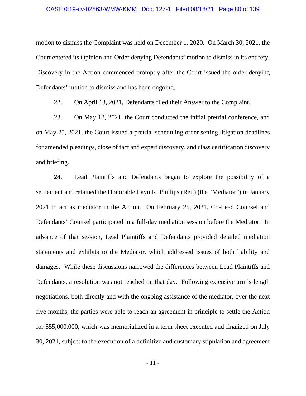motion to dismiss the Complaint was held on December 1, 2020. On March 30, 2021, the Court entered its Opinion and Order denying Defendants' motion to dismiss in its entirety. Discovery in the Action commenced promptly after the Court issued the order denying Defendants' motion to dismiss and has been ongoing.

22. On April 13, 2021, Defendants filed their Answer to the Complaint.

23. On May 18, 2021, the Court conducted the initial pretrial conference, and on May 25, 2021, the Court issued a pretrial scheduling order setting litigation deadlines for amended pleadings, close of fact and expert discovery, and class certification discovery and briefing.

24. Lead Plaintiffs and Defendants began to explore the possibility of a settlement and retained the Honorable Layn R. Phillips (Ret.) (the "Mediator") in January 2021 to act as mediator in the Action. On February 25, 2021, Co-Lead Counsel and Defendants' Counsel participated in a full-day mediation session before the Mediator. In advance of that session, Lead Plaintiffs and Defendants provided detailed mediation statements and exhibits to the Mediator, which addressed issues of both liability and damages. While these discussions narrowed the differences between Lead Plaintiffs and Defendants, a resolution was not reached on that day. Following extensive arm's-length negotiations, both directly and with the ongoing assistance of the mediator, over the next five months, the parties were able to reach an agreement in principle to settle the Action for \$55,000,000, which was memorialized in a term sheet executed and finalized on July 30, 2021, subject to the execution of a definitive and customary stipulation and agreement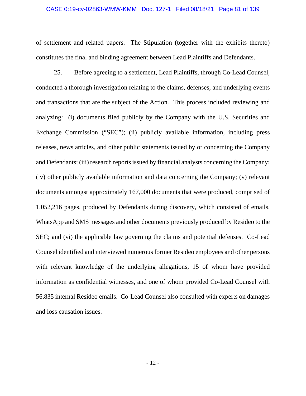### CASE 0:19-cv-02863-WMW-KMM Doc. 127-1 Filed 08/18/21 Page 81 of 139

of settlement and related papers. The Stipulation (together with the exhibits thereto) constitutes the final and binding agreement between Lead Plaintiffs and Defendants.

25. Before agreeing to a settlement, Lead Plaintiffs, through Co-Lead Counsel, conducted a thorough investigation relating to the claims, defenses, and underlying events and transactions that are the subject of the Action. This process included reviewing and analyzing: (i) documents filed publicly by the Company with the U.S. Securities and Exchange Commission ("SEC"); (ii) publicly available information, including press releases, news articles, and other public statements issued by or concerning the Company and Defendants; (iii) research reports issued by financial analysts concerning the Company; (iv) other publicly available information and data concerning the Company; (v) relevant documents amongst approximately 167,000 documents that were produced, comprised of 1,052,216 pages, produced by Defendants during discovery, which consisted of emails, WhatsApp and SMS messages and other documents previously produced by Resideo to the SEC; and (vi) the applicable law governing the claims and potential defenses. Co-Lead Counsel identified and interviewed numerous former Resideo employees and other persons with relevant knowledge of the underlying allegations, 15 of whom have provided information as confidential witnesses, and one of whom provided Co-Lead Counsel with 56,835 internal Resideo emails. Co-Lead Counsel also consulted with experts on damages and loss causation issues.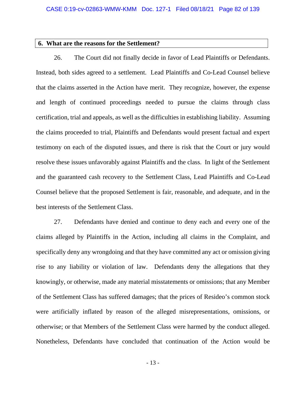### **6. What are the reasons for the Settlement?**

26. The Court did not finally decide in favor of Lead Plaintiffs or Defendants. Instead, both sides agreed to a settlement. Lead Plaintiffs and Co-Lead Counsel believe that the claims asserted in the Action have merit. They recognize, however, the expense and length of continued proceedings needed to pursue the claims through class certification, trial and appeals, as well as the difficulties in establishing liability. Assuming the claims proceeded to trial, Plaintiffs and Defendants would present factual and expert testimony on each of the disputed issues, and there is risk that the Court or jury would resolve these issues unfavorably against Plaintiffs and the class. In light of the Settlement and the guaranteed cash recovery to the Settlement Class, Lead Plaintiffs and Co-Lead Counsel believe that the proposed Settlement is fair, reasonable, and adequate, and in the best interests of the Settlement Class.

27. Defendants have denied and continue to deny each and every one of the claims alleged by Plaintiffs in the Action, including all claims in the Complaint, and specifically deny any wrongdoing and that they have committed any act or omission giving rise to any liability or violation of law. Defendants deny the allegations that they knowingly, or otherwise, made any material misstatements or omissions; that any Member of the Settlement Class has suffered damages; that the prices of Resideo's common stock were artificially inflated by reason of the alleged misrepresentations, omissions, or otherwise; or that Members of the Settlement Class were harmed by the conduct alleged. Nonetheless, Defendants have concluded that continuation of the Action would be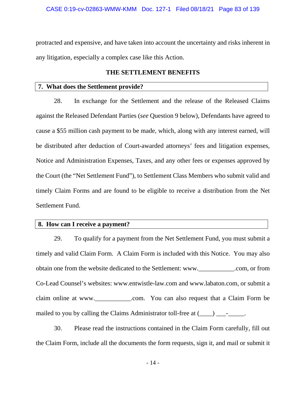protracted and expensive, and have taken into account the uncertainty and risks inherent in any litigation, especially a complex case like this Action.

## **THE SETTLEMENT BENEFITS**

### **7. What does the Settlement provide?**

28. In exchange for the Settlement and the release of the Released Claims against the Released Defendant Parties (*see* Question 9 below), Defendants have agreed to cause a \$55 million cash payment to be made, which, along with any interest earned, will be distributed after deduction of Court-awarded attorneys' fees and litigation expenses, Notice and Administration Expenses, Taxes, and any other fees or expenses approved by the Court (the "Net Settlement Fund"), to Settlement Class Members who submit valid and timely Claim Forms and are found to be eligible to receive a distribution from the Net Settlement Fund.

## **8. How can I receive a payment?**

29. To qualify for a payment from the Net Settlement Fund, you must submit a timely and valid Claim Form. A Claim Form is included with this Notice. You may also obtain one from the website dedicated to the Settlement: www.\_\_\_\_\_\_\_\_\_\_\_.com, or from Co-Lead Counsel's websites: www.entwistle-law.com and www.labaton.com, or submit a claim online at www.\_\_\_\_\_\_\_\_\_\_\_.com. You can also request that a Claim Form be mailed to you by calling the Claims Administrator toll-free at  $(\_\_) \_\_$ -

30. Please read the instructions contained in the Claim Form carefully, fill out the Claim Form, include all the documents the form requests, sign it, and mail or submit it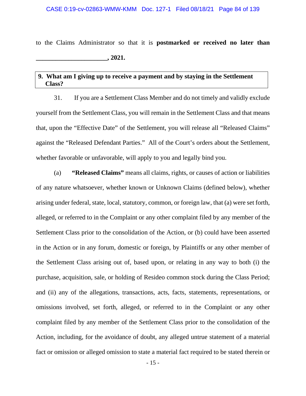to the Claims Administrator so that it is **postmarked or received no later than \_\_\_\_\_\_\_\_\_\_\_\_\_\_\_\_\_\_\_\_\_\_, 2021.** 

## **9. What am I giving up to receive a payment and by staying in the Settlement Class?**

31. If you are a Settlement Class Member and do not timely and validly exclude yourself from the Settlement Class, you will remain in the Settlement Class and that means that, upon the "Effective Date" of the Settlement, you will release all "Released Claims" against the "Released Defendant Parties." All of the Court's orders about the Settlement, whether favorable or unfavorable, will apply to you and legally bind you.

(a) **"Released Claims"** means all claims, rights, or causes of action or liabilities of any nature whatsoever, whether known or Unknown Claims (defined below), whether arising under federal, state, local, statutory, common, or foreign law, that (a) were set forth, alleged, or referred to in the Complaint or any other complaint filed by any member of the Settlement Class prior to the consolidation of the Action, or (b) could have been asserted in the Action or in any forum, domestic or foreign, by Plaintiffs or any other member of the Settlement Class arising out of, based upon, or relating in any way to both (i) the purchase, acquisition, sale, or holding of Resideo common stock during the Class Period; and (ii) any of the allegations, transactions, acts, facts, statements, representations, or omissions involved, set forth, alleged, or referred to in the Complaint or any other complaint filed by any member of the Settlement Class prior to the consolidation of the Action, including, for the avoidance of doubt, any alleged untrue statement of a material fact or omission or alleged omission to state a material fact required to be stated therein or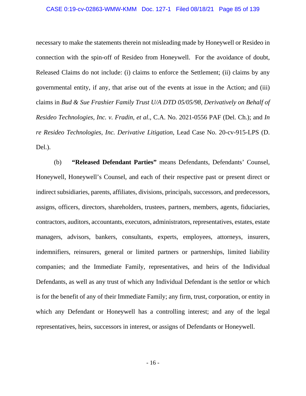necessary to make the statements therein not misleading made by Honeywell or Resideo in connection with the spin-off of Resideo from Honeywell. For the avoidance of doubt, Released Claims do not include: (i) claims to enforce the Settlement; (ii) claims by any governmental entity, if any, that arise out of the events at issue in the Action; and (iii) claims in *Bud & Sue Frashier Family Trust U/A DTD 05/05/98, Derivatively on Behalf of Resideo Technologies, Inc. v. Fradin, et al*., C.A. No. 2021-0556 PAF (Del. Ch.); and *In re Resideo Technologies, Inc. Derivative Litigation*, Lead Case No. 20-cv-915-LPS (D. Del.).

(b) **"Released Defendant Parties"** means Defendants, Defendants' Counsel, Honeywell, Honeywell's Counsel, and each of their respective past or present direct or indirect subsidiaries, parents, affiliates, divisions, principals, successors, and predecessors, assigns, officers, directors, shareholders, trustees, partners, members, agents, fiduciaries, contractors, auditors, accountants, executors, administrators, representatives, estates, estate managers, advisors, bankers, consultants, experts, employees, attorneys, insurers, indemnifiers, reinsurers, general or limited partners or partnerships, limited liability companies; and the Immediate Family, representatives, and heirs of the Individual Defendants, as well as any trust of which any Individual Defendant is the settlor or which is for the benefit of any of their Immediate Family; any firm, trust, corporation, or entity in which any Defendant or Honeywell has a controlling interest; and any of the legal representatives, heirs, successors in interest, or assigns of Defendants or Honeywell.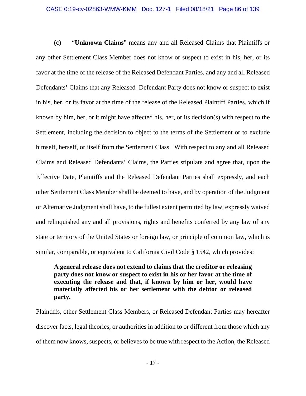(c) "**Unknown Claims**" means any and all Released Claims that Plaintiffs or any other Settlement Class Member does not know or suspect to exist in his, her, or its favor at the time of the release of the Released Defendant Parties, and any and all Released Defendants' Claims that any Released Defendant Party does not know or suspect to exist in his, her, or its favor at the time of the release of the Released Plaintiff Parties, which if known by him, her, or it might have affected his, her, or its decision(s) with respect to the Settlement, including the decision to object to the terms of the Settlement or to exclude himself, herself, or itself from the Settlement Class. With respect to any and all Released Claims and Released Defendants' Claims, the Parties stipulate and agree that, upon the Effective Date, Plaintiffs and the Released Defendant Parties shall expressly, and each other Settlement Class Member shall be deemed to have, and by operation of the Judgment or Alternative Judgment shall have, to the fullest extent permitted by law, expressly waived and relinquished any and all provisions, rights and benefits conferred by any law of any state or territory of the United States or foreign law, or principle of common law, which is similar, comparable, or equivalent to California Civil Code § 1542, which provides:

**A general release does not extend to claims that the creditor or releasing party does not know or suspect to exist in his or her favor at the time of executing the release and that, if known by him or her, would have materially affected his or her settlement with the debtor or released party.** 

Plaintiffs, other Settlement Class Members, or Released Defendant Parties may hereafter discover facts, legal theories, or authorities in addition to or different from those which any of them now knows, suspects, or believes to be true with respect to the Action, the Released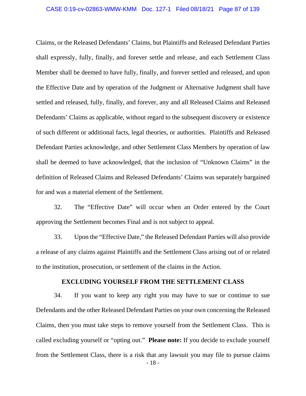Claims, or the Released Defendants' Claims, but Plaintiffs and Released Defendant Parties shall expressly, fully, finally, and forever settle and release, and each Settlement Class Member shall be deemed to have fully, finally, and forever settled and released, and upon the Effective Date and by operation of the Judgment or Alternative Judgment shall have settled and released, fully, finally, and forever, any and all Released Claims and Released Defendants' Claims as applicable, without regard to the subsequent discovery or existence of such different or additional facts, legal theories, or authorities. Plaintiffs and Released Defendant Parties acknowledge, and other Settlement Class Members by operation of law shall be deemed to have acknowledged, that the inclusion of "Unknown Claims" in the definition of Released Claims and Released Defendants' Claims was separately bargained for and was a material element of the Settlement.

32. The "Effective Date" will occur when an Order entered by the Court approving the Settlement becomes Final and is not subject to appeal.

33. Upon the "Effective Date," the Released Defendant Parties will also provide a release of any claims against Plaintiffs and the Settlement Class arising out of or related to the institution, prosecution, or settlement of the claims in the Action.

### **EXCLUDING YOURSELF FROM THE SETTLEMENT CLASS**

- 18 - 34. If you want to keep any right you may have to sue or continue to sue Defendants and the other Released Defendant Parties on your own concerning the Released Claims, then you must take steps to remove yourself from the Settlement Class. This is called excluding yourself or "opting out." **Please note:** If you decide to exclude yourself from the Settlement Class, there is a risk that any lawsuit you may file to pursue claims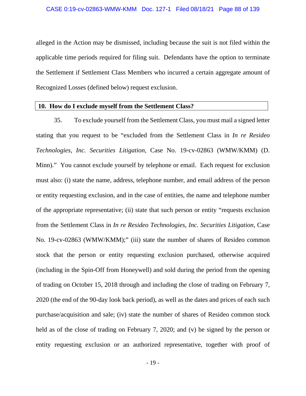alleged in the Action may be dismissed, including because the suit is not filed within the applicable time periods required for filing suit. Defendants have the option to terminate the Settlement if Settlement Class Members who incurred a certain aggregate amount of Recognized Losses (defined below) request exclusion.

### **10. How do I exclude myself from the Settlement Class?**

35. To exclude yourself from the Settlement Class, you must mail a signed letter stating that you request to be "excluded from the Settlement Class in *In re Resideo Technologies, Inc. Securities Litigation,* Case No. 19-cv-02863 (WMW/KMM) (D. Minn)." You cannot exclude yourself by telephone or email. Each request for exclusion must also: (i) state the name, address, telephone number, and email address of the person or entity requesting exclusion, and in the case of entities, the name and telephone number of the appropriate representative; (ii) state that such person or entity "requests exclusion from the Settlement Class in *In re Resideo Technologies, Inc. Securities Litigation*, Case No. 19-cv-02863 (WMW/KMM);" (iii) state the number of shares of Resideo common stock that the person or entity requesting exclusion purchased, otherwise acquired (including in the Spin-Off from Honeywell) and sold during the period from the opening of trading on October 15, 2018 through and including the close of trading on February 7, 2020 (the end of the 90-day look back period), as well as the dates and prices of each such purchase/acquisition and sale; (iv) state the number of shares of Resideo common stock held as of the close of trading on February 7, 2020; and (v) be signed by the person or entity requesting exclusion or an authorized representative, together with proof of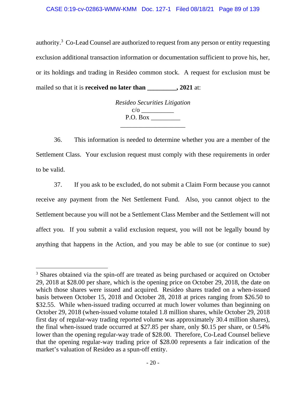authority.<sup>3</sup> Co-Lead Counsel are authorized to request from any person or entity requesting exclusion additional transaction information or documentation sufficient to prove his, her, or its holdings and trading in Resideo common stock. A request for exclusion must be mailed so that it is **received no later than \_\_\_\_\_\_\_\_\_, 2021** at:

> *Resideo Securities Litigation*  c/o \_\_\_\_\_\_\_\_\_\_ P.O. Box \_\_\_\_\_\_\_\_\_\_\_\_\_\_\_\_\_\_\_\_

36. This information is needed to determine whether you are a member of the Settlement Class. Your exclusion request must comply with these requirements in order to be valid.

37. If you ask to be excluded, do not submit a Claim Form because you cannot receive any payment from the Net Settlement Fund. Also, you cannot object to the Settlement because you will not be a Settlement Class Member and the Settlement will not affect you. If you submit a valid exclusion request, you will not be legally bound by anything that happens in the Action, and you may be able to sue (or continue to sue)

<sup>&</sup>lt;sup>3</sup> Shares obtained via the spin-off are treated as being purchased or acquired on October 29, 2018 at \$28.00 per share, which is the opening price on October 29, 2018, the date on which those shares were issued and acquired. Resideo shares traded on a when-issued basis between October 15, 2018 and October 28, 2018 at prices ranging from \$26.50 to \$32.55. While when-issued trading occurred at much lower volumes than beginning on October 29, 2018 (when-issued volume totaled 1.8 million shares, while October 29, 2018 first day of regular-way trading reported volume was approximately 30.4 million shares), the final when-issued trade occurred at \$27.85 per share, only \$0.15 per share, or 0.54% lower than the opening regular-way trade of \$28.00. Therefore, Co-Lead Counsel believe that the opening regular-way trading price of \$28.00 represents a fair indication of the market's valuation of Resideo as a spun-off entity.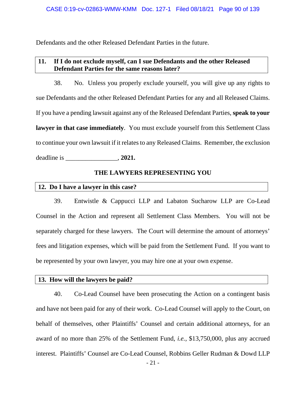Defendants and the other Released Defendant Parties in the future.

## **11. If I do not exclude myself, can I sue Defendants and the other Released Defendant Parties for the same reasons later?**

38. No. Unless you properly exclude yourself, you will give up any rights to sue Defendants and the other Released Defendant Parties for any and all Released Claims. If you have a pending lawsuit against any of the Released Defendant Parties, **speak to your lawyer in that case immediately**. You must exclude yourself from this Settlement Class to continue your own lawsuit if it relates to any Released Claims. Remember, the exclusion deadline is \_\_\_\_\_\_\_\_\_\_\_\_\_\_\_\_, **2021.** 

### **THE LAWYERS REPRESENTING YOU**

### **12. Do I have a lawyer in this case?**

39. Entwistle & Cappucci LLP and Labaton Sucharow LLP are Co-Lead Counsel in the Action and represent all Settlement Class Members. You will not be separately charged for these lawyers. The Court will determine the amount of attorneys' fees and litigation expenses, which will be paid from the Settlement Fund. If you want to be represented by your own lawyer, you may hire one at your own expense.

### **13. How will the lawyers be paid?**

40. Co-Lead Counsel have been prosecuting the Action on a contingent basis and have not been paid for any of their work. Co-Lead Counsel will apply to the Court, on behalf of themselves, other Plaintiffs' Counsel and certain additional attorneys, for an award of no more than 25% of the Settlement Fund, *i.e.,* \$13,750,000, plus any accrued interest. Plaintiffs' Counsel are Co-Lead Counsel, Robbins Geller Rudman & Dowd LLP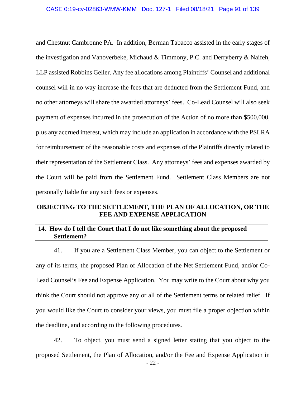and Chestnut Cambronne PA. In addition, Berman Tabacco assisted in the early stages of the investigation and Vanoverbeke, Michaud & Timmony, P.C. and Derryberry & Naifeh, LLP assisted Robbins Geller. Any fee allocations among Plaintiffs' Counsel and additional counsel will in no way increase the fees that are deducted from the Settlement Fund, and no other attorneys will share the awarded attorneys' fees. Co-Lead Counsel will also seek payment of expenses incurred in the prosecution of the Action of no more than \$500,000, plus any accrued interest, which may include an application in accordance with the PSLRA for reimbursement of the reasonable costs and expenses of the Plaintiffs directly related to their representation of the Settlement Class. Any attorneys' fees and expenses awarded by the Court will be paid from the Settlement Fund. Settlement Class Members are not personally liable for any such fees or expenses.

## **OBJECTING TO THE SETTLEMENT, THE PLAN OF ALLOCATION, OR THE FEE AND EXPENSE APPLICATION**

## **14. How do I tell the Court that I do not like something about the proposed Settlement?**

41. If you are a Settlement Class Member, you can object to the Settlement or any of its terms, the proposed Plan of Allocation of the Net Settlement Fund, and/or Co-Lead Counsel's Fee and Expense Application. You may write to the Court about why you think the Court should not approve any or all of the Settlement terms or related relief. If you would like the Court to consider your views, you must file a proper objection within the deadline, and according to the following procedures.

42. To object, you must send a signed letter stating that you object to the proposed Settlement, the Plan of Allocation, and/or the Fee and Expense Application in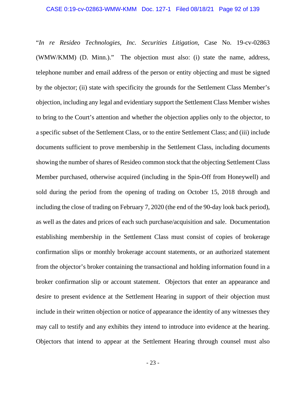"*In re Resideo Technologies, Inc. Securities Litigation,* Case No. 19-cv-02863 (WMW/KMM) (D. Minn.)." The objection must also: (i) state the name, address, telephone number and email address of the person or entity objecting and must be signed by the objector; (ii) state with specificity the grounds for the Settlement Class Member's objection, including any legal and evidentiary support the Settlement Class Member wishes to bring to the Court's attention and whether the objection applies only to the objector, to a specific subset of the Settlement Class, or to the entire Settlement Class; and (iii) include documents sufficient to prove membership in the Settlement Class, including documents showing the number of shares of Resideo common stock that the objecting Settlement Class Member purchased, otherwise acquired (including in the Spin-Off from Honeywell) and sold during the period from the opening of trading on October 15, 2018 through and including the close of trading on February 7, 2020 (the end of the 90-day look back period), as well as the dates and prices of each such purchase/acquisition and sale. Documentation establishing membership in the Settlement Class must consist of copies of brokerage confirmation slips or monthly brokerage account statements, or an authorized statement from the objector's broker containing the transactional and holding information found in a broker confirmation slip or account statement. Objectors that enter an appearance and desire to present evidence at the Settlement Hearing in support of their objection must include in their written objection or notice of appearance the identity of any witnesses they may call to testify and any exhibits they intend to introduce into evidence at the hearing. Objectors that intend to appear at the Settlement Hearing through counsel must also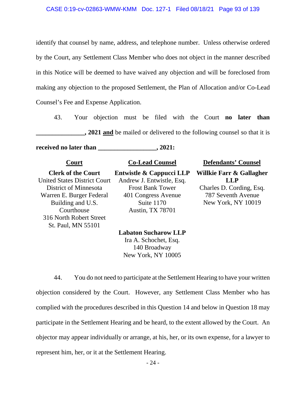identify that counsel by name, address, and telephone number. Unless otherwise ordered by the Court, any Settlement Class Member who does not object in the manner described in this Notice will be deemed to have waived any objection and will be foreclosed from making any objection to the proposed Settlement, the Plan of Allocation and/or Co-Lead Counsel's Fee and Expense Application.

43. Your objection must be filed with the Court **no later than 2021 and** be mailed or delivered to the following counsel so that it is

**received no** later than \_\_\_\_\_\_\_\_\_\_\_\_\_\_\_\_\_\_, 2021:

**Clerk of the Court**  United States District Court District of Minnesota Warren E. Burger Federal Building and U.S. **Courthouse** 316 North Robert Street St. Paul, MN 55101

**Entwistle & Cappucci LLP**  Andrew J. Entwistle, Esq. Frost Bank Tower 401 Congress Avenue Suite 1170 Austin, TX 78701

**Court Co-Lead Counsel Defendants' Counsel** 

**Willkie Farr & Gallagher LLP** Charles D. Cording, Esq. 787 Seventh Avenue New York, NY 10019

**Labaton Sucharow LLP**  Ira A. Schochet, Esq. 140 Broadway New York, NY 10005

44. You do not need to participate at the Settlement Hearing to have your written objection considered by the Court. However, any Settlement Class Member who has complied with the procedures described in this Question 14 and below in Question 18 may participate in the Settlement Hearing and be heard, to the extent allowed by the Court. An objector may appear individually or arrange, at his, her, or its own expense, for a lawyer to represent him, her, or it at the Settlement Hearing.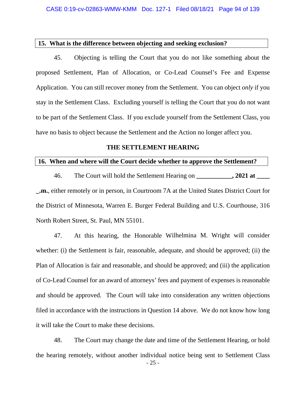### **15. What is the difference between objecting and seeking exclusion?**

45. Objecting is telling the Court that you do not like something about the proposed Settlement, Plan of Allocation, or Co-Lead Counsel's Fee and Expense Application. You can still recover money from the Settlement. You can object *only* if you stay in the Settlement Class. Excluding yourself is telling the Court that you do not want to be part of the Settlement Class. If you exclude yourself from the Settlement Class, you have no basis to object because the Settlement and the Action no longer affect you.

### **THE SETTLEMENT HEARING**

### **16. When and where will the Court decide whether to approve the Settlement?**

46. The Court will hold the Settlement Hearing on **\_\_\_\_\_\_\_\_\_\_\_, 2021 at \_\_\_\_ \_.m.**, either remotely or in person, in Courtroom 7A at the United States District Court for the District of Minnesota, Warren E. Burger Federal Building and U.S. Courthouse, 316 North Robert Street, St. Paul, MN 55101.

47. At this hearing, the Honorable Wilhelmina M. Wright will consider whether: (i) the Settlement is fair, reasonable, adequate, and should be approved; (ii) the Plan of Allocation is fair and reasonable, and should be approved; and (iii) the application of Co-Lead Counsel for an award of attorneys' fees and payment of expenses is reasonable and should be approved. The Court will take into consideration any written objections filed in accordance with the instructions in Question 14 above. We do not know how long it will take the Court to make these decisions.

48. The Court may change the date and time of the Settlement Hearing, or hold the hearing remotely, without another individual notice being sent to Settlement Class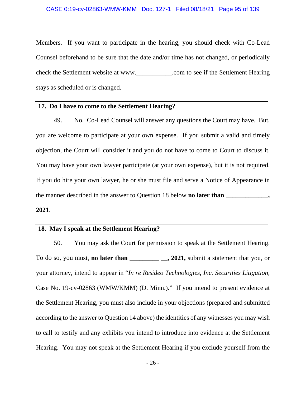### CASE 0:19-cv-02863-WMW-KMM Doc. 127-1 Filed 08/18/21 Page 95 of 139

Members. If you want to participate in the hearing, you should check with Co-Lead Counsel beforehand to be sure that the date and/or time has not changed, or periodically check the Settlement website at www.\_\_\_\_\_\_\_\_\_\_\_.com to see if the Settlement Hearing stays as scheduled or is changed.

## **17. Do I have to come to the Settlement Hearing?**

49. No. Co-Lead Counsel will answer any questions the Court may have. But, you are welcome to participate at your own expense. If you submit a valid and timely objection, the Court will consider it and you do not have to come to Court to discuss it. You may have your own lawyer participate (at your own expense), but it is not required. If you do hire your own lawyer, he or she must file and serve a Notice of Appearance in the manner described in the answer to Question 18 below **no later than** \_\_\_\_\_\_\_\_\_\_\_\_\_\_,

### **2021**.

## **18. May I speak at the Settlement Hearing?**

50. You may ask the Court for permission to speak at the Settlement Hearing. To do so, you must, **no later than \_\_\_\_\_\_\_\_\_ \_\_, 2021,** submit a statement that you, or your attorney, intend to appear in "*In re Resideo Technologies, Inc. Securities Litigation,*  Case No. 19-cv-02863 (WMW/KMM) (D. Minn.)." If you intend to present evidence at the Settlement Hearing, you must also include in your objections (prepared and submitted according to the answer to Question 14 above) the identities of any witnesses you may wish to call to testify and any exhibits you intend to introduce into evidence at the Settlement Hearing. You may not speak at the Settlement Hearing if you exclude yourself from the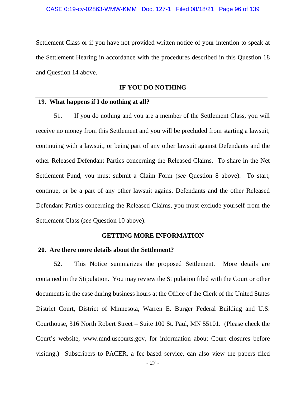Settlement Class or if you have not provided written notice of your intention to speak at the Settlement Hearing in accordance with the procedures described in this Question 18 and Question 14 above.

### **IF YOU DO NOTHING**

### **19. What happens if I do nothing at all?**

51. If you do nothing and you are a member of the Settlement Class, you will receive no money from this Settlement and you will be precluded from starting a lawsuit, continuing with a lawsuit, or being part of any other lawsuit against Defendants and the other Released Defendant Parties concerning the Released Claims. To share in the Net Settlement Fund, you must submit a Claim Form (*see* Question 8 above). To start, continue, or be a part of any other lawsuit against Defendants and the other Released Defendant Parties concerning the Released Claims, you must exclude yourself from the Settlement Class (*see* Question 10 above).

### **GETTING MORE INFORMATION**

### **20. Are there more details about the Settlement?**

52. This Notice summarizes the proposed Settlement. More details are contained in the Stipulation. You may review the Stipulation filed with the Court or other documents in the case during business hours at the Office of the Clerk of the United States District Court, District of Minnesota, Warren E. Burger Federal Building and U.S. Courthouse, 316 North Robert Street – Suite 100 St. Paul, MN 55101. (Please check the Court's website, www.mnd.uscourts.gov, for information about Court closures before visiting.) Subscribers to PACER, a fee-based service, can also view the papers filed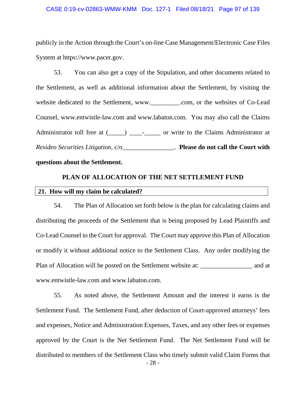### CASE 0:19-cv-02863-WMW-KMM Doc. 127-1 Filed 08/18/21 Page 97 of 139

publicly in the Action through the Court's on-line Case Management/Electronic Case Files System at https://www.pacer.gov.

53. You can also get a copy of the Stipulation, and other documents related to the Settlement, as well as additional information about the Settlement, by visiting the website dedicated to the Settlement, www.\_\_\_\_\_\_\_\_\_.com, or the websites of Co-Lead Counsel, www.entwistle-law.com and www.labaton.com. You may also call the Claims Administrator toll free at  $($   $)$   $)$   $\cdot$  or write to the Claims Administrator at *Resideo Securities Litigation,* c/o\_\_\_\_\_\_\_\_\_\_\_\_\_\_\_\_. **Please do not call the Court with** 

### **questions about the Settlement.**

### **PLAN OF ALLOCATION OF THE NET SETTLEMENT FUND**

### **21. How will my claim be calculated?**

54. The Plan of Allocation set forth below is the plan for calculating claims and distributing the proceeds of the Settlement that is being proposed by Lead Plaintiffs and Co-Lead Counsel to the Court for approval. The Court may approve this Plan of Allocation or modify it without additional notice to the Settlement Class. Any order modifying the Plan of Allocation will be posted on the Settlement website at: \_\_\_\_\_\_\_\_\_\_\_\_\_\_\_\_\_ and at www.entwistle-law.com and www.labaton.com.

- 28 - 55. As noted above, the Settlement Amount and the interest it earns is the Settlement Fund. The Settlement Fund, after deduction of Court-approved attorneys' fees and expenses, Notice and Administration Expenses, Taxes, and any other fees or expenses approved by the Court is the Net Settlement Fund. The Net Settlement Fund will be distributed to members of the Settlement Class who timely submit valid Claim Forms that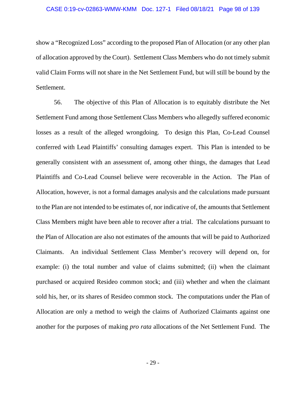show a "Recognized Loss" according to the proposed Plan of Allocation (or any other plan of allocation approved by the Court). Settlement Class Members who do not timely submit valid Claim Forms will not share in the Net Settlement Fund, but will still be bound by the Settlement.

56. The objective of this Plan of Allocation is to equitably distribute the Net Settlement Fund among those Settlement Class Members who allegedly suffered economic losses as a result of the alleged wrongdoing. To design this Plan, Co-Lead Counsel conferred with Lead Plaintiffs' consulting damages expert. This Plan is intended to be generally consistent with an assessment of, among other things, the damages that Lead Plaintiffs and Co-Lead Counsel believe were recoverable in the Action. The Plan of Allocation, however, is not a formal damages analysis and the calculations made pursuant to the Plan are not intended to be estimates of, nor indicative of, the amounts that Settlement Class Members might have been able to recover after a trial. The calculations pursuant to the Plan of Allocation are also not estimates of the amounts that will be paid to Authorized Claimants. An individual Settlement Class Member's recovery will depend on, for example: (i) the total number and value of claims submitted; (ii) when the claimant purchased or acquired Resideo common stock; and (iii) whether and when the claimant sold his, her, or its shares of Resideo common stock. The computations under the Plan of Allocation are only a method to weigh the claims of Authorized Claimants against one another for the purposes of making *pro rata* allocations of the Net Settlement Fund. The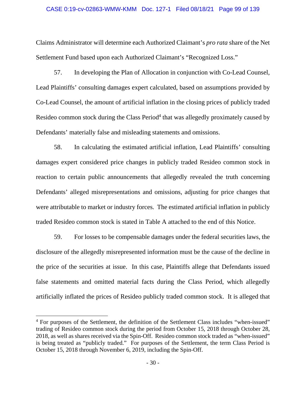### CASE 0:19-cv-02863-WMW-KMM Doc. 127-1 Filed 08/18/21 Page 99 of 139

Claims Administrator will determine each Authorized Claimant's *pro rata* share of the Net Settlement Fund based upon each Authorized Claimant's "Recognized Loss."

57. In developing the Plan of Allocation in conjunction with Co-Lead Counsel, Lead Plaintiffs' consulting damages expert calculated, based on assumptions provided by Co-Lead Counsel, the amount of artificial inflation in the closing prices of publicly traded Resideo common stock during the Class Period<sup>4</sup> that was allegedly proximately caused by Defendants' materially false and misleading statements and omissions.

58. In calculating the estimated artificial inflation, Lead Plaintiffs' consulting damages expert considered price changes in publicly traded Resideo common stock in reaction to certain public announcements that allegedly revealed the truth concerning Defendants' alleged misrepresentations and omissions, adjusting for price changes that were attributable to market or industry forces. The estimated artificial inflation in publicly traded Resideo common stock is stated in Table A attached to the end of this Notice.

59. For losses to be compensable damages under the federal securities laws, the disclosure of the allegedly misrepresented information must be the cause of the decline in the price of the securities at issue. In this case, Plaintiffs allege that Defendants issued false statements and omitted material facts during the Class Period, which allegedly artificially inflated the prices of Resideo publicly traded common stock. It is alleged that

<sup>&</sup>lt;sup>4</sup> For purposes of the Settlement, the definition of the Settlement Class includes "when-issued" trading of Resideo common stock during the period from October 15, 2018 through October 28, 2018, as well as shares received via the Spin-Off. Resideo common stock traded as "when-issued" is being treated as "publicly traded." For purposes of the Settlement, the term Class Period is October 15, 2018 through November 6, 2019, including the Spin-Off.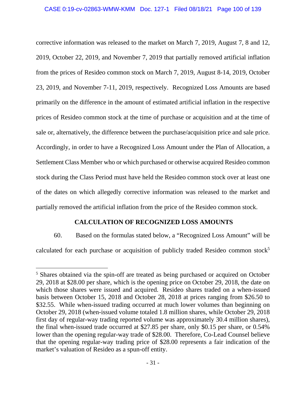corrective information was released to the market on March 7, 2019, August 7, 8 and 12, 2019, October 22, 2019, and November 7, 2019 that partially removed artificial inflation from the prices of Resideo common stock on March 7, 2019, August 8-14, 2019, October 23, 2019, and November 7-11, 2019, respectively. Recognized Loss Amounts are based primarily on the difference in the amount of estimated artificial inflation in the respective prices of Resideo common stock at the time of purchase or acquisition and at the time of sale or, alternatively, the difference between the purchase/acquisition price and sale price. Accordingly, in order to have a Recognized Loss Amount under the Plan of Allocation, a Settlement Class Member who or which purchased or otherwise acquired Resideo common stock during the Class Period must have held the Resideo common stock over at least one of the dates on which allegedly corrective information was released to the market and partially removed the artificial inflation from the price of the Resideo common stock.

## **CALCULATION OF RECOGNIZED LOSS AMOUNTS**

60. Based on the formulas stated below, a "Recognized Loss Amount" will be calculated for each purchase or acquisition of publicly traded Resideo common stock<sup>5</sup>

<sup>&</sup>lt;sup>5</sup> Shares obtained via the spin-off are treated as being purchased or acquired on October 29, 2018 at \$28.00 per share, which is the opening price on October 29, 2018, the date on which those shares were issued and acquired. Resideo shares traded on a when-issued basis between October 15, 2018 and October 28, 2018 at prices ranging from \$26.50 to \$32.55. While when-issued trading occurred at much lower volumes than beginning on October 29, 2018 (when-issued volume totaled 1.8 million shares, while October 29, 2018 first day of regular-way trading reported volume was approximately 30.4 million shares), the final when-issued trade occurred at \$27.85 per share, only \$0.15 per share, or 0.54% lower than the opening regular-way trade of \$28.00. Therefore, Co-Lead Counsel believe that the opening regular-way trading price of \$28.00 represents a fair indication of the market's valuation of Resideo as a spun-off entity.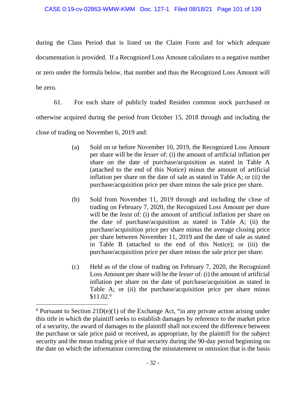during the Class Period that is listed on the Claim Form and for which adequate documentation is provided. If a Recognized Loss Amount calculates to a negative number or zero under the formula below, that number and thus the Recognized Loss Amount will be zero.

61. For each share of publicly traded Resideo common stock purchased or otherwise acquired during the period from October 15, 2018 through and including the close of trading on November 6, 2019 and:

- (a) Sold on or before November 10, 2019, the Recognized Loss Amount per share will be the *lesser* of: (i) the amount of artificial inflation per share on the date of purchase/acquisition as stated in Table A (attached to the end of this Notice) minus the amount of artificial inflation per share on the date of sale as stated in Table A; or (ii) the purchase/acquisition price per share minus the sale price per share.
- (b) Sold from November 11, 2019 through and including the close of trading on February 7, 2020, the Recognized Loss Amount per share will be the *least* of: (i) the amount of artificial inflation per share on the date of purchase/acquisition as stated in Table A; (ii) the purchase/acquisition price per share minus the average closing price per share between November 11, 2019 and the date of sale as stated in Table B (attached to the end of this Notice); or (iii) the purchase/acquisition price per share minus the sale price per share.
- (c) Held as of the close of trading on February 7, 2020, the Recognized Loss Amount per share will be the *lesser* of: (i) the amount of artificial inflation per share on the date of purchase/acquisition as stated in Table A; or (ii) the purchase/acquisition price per share minus \$11.02.6

 $6$  Pursuant to Section 21D(e)(1) of the Exchange Act, "in any private action arising under this title in which the plaintiff seeks to establish damages by reference to the market price of a security, the award of damages to the plaintiff shall not exceed the difference between the purchase or sale price paid or received, as appropriate, by the plaintiff for the subject security and the mean trading price of that security during the 90-day period beginning on the date on which the information correcting the misstatement or omission that is the basis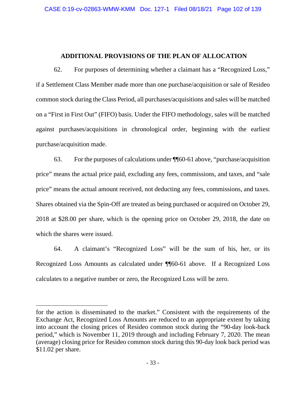## **ADDITIONAL PROVISIONS OF THE PLAN OF ALLOCATION**

62. For purposes of determining whether a claimant has a "Recognized Loss," if a Settlement Class Member made more than one purchase/acquisition or sale of Resideo common stock during the Class Period, all purchases/acquisitions and sales will be matched on a "First in First Out" (FIFO) basis. Under the FIFO methodology, sales will be matched against purchases/acquisitions in chronological order, beginning with the earliest purchase/acquisition made.

63. For the purposes of calculations under ¶¶60-61 above, "purchase/acquisition price" means the actual price paid, excluding any fees, commissions, and taxes, and "sale price" means the actual amount received, not deducting any fees, commissions, and taxes. Shares obtained via the Spin-Off are treated as being purchased or acquired on October 29, 2018 at \$28.00 per share, which is the opening price on October 29, 2018, the date on which the shares were issued.

64. A claimant's "Recognized Loss" will be the sum of his, her, or its Recognized Loss Amounts as calculated under ¶¶60-61 above. If a Recognized Loss calculates to a negative number or zero, the Recognized Loss will be zero.

for the action is disseminated to the market." Consistent with the requirements of the Exchange Act, Recognized Loss Amounts are reduced to an appropriate extent by taking into account the closing prices of Resideo common stock during the "90-day look-back period," which is November 11, 2019 through and including February 7, 2020. The mean (average) closing price for Resideo common stock during this 90-day look back period was \$11.02 per share.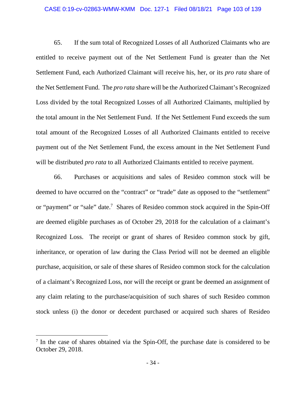### CASE 0:19-cv-02863-WMW-KMM Doc. 127-1 Filed 08/18/21 Page 103 of 139

65. If the sum total of Recognized Losses of all Authorized Claimants who are entitled to receive payment out of the Net Settlement Fund is greater than the Net Settlement Fund, each Authorized Claimant will receive his, her, or its *pro rata* share of the Net Settlement Fund. The *pro rata* share will be the Authorized Claimant's Recognized Loss divided by the total Recognized Losses of all Authorized Claimants, multiplied by the total amount in the Net Settlement Fund. If the Net Settlement Fund exceeds the sum total amount of the Recognized Losses of all Authorized Claimants entitled to receive payment out of the Net Settlement Fund, the excess amount in the Net Settlement Fund will be distributed *pro rata* to all Authorized Claimants entitled to receive payment.

66. Purchases or acquisitions and sales of Resideo common stock will be deemed to have occurred on the "contract" or "trade" date as opposed to the "settlement" or "payment" or "sale" date.<sup>7</sup> Shares of Resideo common stock acquired in the Spin-Off are deemed eligible purchases as of October 29, 2018 for the calculation of a claimant's Recognized Loss. The receipt or grant of shares of Resideo common stock by gift, inheritance, or operation of law during the Class Period will not be deemed an eligible purchase, acquisition, or sale of these shares of Resideo common stock for the calculation of a claimant's Recognized Loss, nor will the receipt or grant be deemed an assignment of any claim relating to the purchase/acquisition of such shares of such Resideo common stock unless (i) the donor or decedent purchased or acquired such shares of Resideo

<sup>&</sup>lt;sup>7</sup> In the case of shares obtained via the Spin-Off, the purchase date is considered to be October 29, 2018.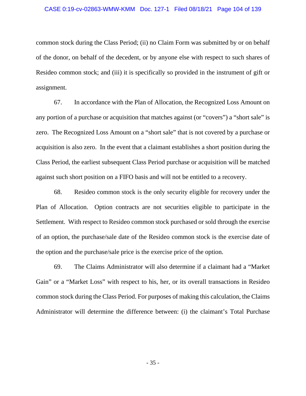### CASE 0:19-cv-02863-WMW-KMM Doc. 127-1 Filed 08/18/21 Page 104 of 139

common stock during the Class Period; (ii) no Claim Form was submitted by or on behalf of the donor, on behalf of the decedent, or by anyone else with respect to such shares of Resideo common stock; and (iii) it is specifically so provided in the instrument of gift or assignment.

67. In accordance with the Plan of Allocation, the Recognized Loss Amount on any portion of a purchase or acquisition that matches against (or "covers") a "short sale" is zero. The Recognized Loss Amount on a "short sale" that is not covered by a purchase or acquisition is also zero. In the event that a claimant establishes a short position during the Class Period, the earliest subsequent Class Period purchase or acquisition will be matched against such short position on a FIFO basis and will not be entitled to a recovery.

68. Resideo common stock is the only security eligible for recovery under the Plan of Allocation. Option contracts are not securities eligible to participate in the Settlement. With respect to Resideo common stock purchased or sold through the exercise of an option, the purchase/sale date of the Resideo common stock is the exercise date of the option and the purchase/sale price is the exercise price of the option.

69. The Claims Administrator will also determine if a claimant had a "Market Gain" or a "Market Loss" with respect to his, her, or its overall transactions in Resideo common stock during the Class Period. For purposes of making this calculation, the Claims Administrator will determine the difference between: (i) the claimant's Total Purchase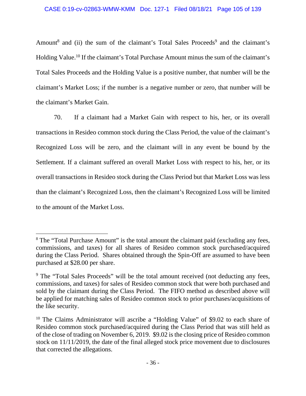Amount<sup>8</sup> and (ii) the sum of the claimant's Total Sales Proceeds<sup>9</sup> and the claimant's Holding Value.10 If the claimant's Total Purchase Amount minus the sum of the claimant's Total Sales Proceeds and the Holding Value is a positive number, that number will be the claimant's Market Loss; if the number is a negative number or zero, that number will be the claimant's Market Gain.

70. If a claimant had a Market Gain with respect to his, her, or its overall transactions in Resideo common stock during the Class Period, the value of the claimant's Recognized Loss will be zero, and the claimant will in any event be bound by the Settlement. If a claimant suffered an overall Market Loss with respect to his, her, or its overall transactions in Resideo stock during the Class Period but that Market Loss was less than the claimant's Recognized Loss, then the claimant's Recognized Loss will be limited to the amount of the Market Loss.

<sup>&</sup>lt;sup>8</sup> The "Total Purchase Amount" is the total amount the claimant paid (excluding any fees, commissions, and taxes) for all shares of Resideo common stock purchased/acquired during the Class Period. Shares obtained through the Spin-Off are assumed to have been purchased at \$28.00 per share.

<sup>&</sup>lt;sup>9</sup> The "Total Sales Proceeds" will be the total amount received (not deducting any fees, commissions, and taxes) for sales of Resideo common stock that were both purchased and sold by the claimant during the Class Period. The FIFO method as described above will be applied for matching sales of Resideo common stock to prior purchases/acquisitions of the like security.

<sup>&</sup>lt;sup>10</sup> The Claims Administrator will ascribe a "Holding Value" of \$9.02 to each share of Resideo common stock purchased/acquired during the Class Period that was still held as of the close of trading on November 6, 2019. \$9.02 is the closing price of Resideo common stock on 11/11/2019, the date of the final alleged stock price movement due to disclosures that corrected the allegations.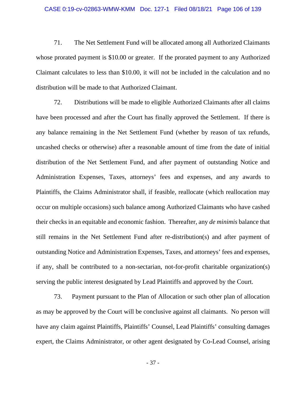71. The Net Settlement Fund will be allocated among all Authorized Claimants whose prorated payment is \$10.00 or greater. If the prorated payment to any Authorized Claimant calculates to less than \$10.00, it will not be included in the calculation and no distribution will be made to that Authorized Claimant.

72. Distributions will be made to eligible Authorized Claimants after all claims have been processed and after the Court has finally approved the Settlement. If there is any balance remaining in the Net Settlement Fund (whether by reason of tax refunds, uncashed checks or otherwise) after a reasonable amount of time from the date of initial distribution of the Net Settlement Fund, and after payment of outstanding Notice and Administration Expenses, Taxes, attorneys' fees and expenses, and any awards to Plaintiffs, the Claims Administrator shall, if feasible, reallocate (which reallocation may occur on multiple occasions) such balance among Authorized Claimants who have cashed their checks in an equitable and economic fashion. Thereafter, any *de minimis* balance that still remains in the Net Settlement Fund after re-distribution(s) and after payment of outstanding Notice and Administration Expenses, Taxes, and attorneys' fees and expenses, if any, shall be contributed to a non-sectarian, not-for-profit charitable organization(s) serving the public interest designated by Lead Plaintiffs and approved by the Court.

73. Payment pursuant to the Plan of Allocation or such other plan of allocation as may be approved by the Court will be conclusive against all claimants. No person will have any claim against Plaintiffs, Plaintiffs' Counsel, Lead Plaintiffs' consulting damages expert, the Claims Administrator, or other agent designated by Co-Lead Counsel, arising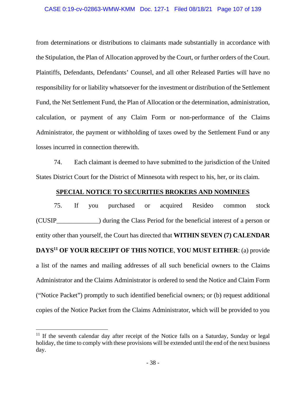from determinations or distributions to claimants made substantially in accordance with the Stipulation, the Plan of Allocation approved by the Court, or further orders of the Court. Plaintiffs, Defendants, Defendants' Counsel, and all other Released Parties will have no responsibility for or liability whatsoever for the investment or distribution of the Settlement Fund, the Net Settlement Fund, the Plan of Allocation or the determination, administration, calculation, or payment of any Claim Form or non-performance of the Claims Administrator, the payment or withholding of taxes owed by the Settlement Fund or any losses incurred in connection therewith.

74. Each claimant is deemed to have submitted to the jurisdiction of the United States District Court for the District of Minnesota with respect to his, her, or its claim.

### **SPECIAL NOTICE TO SECURITIES BROKERS AND NOMINEES**

75. If you purchased or acquired Resideo common stock (CUSIP\_\_\_\_\_\_\_\_\_\_\_\_\_) during the Class Period for the beneficial interest of a person or entity other than yourself, the Court has directed that **WITHIN SEVEN (7) CALENDAR DAYS11 OF YOUR RECEIPT OF THIS NOTICE**, **YOU MUST EITHER**: (a) provide a list of the names and mailing addresses of all such beneficial owners to the Claims Administrator and the Claims Administrator is ordered to send the Notice and Claim Form ("Notice Packet") promptly to such identified beneficial owners; or (b) request additional copies of the Notice Packet from the Claims Administrator, which will be provided to you

<sup>&</sup>lt;sup>11</sup> If the seventh calendar day after receipt of the Notice falls on a Saturday, Sunday or legal holiday, the time to comply with these provisions will be extended until the end of the next business day.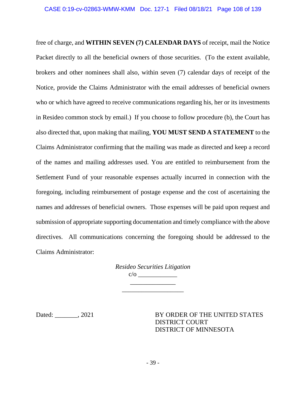free of charge, and **WITHIN SEVEN (7) CALENDAR DAYS** of receipt, mail the Notice Packet directly to all the beneficial owners of those securities. (To the extent available, brokers and other nominees shall also, within seven (7) calendar days of receipt of the Notice, provide the Claims Administrator with the email addresses of beneficial owners who or which have agreed to receive communications regarding his, her or its investments in Resideo common stock by email.) If you choose to follow procedure (b), the Court has also directed that, upon making that mailing, **YOU MUST SEND A STATEMENT** to the Claims Administrator confirming that the mailing was made as directed and keep a record of the names and mailing addresses used. You are entitled to reimbursement from the Settlement Fund of your reasonable expenses actually incurred in connection with the foregoing, including reimbursement of postage expense and the cost of ascertaining the names and addresses of beneficial owners. Those expenses will be paid upon request and submission of appropriate supporting documentation and timely compliance with the above directives. All communications concerning the foregoing should be addressed to the Claims Administrator:

|     | Resideo Securities Litigation |
|-----|-------------------------------|
| C/O |                               |
|     |                               |

\_\_\_\_\_\_\_\_\_\_\_\_\_\_\_\_\_\_\_

Dated: 2021 BY ORDER OF THE UNITED STATES DISTRICT COURT DISTRICT OF MINNESOTA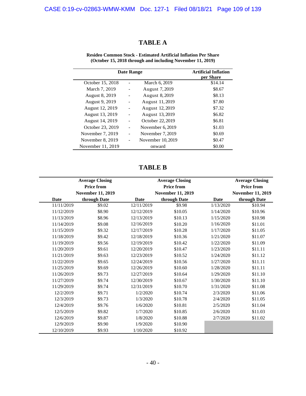## **TABLE A**

| Date Range        |  |                   | <b>Artificial Inflation</b><br>per Share |
|-------------------|--|-------------------|------------------------------------------|
| October 15, 2018  |  | March 6, 2019     | \$14.14                                  |
| March 7, 2019     |  | August 7, 2019    | \$8.67                                   |
| August 8, 2019    |  | August 8, 2019    | \$8.13                                   |
| August 9, 2019    |  | August 11, 2019   | \$7.80                                   |
| August 12, 2019   |  | August 12, 2019   | \$7.32                                   |
| August 13, 2019   |  | August 13, 2019   | \$6.82                                   |
| August 14, 2019   |  | October 22, 2019  | \$6.81                                   |
| October 23, 2019  |  | November 6, 2019  | \$1.03                                   |
| November 7, 2019  |  | November 7, 2019  | \$0.69                                   |
| November 8, 2019  |  | November 10, 2019 | \$0.47                                   |
| November 11, 2019 |  | onward            | \$0.00                                   |

**Resideo Common Stock - Estimated Artificial Inflation Per Share (October 15, 2018 through and including November 11, 2019)** 

**TABLE B** 

|             | <b>Average Closing</b><br><b>Price from</b> |            | <b>Average Closing</b><br><b>Price from</b> |           | <b>Average Closing</b><br><b>Price from</b> |
|-------------|---------------------------------------------|------------|---------------------------------------------|-----------|---------------------------------------------|
|             | <b>November 11, 2019</b>                    |            | <b>November 11, 2019</b>                    |           | <b>November 11, 2019</b>                    |
| <b>Date</b> | through Date                                | Date       | through Date                                | Date      | through Date                                |
| 11/11/2019  | \$9.02                                      | 12/11/2019 | \$9.98                                      | 1/13/2020 | \$10.94                                     |
| 11/12/2019  | \$8.90                                      | 12/12/2019 | \$10.05                                     | 1/14/2020 | \$10.96                                     |
| 11/13/2019  | \$8.96                                      | 12/13/2019 | \$10.13                                     | 1/15/2020 | \$10.98                                     |
| 11/14/2019  | \$9.08                                      | 12/16/2019 | \$10.20                                     | 1/16/2020 | \$11.01                                     |
| 11/15/2019  | \$9.32                                      | 12/17/2019 | \$10.28                                     | 1/17/2020 | \$11.05                                     |
| 11/18/2019  | \$9.42                                      | 12/18/2019 | \$10.36                                     | 1/21/2020 | \$11.07                                     |
| 11/19/2019  | \$9.56                                      | 12/19/2019 | \$10.42                                     | 1/22/2020 | \$11.09                                     |
| 11/20/2019  | \$9.61                                      | 12/20/2019 | \$10.47                                     | 1/23/2020 | \$11.11                                     |
| 11/21/2019  | \$9.63                                      | 12/23/2019 | \$10.52                                     | 1/24/2020 | \$11.12                                     |
| 11/22/2019  | \$9.65                                      | 12/24/2019 | \$10.56                                     | 1/27/2020 | \$11.11                                     |
| 11/25/2019  | \$9.69                                      | 12/26/2019 | \$10.60                                     | 1/28/2020 | \$11.11                                     |
| 11/26/2019  | \$9.73                                      | 12/27/2019 | \$10.64                                     | 1/29/2020 | \$11.10                                     |
| 11/27/2019  | \$9.74                                      | 12/30/2019 | \$10.67                                     | 1/30/2020 | \$11.10                                     |
| 11/29/2019  | \$9.74                                      | 12/31/2019 | \$10.70                                     | 1/31/2020 | \$11.08                                     |
| 12/2/2019   | \$9.71                                      | 1/2/2020   | \$10.74                                     | 2/3/2020  | \$11.06                                     |
| 12/3/2019   | \$9.73                                      | 1/3/2020   | \$10.78                                     | 2/4/2020  | \$11.05                                     |
| 12/4/2019   | \$9.76                                      | 1/6/2020   | \$10.81                                     | 2/5/2020  | \$11.04                                     |
| 12/5/2019   | \$9.82                                      | 1/7/2020   | \$10.85                                     | 2/6/2020  | \$11.03                                     |
| 12/6/2019   | \$9.87                                      | 1/8/2020   | \$10.88                                     | 2/7/2020  | \$11.02                                     |
| 12/9/2019   | \$9.90                                      | 1/9/2020   | \$10.90                                     |           |                                             |
| 12/10/2019  | \$9.93                                      | 1/10/2020  | \$10.92                                     |           |                                             |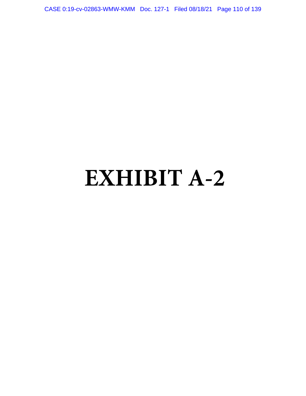CASE 0:19-cv-02863-WMW-KMM Doc. 127-1 Filed 08/18/21 Page 110 of 139

# **EXHIBIT A-2**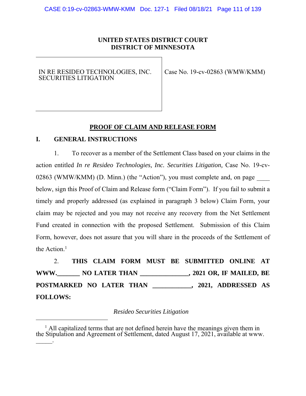## **UNITED STATES DISTRICT COURT DISTRICT OF MINNESOTA**

#### IN RE RESIDEO TECHNOLOGIES, INC. SECURITIES LITIGATION

Case No. 19-cv-02863 (WMW/KMM)

#### **PROOF OF CLAIM AND RELEASE FORM**

#### **I. GENERAL INSTRUCTIONS**

1. To recover as a member of the Settlement Class based on your claims in the action entitled *In re Resideo Technologies, Inc. Securities Litigation,* Case No. 19-cv-02863 (WMW/KMM) (D. Minn.) (the "Action"), you must complete and, on page below, sign this Proof of Claim and Release form ("Claim Form"). If you fail to submit a timely and properly addressed (as explained in paragraph 3 below) Claim Form, your claim may be rejected and you may not receive any recovery from the Net Settlement Fund created in connection with the proposed Settlement. Submission of this Claim Form, however, does not assure that you will share in the proceeds of the Settlement of the Action.<sup>1</sup>

2. **THIS CLAIM FORM MUST BE SUBMITTED ONLINE AT WWW.\_\_\_\_\_\_\_ NO LATER THAN \_\_\_\_\_\_\_\_\_\_\_\_\_\_\_, 2021 OR, IF MAILED, BE POSTMARKED NO LATER THAN \_\_\_\_\_\_\_\_\_\_\_\_, 2021, ADDRESSED AS FOLLOWS:** 

*Resideo Securities Litigation* 

<sup>&</sup>lt;sup>1</sup> All capitalized terms that are not defined herein have the meanings given them in the Stipulation and Agreement of Settlement, dated August 17, 2021, available at www.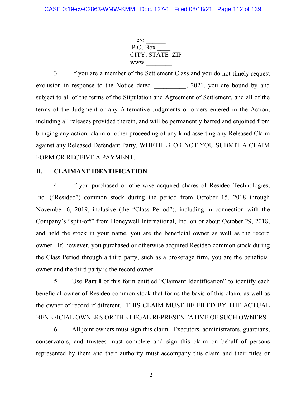$c/o$ P.O. Box \_\_\_CITY, STATE ZIP www.

3. If you are a member of the Settlement Class and you do not timely request exclusion in response to the Notice dated , 2021, you are bound by and subject to all of the terms of the Stipulation and Agreement of Settlement, and all of the terms of the Judgment or any Alternative Judgments or orders entered in the Action, including all releases provided therein, and will be permanently barred and enjoined from bringing any action, claim or other proceeding of any kind asserting any Released Claim against any Released Defendant Party, WHETHER OR NOT YOU SUBMIT A CLAIM FORM OR RECEIVE A PAYMENT.

## **II. CLAIMANT IDENTIFICATION**

4. If you purchased or otherwise acquired shares of Resideo Technologies, Inc. ("Resideo") common stock during the period from October 15, 2018 through November 6, 2019, inclusive (the "Class Period"), including in connection with the Company's "spin-off" from Honeywell International, Inc. on or about October 29, 2018, and held the stock in your name, you are the beneficial owner as well as the record owner. If, however, you purchased or otherwise acquired Resideo common stock during the Class Period through a third party, such as a brokerage firm, you are the beneficial owner and the third party is the record owner.

5. Use **Part I** of this form entitled "Claimant Identification" to identify each beneficial owner of Resideo common stock that forms the basis of this claim, as well as the owner of record if different. THIS CLAIM MUST BE FILED BY THE ACTUAL BENEFICIAL OWNERS OR THE LEGAL REPRESENTATIVE OF SUCH OWNERS.

6. All joint owners must sign this claim. Executors, administrators, guardians, conservators, and trustees must complete and sign this claim on behalf of persons represented by them and their authority must accompany this claim and their titles or

2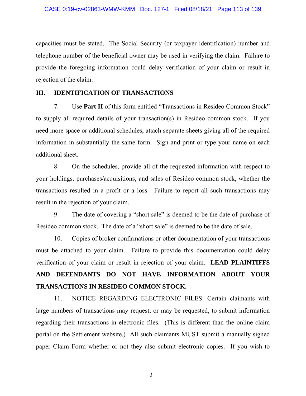capacities must be stated. The Social Security (or taxpayer identification) number and telephone number of the beneficial owner may be used in verifying the claim. Failure to provide the foregoing information could delay verification of your claim or result in rejection of the claim.

#### **III. IDENTIFICATION OF TRANSACTIONS**

7. Use **Part II** of this form entitled "Transactions in Resideo Common Stock" to supply all required details of your transaction(s) in Resideo common stock. If you need more space or additional schedules, attach separate sheets giving all of the required information in substantially the same form. Sign and print or type your name on each additional sheet.

8. On the schedules, provide all of the requested information with respect to your holdings, purchases/acquisitions, and sales of Resideo common stock, whether the transactions resulted in a profit or a loss. Failure to report all such transactions may result in the rejection of your claim.

9. The date of covering a "short sale" is deemed to be the date of purchase of Resideo common stock. The date of a "short sale" is deemed to be the date of sale.

10. Copies of broker confirmations or other documentation of your transactions must be attached to your claim. Failure to provide this documentation could delay verification of your claim or result in rejection of your claim. **LEAD PLAINTIFFS AND DEFENDANTS DO NOT HAVE INFORMATION ABOUT YOUR TRANSACTIONS IN RESIDEO COMMON STOCK.**

11. NOTICE REGARDING ELECTRONIC FILES: Certain claimants with large numbers of transactions may request, or may be requested, to submit information regarding their transactions in electronic files. (This is different than the online claim portal on the Settlement website.) All such claimants MUST submit a manually signed paper Claim Form whether or not they also submit electronic copies. If you wish to

3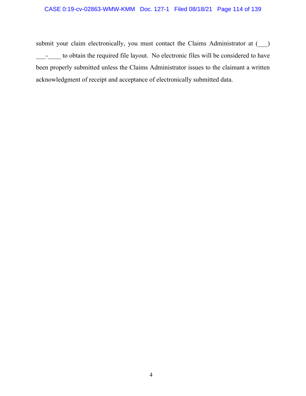## CASE 0:19-cv-02863-WMW-KMM Doc. 127-1 Filed 08/18/21 Page 114 of 139

submit your claim electronically, you must contact the Claims Administrator at  $($ \_\_\_-\_\_\_\_ to obtain the required file layout. No electronic files will be considered to have been properly submitted unless the Claims Administrator issues to the claimant a written acknowledgment of receipt and acceptance of electronically submitted data.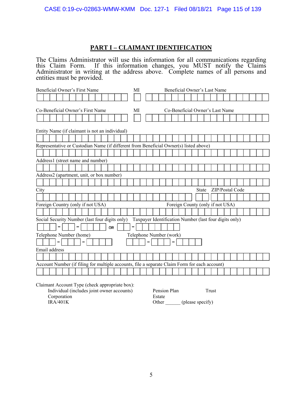## **PART I – CLAIMANT IDENTIFICATION**

The Claims Administrator will use this information for all communications regarding this Claim Form. If this information changes, you MUST notify the Claims Administrator in writing at the address above. Complete names of all persons and entities must be provided.

| Beneficial Owner's First Name                                                                 | МI | Beneficial Owner's Last Name                           |  |  |
|-----------------------------------------------------------------------------------------------|----|--------------------------------------------------------|--|--|
|                                                                                               |    |                                                        |  |  |
|                                                                                               |    |                                                        |  |  |
| Co-Beneficial Owner's Last Name<br>Co-Beneficial Owner's First Name<br>МI                     |    |                                                        |  |  |
|                                                                                               |    |                                                        |  |  |
|                                                                                               |    |                                                        |  |  |
| Entity Name (if claimant is not an individual)                                                |    |                                                        |  |  |
|                                                                                               |    |                                                        |  |  |
| Representative or Custodian Name (if different from Beneficial Owner(s) listed above)         |    |                                                        |  |  |
|                                                                                               |    |                                                        |  |  |
| Address1 (street name and number)                                                             |    |                                                        |  |  |
|                                                                                               |    |                                                        |  |  |
| Address2 (apartment, unit, or box number)                                                     |    |                                                        |  |  |
|                                                                                               |    |                                                        |  |  |
|                                                                                               |    |                                                        |  |  |
| City                                                                                          |    | ZIP/Postal Code<br><b>State</b>                        |  |  |
|                                                                                               |    |                                                        |  |  |
| Foreign Country (only if not USA)                                                             |    | Foreign County (only if not USA)                       |  |  |
|                                                                                               |    |                                                        |  |  |
| Social Security Number (last four digits only)                                                |    | Taxpayer Identification Number (last four digits only) |  |  |
| 0R                                                                                            |    |                                                        |  |  |
| Telephone Number (home)                                                                       |    | Telephone Number (work)                                |  |  |
|                                                                                               |    |                                                        |  |  |
|                                                                                               |    |                                                        |  |  |
| Email address                                                                                 |    |                                                        |  |  |
|                                                                                               |    |                                                        |  |  |
| Account Number (if filing for multiple accounts, file a separate Claim Form for each account) |    |                                                        |  |  |
|                                                                                               |    |                                                        |  |  |

Claimant Account Type (check appropriate box):

| Individual (includes joint owner accounts) | Pension Plan | Frust            |
|--------------------------------------------|--------------|------------------|
| Corporation                                | Estate       |                  |
| IRA/401K                                   | Other        | (please specify) |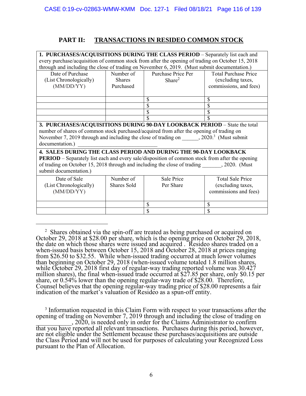## **PART II: TRANSACTIONS IN RESIDEO COMMON STOCK**

| 1. PURCHASES/ACQUISITIONS DURING THE CLASS PERIOD – Separately list each and                                                                                                                                                                                                                       |                                                                |                    |                         |  |
|----------------------------------------------------------------------------------------------------------------------------------------------------------------------------------------------------------------------------------------------------------------------------------------------------|----------------------------------------------------------------|--------------------|-------------------------|--|
| every purchase/acquisition of common stock from after the opening of trading on October 15, 2018                                                                                                                                                                                                   |                                                                |                    |                         |  |
| through and including the close of trading on November 6, 2019. (Must submit documentation.)                                                                                                                                                                                                       |                                                                |                    |                         |  |
| Date of Purchase                                                                                                                                                                                                                                                                                   | Number of<br><b>Total Purchase Price</b><br>Purchase Price Per |                    |                         |  |
| (List Chronologically)                                                                                                                                                                                                                                                                             | <b>Shares</b>                                                  | Share <sup>2</sup> | (excluding taxes,       |  |
| (MM/DD/YY)                                                                                                                                                                                                                                                                                         | Purchased                                                      |                    | commissions, and fees)  |  |
|                                                                                                                                                                                                                                                                                                    |                                                                |                    |                         |  |
|                                                                                                                                                                                                                                                                                                    |                                                                | S                  | S                       |  |
|                                                                                                                                                                                                                                                                                                    |                                                                | \$                 | \$                      |  |
|                                                                                                                                                                                                                                                                                                    |                                                                | \$                 |                         |  |
|                                                                                                                                                                                                                                                                                                    |                                                                | \$                 | \$                      |  |
| 3. PURCHASES/ACQUISITIONS DURING 90-DAY LOOKBACK PERIOD - State the total<br>number of shares of common stock purchased/acquired from after the opening of trading on<br>November 7, 2019 through and including the close of trading on ______, 2020. <sup>3</sup> (Must submit<br>documentation.) |                                                                |                    |                         |  |
| 4. SALES DURING THE CLASS PERIOD AND DURING THE 90-DAY LOOKBACK                                                                                                                                                                                                                                    |                                                                |                    |                         |  |
| <b>PERIOD</b> – Separately list each and every sale/disposition of common stock from after the opening                                                                                                                                                                                             |                                                                |                    |                         |  |
| of trading on October 15, 2018 through and including the close of trading , 2020. (Must                                                                                                                                                                                                            |                                                                |                    |                         |  |
| submit documentation.)                                                                                                                                                                                                                                                                             |                                                                |                    |                         |  |
| Date of Sale                                                                                                                                                                                                                                                                                       | Number of                                                      | Sale Price         | <b>Total Sale Price</b> |  |
| (List Chronologically)                                                                                                                                                                                                                                                                             | Shares Sold                                                    | Per Share          | (excluding taxes,       |  |
| (MM/DD/YY)                                                                                                                                                                                                                                                                                         |                                                                |                    | commissions and fees)   |  |
|                                                                                                                                                                                                                                                                                                    |                                                                |                    |                         |  |
|                                                                                                                                                                                                                                                                                                    |                                                                | \$                 | \$                      |  |
|                                                                                                                                                                                                                                                                                                    |                                                                | \$                 | \$                      |  |

<sup>&</sup>lt;sup>2</sup> Shares obtained via the spin-off are treated as being purchased or acquired on October 29, 2018 at \$28.00 per share, which is the opening price on October 29, 2018, the date on which those shares were issued and acquired. Resideo shares traded on a when-issued basis between October 15, 2018 and October 28, 2018 at prices ranging from \$26.50 to \$32.55. While when-issued trading occurred at much lower volumes than beginning on October 29, 2018 (when-issued volume totaled 1.8 million shares, while October 29, 2018 first day of regular-way trading reported volume was 30.427 million shares), the final when-issued trade occurred at \$27.85 per share, only \$0.15 per share, or 0.54% lower than the opening regular-way trade of \$28.00. Therefore, Counsel believes that the opening regular-way trading price of \$28.00 represents a fair indication of the market's valuation of Resideo as a spun-off entity.

<sup>3</sup> Information requested in this Claim Form with respect to your transactions after the opening of trading on November 7, 2019 through and including the close of trading on \_\_\_\_\_\_\_\_\_\_\_, 2020, is needed only in order for the Claims Administrator to confirm that you have reported all relevant transactions. Purchases during this period, however, are not eligible under the Settlement because these purchases/acquisitions are outside the Class Period and will not be used for purposes of calculating your Recognized Loss pursuant to the Plan of Allocation.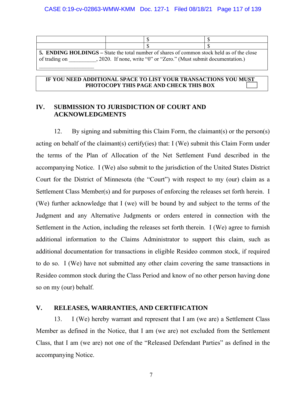| 5. ENDING HOLDINGS – State the total number of shares of common stock held as of the close |  |  |  |  |
|--------------------------------------------------------------------------------------------|--|--|--|--|
| , 2020. If none, write "0" or "Zero." (Must submit documentation.)<br>of trading on        |  |  |  |  |
|                                                                                            |  |  |  |  |

#### **IF YOU NEED ADDITIONAL SPACE TO LIST YOUR TRANSACTIONS YOU MUST PHOTOCOPY THIS PAGE AND CHECK THIS BOX**

#### **IV. SUBMISSION TO JURISDICTION OF COURT AND ACKNOWLEDGMENTS**

12. By signing and submitting this Claim Form, the claimant(s) or the person(s) acting on behalf of the claimant(s) certify(ies) that: I (We) submit this Claim Form under the terms of the Plan of Allocation of the Net Settlement Fund described in the accompanying Notice. I (We) also submit to the jurisdiction of the United States District Court for the District of Minnesota (the "Court") with respect to my (our) claim as a Settlement Class Member(s) and for purposes of enforcing the releases set forth herein. I (We) further acknowledge that I (we) will be bound by and subject to the terms of the Judgment and any Alternative Judgments or orders entered in connection with the Settlement in the Action, including the releases set forth therein. I (We) agree to furnish additional information to the Claims Administrator to support this claim, such as additional documentation for transactions in eligible Resideo common stock, if required to do so. I (We) have not submitted any other claim covering the same transactions in Resideo common stock during the Class Period and know of no other person having done so on my (our) behalf.

#### **V. RELEASES, WARRANTIES, AND CERTIFICATION**

13. I (We) hereby warrant and represent that I am (we are) a Settlement Class Member as defined in the Notice, that I am (we are) not excluded from the Settlement Class, that I am (we are) not one of the "Released Defendant Parties" as defined in the accompanying Notice.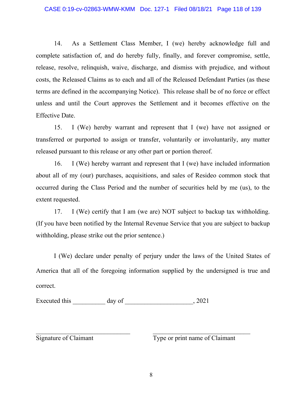14. As a Settlement Class Member, I (we) hereby acknowledge full and complete satisfaction of, and do hereby fully, finally, and forever compromise, settle, release, resolve, relinquish, waive, discharge, and dismiss with prejudice, and without costs, the Released Claims as to each and all of the Released Defendant Parties (as these terms are defined in the accompanying Notice). This release shall be of no force or effect unless and until the Court approves the Settlement and it becomes effective on the Effective Date.

15. I (We) hereby warrant and represent that I (we) have not assigned or transferred or purported to assign or transfer, voluntarily or involuntarily, any matter released pursuant to this release or any other part or portion thereof.

16. I (We) hereby warrant and represent that I (we) have included information about all of my (our) purchases, acquisitions, and sales of Resideo common stock that occurred during the Class Period and the number of securities held by me (us), to the extent requested.

17. I (We) certify that I am (we are) NOT subject to backup tax withholding. (If you have been notified by the Internal Revenue Service that you are subject to backup withholding, please strike out the prior sentence.)

I (We) declare under penalty of perjury under the laws of the United States of America that all of the foregoing information supplied by the undersigned is true and correct.

Executed this  $\_\_\_\_\_\_\$  day of  $\_\_\_\_\_\_\_\_\_\_$ , 2021

Signature of Claimant Type or print name of Claimant

 $\mathcal{L}_\text{max}$  and the contract of the contract of the contract of the contract of the contract of the contract of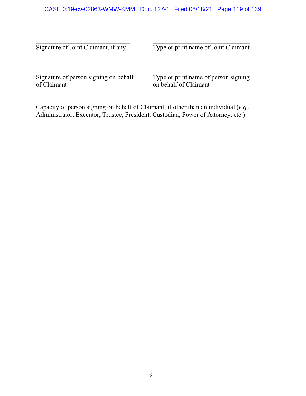Signature of Joint Claimant, if any Type or print name of Joint Claimant

Signature of person signing on behalf<br>of Claimant

 $\mathcal{L}_\text{max}$ 

Type or print name of person signing on behalf of Claimant

Capacity of person signing on behalf of Claimant, if other than an individual (*e.g.,* Administrator, Executor, Trustee, President, Custodian, Power of Attorney, etc.)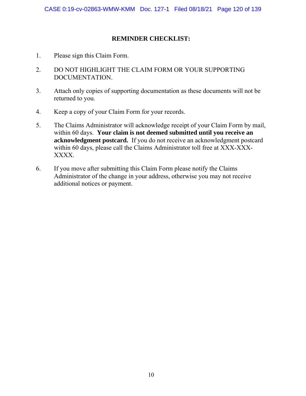### **REMINDER CHECKLIST:**

- 1. Please sign this Claim Form.
- 2. DO NOT HIGHLIGHT THE CLAIM FORM OR YOUR SUPPORTING DOCUMENTATION.
- 3. Attach only copies of supporting documentation as these documents will not be returned to you.
- 4. Keep a copy of your Claim Form for your records.
- 5. The Claims Administrator will acknowledge receipt of your Claim Form by mail, within 60 days. **Your claim is not deemed submitted until you receive an acknowledgment postcard.** If you do not receive an acknowledgment postcard within 60 days, please call the Claims Administrator toll free at XXX-XXX-XXXX.
- 6. If you move after submitting this Claim Form please notify the Claims Administrator of the change in your address, otherwise you may not receive additional notices or payment.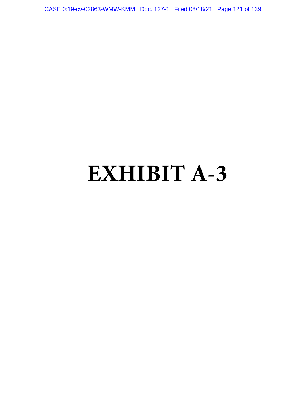CASE 0:19-cv-02863-WMW-KMM Doc. 127-1 Filed 08/18/21 Page 121 of 139

# **EXHIBIT A-3**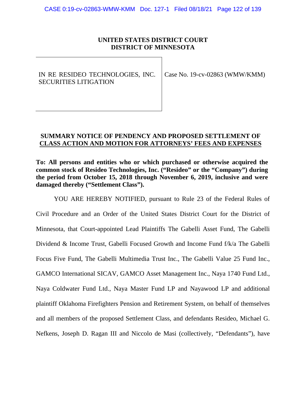### **UNITED STATES DISTRICT COURT DISTRICT OF MINNESOTA**

IN RE RESIDEO TECHNOLOGIES, INC. SECURITIES LITIGATION

Case No. 19-cv-02863 (WMW/KMM)

#### **SUMMARY NOTICE OF PENDENCY AND PROPOSED SETTLEMENT OF CLASS ACTION AND MOTION FOR ATTORNEYS' FEES AND EXPENSES**

**To: All persons and entities who or which purchased or otherwise acquired the common stock of Resideo Technologies, Inc. ("Resideo" or the "Company") during the period from October 15, 2018 through November 6, 2019, inclusive and were damaged thereby ("Settlement Class").** 

YOU ARE HEREBY NOTIFIED, pursuant to Rule 23 of the Federal Rules of Civil Procedure and an Order of the United States District Court for the District of Minnesota, that Court-appointed Lead Plaintiffs The Gabelli Asset Fund, The Gabelli Dividend & Income Trust, Gabelli Focused Growth and Income Fund f/k/a The Gabelli Focus Five Fund, The Gabelli Multimedia Trust Inc., The Gabelli Value 25 Fund Inc., GAMCO International SICAV, GAMCO Asset Management Inc., Naya 1740 Fund Ltd., Naya Coldwater Fund Ltd., Naya Master Fund LP and Nayawood LP and additional plaintiff Oklahoma Firefighters Pension and Retirement System, on behalf of themselves and all members of the proposed Settlement Class, and defendants Resideo, Michael G. Nefkens, Joseph D. Ragan III and Niccolo de Masi (collectively, "Defendants"), have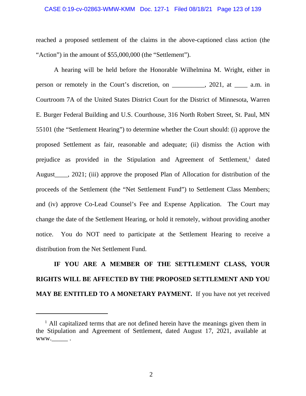#### CASE 0:19-cv-02863-WMW-KMM Doc. 127-1 Filed 08/18/21 Page 123 of 139

reached a proposed settlement of the claims in the above-captioned class action (the "Action") in the amount of \$55,000,000 (the "Settlement").

A hearing will be held before the Honorable Wilhelmina M. Wright, either in person or remotely in the Court's discretion, on \_\_\_\_\_\_\_\_\_\_, 2021, at \_\_\_\_ a.m. in Courtroom 7A of the United States District Court for the District of Minnesota, Warren E. Burger Federal Building and U.S. Courthouse, 316 North Robert Street, St. Paul, MN 55101 (the "Settlement Hearing") to determine whether the Court should: (i) approve the proposed Settlement as fair, reasonable and adequate; (ii) dismiss the Action with prejudice as provided in the Stipulation and Agreement of Settlement,<sup>1</sup> dated August . 2021; (iii) approve the proposed Plan of Allocation for distribution of the proceeds of the Settlement (the "Net Settlement Fund") to Settlement Class Members; and (iv) approve Co-Lead Counsel's Fee and Expense Application. The Court may change the date of the Settlement Hearing, or hold it remotely, without providing another notice. You do NOT need to participate at the Settlement Hearing to receive a distribution from the Net Settlement Fund.

**IF YOU ARE A MEMBER OF THE SETTLEMENT CLASS, YOUR RIGHTS WILL BE AFFECTED BY THE PROPOSED SETTLEMENT AND YOU MAY BE ENTITLED TO A MONETARY PAYMENT.** If you have not yet received

2

<sup>&</sup>lt;sup>1</sup> All capitalized terms that are not defined herein have the meanings given them in the Stipulation and Agreement of Settlement, dated August 17, 2021, available at  $www.\_$ .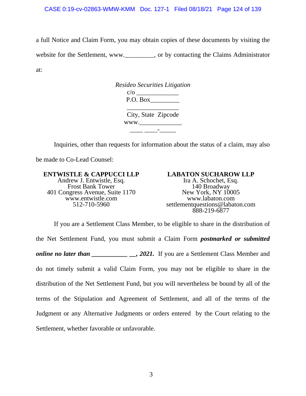a full Notice and Claim Form, you may obtain copies of these documents by visiting the website for the Settlement, www. cor by contacting the Claims Administrator at:

> *Resideo Securities Litigation*  c/o \_\_\_\_\_\_\_\_\_\_\_\_\_ P.O. Box \_\_\_\_\_\_\_\_\_\_\_\_\_\_\_\_ City, State Zipcode www.  $\frac{1}{2}$  ,  $\frac{1}{2}$  ,  $\frac{1}{2}$  ,  $\frac{1}{2}$  ,  $\frac{1}{2}$  ,  $\frac{1}{2}$  ,  $\frac{1}{2}$  ,  $\frac{1}{2}$  ,  $\frac{1}{2}$  ,  $\frac{1}{2}$  ,  $\frac{1}{2}$  ,  $\frac{1}{2}$  ,  $\frac{1}{2}$  ,  $\frac{1}{2}$  ,  $\frac{1}{2}$  ,  $\frac{1}{2}$  ,  $\frac{1}{2}$  ,  $\frac{1}{2}$  ,  $\frac{1$

Inquiries, other than requests for information about the status of a claim, may also

be made to Co-Lead Counsel:

#### **ENTWISTLE & CAPPUCCI LLP**

Andrew J. Entwistle, Esq. Frost Bank Tower 401 Congress Avenue, Suite 1170 www.entwistle.com 512-710-5960

**LABATON SUCHAROW LLP**  Ira A. Schochet, Esq. 140 Broadway New York, NY 10005 www.labaton.com settlementquestions@labaton.com 888-219-6877

If you are a Settlement Class Member, to be eligible to share in the distribution of the Net Settlement Fund, you must submit a Claim Form *postmarked or submitted online no later than* 2021. If you are a Settlement Class Member and do not timely submit a valid Claim Form, you may not be eligible to share in the distribution of the Net Settlement Fund, but you will nevertheless be bound by all of the terms of the Stipulation and Agreement of Settlement, and all of the terms of the Judgment or any Alternative Judgments or orders entered by the Court relating to the Settlement, whether favorable or unfavorable.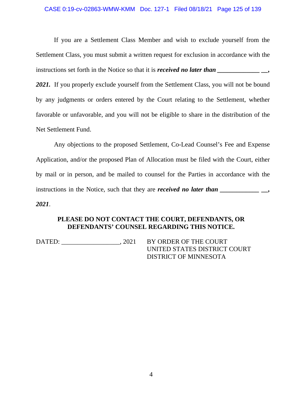#### CASE 0:19-cv-02863-WMW-KMM Doc. 127-1 Filed 08/18/21 Page 125 of 139

If you are a Settlement Class Member and wish to exclude yourself from the Settlement Class, you must submit a written request for exclusion in accordance with the instructions set forth in the Notice so that it is *received no later than* \_\_\_\_\_\_\_\_\_\_\_\_\_\_\_\_

2021. If you properly exclude yourself from the Settlement Class, you will not be bound by any judgments or orders entered by the Court relating to the Settlement, whether favorable or unfavorable, and you will not be eligible to share in the distribution of the Net Settlement Fund.

Any objections to the proposed Settlement, Co-Lead Counsel's Fee and Expense Application, and/or the proposed Plan of Allocation must be filed with the Court, either by mail or in person, and be mailed to counsel for the Parties in accordance with the instructions in the Notice, such that they are *received* no later than \_\_\_\_\_\_\_\_\_\_\_\_\_ *2021*.

#### **PLEASE DO NOT CONTACT THE COURT, DEFENDANTS, OR DEFENDANTS' COUNSEL REGARDING THIS NOTICE.**

DATED: \_\_\_\_\_\_\_\_\_\_\_\_\_\_\_\_\_, 2021 BY ORDER OF THE COURT

UNITED STATES DISTRICT COURT DISTRICT OF MINNESOTA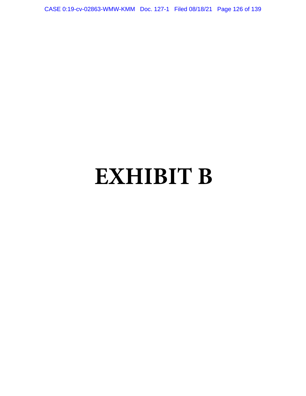CASE 0:19-cv-02863-WMW-KMM Doc. 127-1 Filed 08/18/21 Page 126 of 139

# **EXHIBIT B**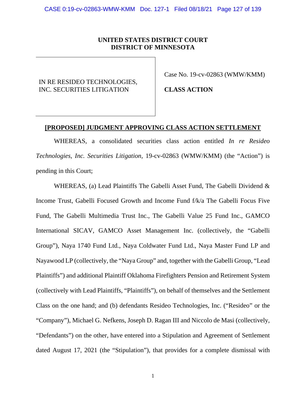#### **UNITED STATES DISTRICT COURT DISTRICT OF MINNESOTA**

IN RE RESIDEO TECHNOLOGIES, INC. SECURITIES LITIGATION

Case No. 19-cv-02863 (WMW/KMM)

**CLASS ACTION**

#### **[PROPOSED] JUDGMENT APPROVING CLASS ACTION SETTLEMENT**

WHEREAS, a consolidated securities class action entitled *In re Resideo Technologies, Inc. Securities Litigation,* 19-cv-02863 (WMW/KMM) (the "Action") is pending in this Court;

WHEREAS, (a) Lead Plaintiffs The Gabelli Asset Fund, The Gabelli Dividend & Income Trust, Gabelli Focused Growth and Income Fund f/k/a The Gabelli Focus Five Fund, The Gabelli Multimedia Trust Inc., The Gabelli Value 25 Fund Inc., GAMCO International SICAV, GAMCO Asset Management Inc. (collectively, the "Gabelli Group"), Naya 1740 Fund Ltd., Naya Coldwater Fund Ltd., Naya Master Fund LP and Nayawood LP (collectively, the "Naya Group" and, together with the Gabelli Group, "Lead Plaintiffs") and additional Plaintiff Oklahoma Firefighters Pension and Retirement System (collectively with Lead Plaintiffs, "Plaintiffs"), on behalf of themselves and the Settlement Class on the one hand; and (b) defendants Resideo Technologies, Inc. ("Resideo" or the "Company"), Michael G. Nefkens, Joseph D. Ragan III and Niccolo de Masi (collectively, "Defendants") on the other, have entered into a Stipulation and Agreement of Settlement dated August 17, 2021 (the "Stipulation"), that provides for a complete dismissal with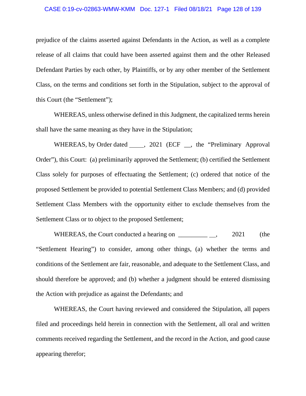#### CASE 0:19-cv-02863-WMW-KMM Doc. 127-1 Filed 08/18/21 Page 128 of 139

prejudice of the claims asserted against Defendants in the Action, as well as a complete release of all claims that could have been asserted against them and the other Released Defendant Parties by each other, by Plaintiffs, or by any other member of the Settlement Class, on the terms and conditions set forth in the Stipulation, subject to the approval of this Court (the "Settlement");

WHEREAS, unless otherwise defined in this Judgment, the capitalized terms herein shall have the same meaning as they have in the Stipulation;

WHEREAS, by Order dated \_\_\_\_\_, 2021 (ECF \_\_, the "Preliminary Approval Order"), this Court: (a) preliminarily approved the Settlement; (b) certified the Settlement Class solely for purposes of effectuating the Settlement; (c) ordered that notice of the proposed Settlement be provided to potential Settlement Class Members; and (d) provided Settlement Class Members with the opportunity either to exclude themselves from the Settlement Class or to object to the proposed Settlement;

WHEREAS, the Court conducted a hearing on  $2021$  (the "Settlement Hearing") to consider, among other things, (a) whether the terms and conditions of the Settlement are fair, reasonable, and adequate to the Settlement Class, and should therefore be approved; and (b) whether a judgment should be entered dismissing the Action with prejudice as against the Defendants; and

WHEREAS, the Court having reviewed and considered the Stipulation, all papers filed and proceedings held herein in connection with the Settlement, all oral and written comments received regarding the Settlement, and the record in the Action, and good cause appearing therefor;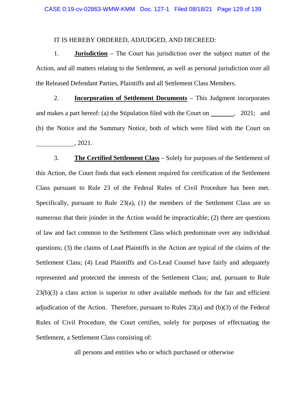#### IT IS HEREBY ORDERED, ADJUDGED, AND DECREED:

1. **Jurisdiction** – The Court has jurisdiction over the subject matter of the Action, and all matters relating to the Settlement, as well as personal jurisdiction over all the Released Defendant Parties, Plaintiffs and all Settlement Class Members.

2. **Incorporation of Settlement Documents** – This Judgment incorporates and makes a part hereof: (a) the Stipulation filed with the Court on  $\,$ , 2021; and (b) the Notice and the Summary Notice, both of which were filed with the Court on , 2021.

3. **The Certified Settlement Class** – Solely for purposes of the Settlement of this Action, the Court finds that each element required for certification of the Settlement Class pursuant to Rule 23 of the Federal Rules of Civil Procedure has been met. Specifically, pursuant to Rule 23(a), (1) the members of the Settlement Class are so numerous that their joinder in the Action would be impracticable; (2) there are questions of law and fact common to the Settlement Class which predominate over any individual questions; (3) the claims of Lead Plaintiffs in the Action are typical of the claims of the Settlement Class; (4) Lead Plaintiffs and Co-Lead Counsel have fairly and adequately represented and protected the interests of the Settlement Class; and, pursuant to Rule 23(b)(3) a class action is superior to other available methods for the fair and efficient adjudication of the Action. Therefore, pursuant to Rules 23(a) and (b)(3) of the Federal Rules of Civil Procedure, the Court certifies, solely for purposes of effectuating the Settlement, a Settlement Class consisting of:

all persons and entities who or which purchased or otherwise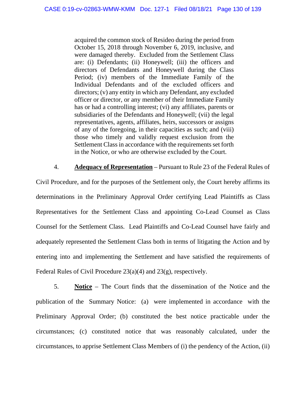acquired the common stock of Resideo during the period from October 15, 2018 through November 6, 2019, inclusive, and were damaged thereby. Excluded from the Settlement Class are: (i) Defendants; (ii) Honeywell; (iii) the officers and directors of Defendants and Honeywell during the Class Period; (iv) members of the Immediate Family of the Individual Defendants and of the excluded officers and directors; (v) any entity in which any Defendant, any excluded officer or director, or any member of their Immediate Family has or had a controlling interest; (vi) any affiliates, parents or subsidiaries of the Defendants and Honeywell; (vii) the legal representatives, agents, affiliates, heirs, successors or assigns of any of the foregoing, in their capacities as such; and (viii) those who timely and validly request exclusion from the Settlement Class in accordance with the requirements set forth in the Notice, or who are otherwise excluded by the Court.

4. **Adequacy of Representation** – Pursuant to Rule 23 of the Federal Rules of Civil Procedure, and for the purposes of the Settlement only, the Court hereby affirms its determinations in the Preliminary Approval Order certifying Lead Plaintiffs as Class Representatives for the Settlement Class and appointing Co-Lead Counsel as Class Counsel for the Settlement Class. Lead Plaintiffs and Co-Lead Counsel have fairly and adequately represented the Settlement Class both in terms of litigating the Action and by entering into and implementing the Settlement and have satisfied the requirements of Federal Rules of Civil Procedure 23(a)(4) and 23(g), respectively.

5. **Notice** – The Court finds that the dissemination of the Notice and the publication of the Summary Notice: (a) were implemented in accordance with the Preliminary Approval Order; (b) constituted the best notice practicable under the circumstances; (c) constituted notice that was reasonably calculated, under the circumstances, to apprise Settlement Class Members of (i) the pendency of the Action, (ii)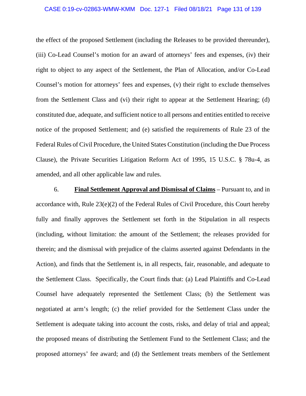#### CASE 0:19-cv-02863-WMW-KMM Doc. 127-1 Filed 08/18/21 Page 131 of 139

the effect of the proposed Settlement (including the Releases to be provided thereunder), (iii) Co-Lead Counsel's motion for an award of attorneys' fees and expenses, (iv) their right to object to any aspect of the Settlement, the Plan of Allocation, and/or Co-Lead Counsel's motion for attorneys' fees and expenses, (v) their right to exclude themselves from the Settlement Class and (vi) their right to appear at the Settlement Hearing; (d) constituted due, adequate, and sufficient notice to all persons and entities entitled to receive notice of the proposed Settlement; and (e) satisfied the requirements of Rule 23 of the Federal Rules of Civil Procedure, the United States Constitution (including the Due Process Clause), the Private Securities Litigation Reform Act of 1995, 15 U.S.C. § 78u-4*,* as amended, and all other applicable law and rules.

6. **Final Settlement Approval and Dismissal of Claims** – Pursuant to, and in accordance with, Rule 23(e)(2) of the Federal Rules of Civil Procedure, this Court hereby fully and finally approves the Settlement set forth in the Stipulation in all respects (including, without limitation: the amount of the Settlement; the releases provided for therein; and the dismissal with prejudice of the claims asserted against Defendants in the Action), and finds that the Settlement is, in all respects, fair, reasonable, and adequate to the Settlement Class. Specifically, the Court finds that: (a) Lead Plaintiffs and Co-Lead Counsel have adequately represented the Settlement Class; (b) the Settlement was negotiated at arm's length; (c) the relief provided for the Settlement Class under the Settlement is adequate taking into account the costs, risks, and delay of trial and appeal; the proposed means of distributing the Settlement Fund to the Settlement Class; and the proposed attorneys' fee award; and (d) the Settlement treats members of the Settlement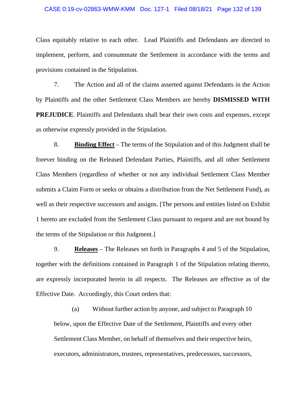#### CASE 0:19-cv-02863-WMW-KMM Doc. 127-1 Filed 08/18/21 Page 132 of 139

Class equitably relative to each other. Lead Plaintiffs and Defendants are directed to implement, perform, and consummate the Settlement in accordance with the terms and provisions contained in the Stipulation.

7. The Action and all of the claims asserted against Defendants in the Action by Plaintiffs and the other Settlement Class Members are hereby **DISMISSED WITH PREJUDICE**. Plaintiffs and Defendants shall bear their own costs and expenses, except as otherwise expressly provided in the Stipulation.

8. **Binding Effect** – The terms of the Stipulation and of this Judgment shall be forever binding on the Released Defendant Parties, Plaintiffs, and all other Settlement Class Members (regardless of whether or not any individual Settlement Class Member submits a Claim Form or seeks or obtains a distribution from the Net Settlement Fund), as well as their respective successors and assigns. [The persons and entities listed on Exhibit 1 hereto are excluded from the Settlement Class pursuant to request and are not bound by the terms of the Stipulation or this Judgment.]

9. **Releases** – The Releases set forth in Paragraphs 4 and 5 of the Stipulation, together with the definitions contained in Paragraph 1 of the Stipulation relating thereto, are expressly incorporated herein in all respects. The Releases are effective as of the Effective Date. Accordingly, this Court orders that:

(a) Without further action by anyone, and subject to Paragraph 10 below, upon the Effective Date of the Settlement, Plaintiffs and every other Settlement Class Member, on behalf of themselves and their respective heirs, executors, administrators, trustees, representatives, predecessors, successors,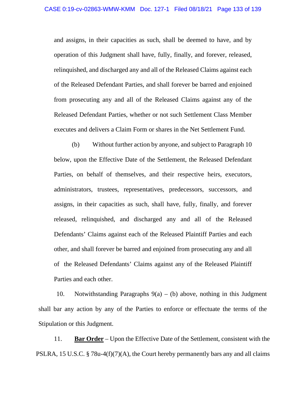and assigns, in their capacities as such, shall be deemed to have, and by operation of this Judgment shall have, fully, finally, and forever, released, relinquished, and discharged any and all of the Released Claims against each of the Released Defendant Parties, and shall forever be barred and enjoined from prosecuting any and all of the Released Claims against any of the Released Defendant Parties, whether or not such Settlement Class Member executes and delivers a Claim Form or shares in the Net Settlement Fund.

(b) Without further action by anyone, and subject to Paragraph 10 below, upon the Effective Date of the Settlement, the Released Defendant Parties, on behalf of themselves, and their respective heirs, executors, administrators, trustees, representatives, predecessors, successors, and assigns, in their capacities as such, shall have, fully, finally, and forever released, relinquished, and discharged any and all of the Released Defendants' Claims against each of the Released Plaintiff Parties and each other, and shall forever be barred and enjoined from prosecuting any and all of the Released Defendants' Claims against any of the Released Plaintiff Parties and each other.

10. Notwithstanding Paragraphs  $9(a) - (b)$  above, nothing in this Judgment shall bar any action by any of the Parties to enforce or effectuate the terms of the Stipulation or this Judgment.

11. **Bar Order** – Upon the Effective Date of the Settlement, consistent with the PSLRA, 15 U.S.C. § 78u-4(f)(7)(A), the Court hereby permanently bars any and all claims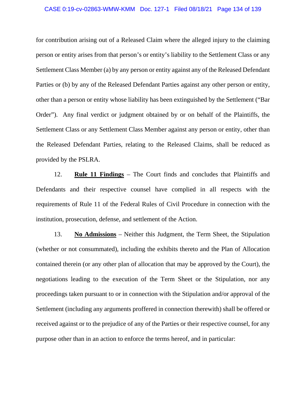for contribution arising out of a Released Claim where the alleged injury to the claiming person or entity arises from that person's or entity's liability to the Settlement Class or any Settlement Class Member (a) by any person or entity against any of the Released Defendant Parties or (b) by any of the Released Defendant Parties against any other person or entity, other than a person or entity whose liability has been extinguished by the Settlement ("Bar Order"). Any final verdict or judgment obtained by or on behalf of the Plaintiffs, the Settlement Class or any Settlement Class Member against any person or entity, other than the Released Defendant Parties, relating to the Released Claims, shall be reduced as provided by the PSLRA.

12. **Rule 11 Findings** – The Court finds and concludes that Plaintiffs and Defendants and their respective counsel have complied in all respects with the requirements of Rule 11 of the Federal Rules of Civil Procedure in connection with the institution, prosecution, defense, and settlement of the Action.

13. **No Admissions** – Neither this Judgment, the Term Sheet, the Stipulation (whether or not consummated), including the exhibits thereto and the Plan of Allocation contained therein (or any other plan of allocation that may be approved by the Court), the negotiations leading to the execution of the Term Sheet or the Stipulation, nor any proceedings taken pursuant to or in connection with the Stipulation and/or approval of the Settlement (including any arguments proffered in connection therewith) shall be offered or received against or to the prejudice of any of the Parties or their respective counsel, for any purpose other than in an action to enforce the terms hereof, and in particular: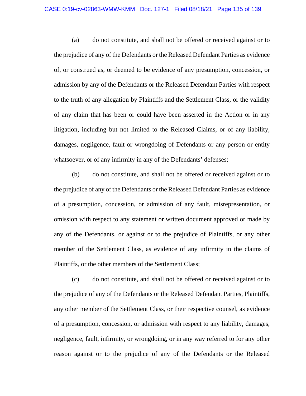(a) do not constitute, and shall not be offered or received against or to the prejudice of any of the Defendants or the Released Defendant Parties as evidence of, or construed as, or deemed to be evidence of any presumption, concession, or admission by any of the Defendants or the Released Defendant Parties with respect to the truth of any allegation by Plaintiffs and the Settlement Class, or the validity of any claim that has been or could have been asserted in the Action or in any litigation, including but not limited to the Released Claims, or of any liability, damages, negligence, fault or wrongdoing of Defendants or any person or entity whatsoever, or of any infirmity in any of the Defendants' defenses;

(b) do not constitute, and shall not be offered or received against or to the prejudice of any of the Defendants or the Released Defendant Parties as evidence of a presumption, concession, or admission of any fault, misrepresentation, or omission with respect to any statement or written document approved or made by any of the Defendants, or against or to the prejudice of Plaintiffs, or any other member of the Settlement Class, as evidence of any infirmity in the claims of Plaintiffs, or the other members of the Settlement Class;

(c) do not constitute, and shall not be offered or received against or to the prejudice of any of the Defendants or the Released Defendant Parties, Plaintiffs, any other member of the Settlement Class, or their respective counsel, as evidence of a presumption, concession, or admission with respect to any liability, damages, negligence, fault, infirmity, or wrongdoing, or in any way referred to for any other reason against or to the prejudice of any of the Defendants or the Released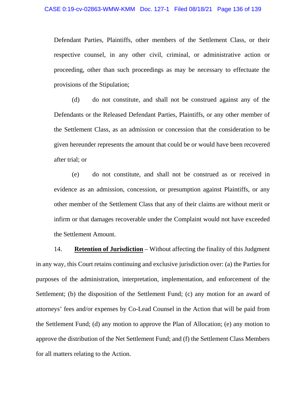Defendant Parties, Plaintiffs, other members of the Settlement Class, or their respective counsel, in any other civil, criminal, or administrative action or proceeding, other than such proceedings as may be necessary to effectuate the provisions of the Stipulation;

(d) do not constitute, and shall not be construed against any of the Defendants or the Released Defendant Parties, Plaintiffs, or any other member of the Settlement Class, as an admission or concession that the consideration to be given hereunder represents the amount that could be or would have been recovered after trial; or

(e) do not constitute, and shall not be construed as or received in evidence as an admission, concession, or presumption against Plaintiffs, or any other member of the Settlement Class that any of their claims are without merit or infirm or that damages recoverable under the Complaint would not have exceeded the Settlement Amount.

14. **Retention of Jurisdiction** – Without affecting the finality of this Judgment in any way, this Court retains continuing and exclusive jurisdiction over: (a) the Parties for purposes of the administration, interpretation, implementation, and enforcement of the Settlement; (b) the disposition of the Settlement Fund; (c) any motion for an award of attorneys' fees and/or expenses by Co-Lead Counsel in the Action that will be paid from the Settlement Fund; (d) any motion to approve the Plan of Allocation; (e) any motion to approve the distribution of the Net Settlement Fund; and (f) the Settlement Class Members for all matters relating to the Action.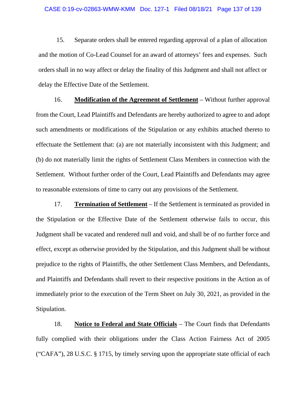15. Separate orders shall be entered regarding approval of a plan of allocation and the motion of Co-Lead Counsel for an award of attorneys' fees and expenses. Such orders shall in no way affect or delay the finality of this Judgment and shall not affect or delay the Effective Date of the Settlement.

16. **Modification of the Agreement of Settlement** – Without further approval from the Court, Lead Plaintiffs and Defendants are hereby authorized to agree to and adopt such amendments or modifications of the Stipulation or any exhibits attached thereto to effectuate the Settlement that: (a) are not materially inconsistent with this Judgment; and (b) do not materially limit the rights of Settlement Class Members in connection with the Settlement. Without further order of the Court, Lead Plaintiffs and Defendants may agree to reasonable extensions of time to carry out any provisions of the Settlement.

17. **Termination of Settlement** – If the Settlement is terminated as provided in the Stipulation or the Effective Date of the Settlement otherwise fails to occur, this Judgment shall be vacated and rendered null and void, and shall be of no further force and effect, except as otherwise provided by the Stipulation, and this Judgment shall be without prejudice to the rights of Plaintiffs, the other Settlement Class Members, and Defendants, and Plaintiffs and Defendants shall revert to their respective positions in the Action as of immediately prior to the execution of the Term Sheet on July 30, 2021, as provided in the Stipulation.

18. **Notice to Federal and State Officials** – The Court finds that Defendants fully complied with their obligations under the Class Action Fairness Act of 2005 ("CAFA"), 28 U.S.C. § 1715, by timely serving upon the appropriate state official of each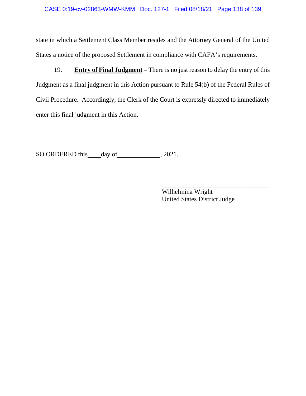state in which a Settlement Class Member resides and the Attorney General of the United States a notice of the proposed Settlement in compliance with CAFA's requirements.

19. **Entry of Final Judgment** – There is no just reason to delay the entry of this Judgment as a final judgment in this Action pursuant to Rule 54(b) of the Federal Rules of Civil Procedure. Accordingly, the Clerk of the Court is expressly directed to immediately enter this final judgment in this Action.

SO ORDERED this day of , 2021.

Wilhelmina Wright United States District Judge

\_\_\_\_\_\_\_\_\_\_\_\_\_\_\_\_\_\_\_\_\_\_\_\_\_\_\_\_\_\_\_\_\_